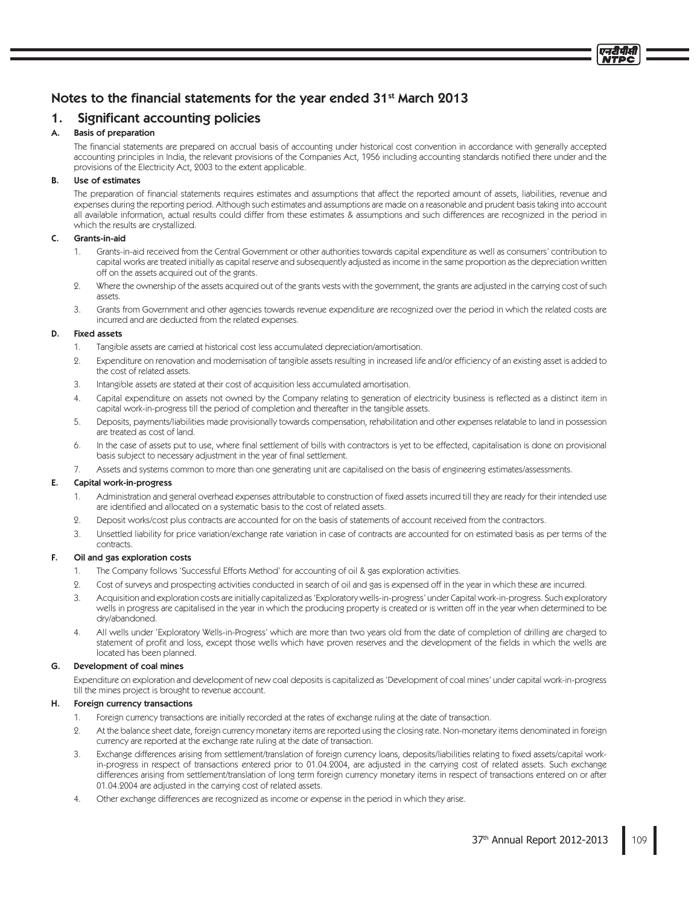# Notes to the financial statements for the year ended  $31^{st}$  March 2013

# 1. Significant accounting policies

# A. Basis of preparation

The financial statements are prepared on accrual basis of accounting under historical cost convention in accordance with generally accepted accounting principles in India, the relevant provisions of the Companies Act, 1956 including accounting standards notified there under and the provisions of the Electricity Act, 2003 to the extent applicable.

# B. Use of estimates

The preparation of financial statements requires estimates and assumptions that affect the reported amount of assets, liabilities, revenue and expenses during the reporting period. Although such estimates and assumptions are made on a reasonable and prudent basis taking into account all available information, actual results could differ from these estimates & assumptions and such differences are recognized in the period in which the results are crystallized.

# C. Grants-in-aid

- 1. Grants-in-aid received from the Central Government or other authorities towards capital expenditure as well as consumers' contribution to capital works are treated initially as capital reserve and subsequently adjusted as income in the same proportion as the depreciation written off on the assets acquired out of the grants.
- 2. Where the ownership of the assets acquired out of the grants vests with the government, the grants are adjusted in the carrying cost of such assets.
- 3. Grants from Government and other agencies towards revenue expenditure are recognized over the period in which the related costs are incurred and are deducted from the related expenses.

# D. Fixed assets

- 1. Tangible assets are carried at historical cost less accumulated depreciation/amortisation.
- 2. Expenditure on renovation and modernisation of tangible assets resulting in increased life and/or efficiency of an existing asset is added to the cost of related assets.
- 3. Intangible assets are stated at their cost of acquisition less accumulated amortisation.
- 4. Capital expenditure on assets not owned by the Company relating to generation of electricity business is reflected as a distinct item in capital work-in-progress till the period of completion and thereafter in the tangible assets.
- 5. Deposits, payments/liabilities made provisionally towards compensation, rehabilitation and other expenses relatable to land in possession are treated as cost of land.
- 6. In the case of assets put to use, where final settlement of bills with contractors is yet to be effected, capitalisation is done on provisional basis subject to necessary adjustment in the year of final settlement.
- 7. Assets and systems common to more than one generating unit are capitalised on the basis of engineering estimates/assessments.

# E. Capital work-in-progress

- 1. Administration and general overhead expenses attributable to construction of fixed assets incurred till they are ready for their intended use are identified and allocated on a systematic basis to the cost of related assets.
- 2. Deposit works/cost plus contracts are accounted for on the basis of statements of account received from the contractors.
- 3. Unsettled liability for price variation/exchange rate variation in case of contracts are accounted for on estimated basis as per terms of the contracts.

# F. Oil and gas exploration costs

- 1. The Company follows 'Successful Efforts Method' for accounting of oil & gas exploration activities.
- 2. Cost of surveys and prospecting activities conducted in search of oil and gas is expensed off in the year in which these are incurred.
- 3. Acquisition and exploration costs are initially capitalized as 'Exploratory wells-in-progress' under Capital work-in-progress. Such exploratory wells in progress are capitalised in the year in which the producing property is created or is written off in the year when determined to be dry/abandoned.
- 4. All wells under 'Exploratory Wells-in-Progress' which are more than two years old from the date of completion of drilling are charged to statement of profit and loss, except those wells which have proven reserves and the development of the fields in which the wells are located has been planned.

# G. Development of coal mines

Expenditure on exploration and development of new coal deposits is capitalized as 'Development of coal mines' under capital work-in-progress till the mines project is brought to revenue account.

# H. Foreign currency transactions

- Foreign currency transactions are initially recorded at the rates of exchange ruling at the date of transaction.
- 2. At the balance sheet date, foreign currency monetary items are reported using the closing rate. Non-monetary items denominated in foreign currency are reported at the exchange rate ruling at the date of transaction.
- 3. Exchange differences arising from settlement/translation of foreign currency loans, deposits/liabilities relating to fixed assets/capital workin-progress in respect of transactions entered prior to 01.04.2004, are adjusted in the carrying cost of related assets. Such exchange differences arising from settlement/translation of long term foreign currency monetary items in respect of transactions entered on or after 01.04.2004 are adjusted in the carrying cost of related assets.
- 4. Other exchange differences are recognized as income or expense in the period in which they arise.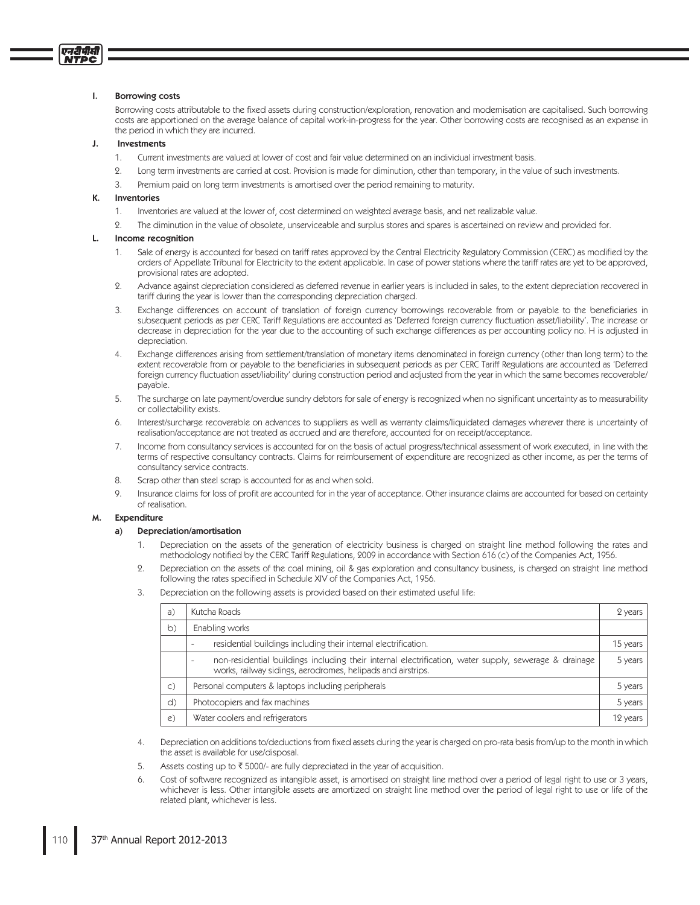#### **Borrowing costs**  $\mathbf{I}$

एनटीपीसी **NTPC** 

> Borrowing costs attributable to the fixed assets during construction/exploration, renovation and modernisation are capitalised. Such borrowing costs are apportioned on the average balance of capital work-in-progress for the year. Other borrowing costs are recognised as an expense in the period in which they are incurred.

#### J. Investments

- Current investments are valued at lower of cost and fair value determined on an individual investment basis.  $\mathbf{1}$
- Long term investments are carried at cost. Provision is made for diminution, other than temporary, in the value of such investments. 9.
- Premium paid on long term investments is amortised over the period remaining to maturity.  $\mathcal{B}$

#### K. Inventories

- $1.$ Inventories are valued at the lower of, cost determined on weighted average basis, and net realizable value.
- The diminution in the value of obsolete, unserviceable and surplus stores and spares is ascertained on review and provided for.  $\circ$

# Income recognition

- Sale of energy is accounted for based on tariff rates approved by the Central Electricity Regulatory Commission (CERC) as modified by the 1. orders of Appellate Tribunal for Electricity to the extent applicable. In case of power stations where the tariff rates are yet to be approved, provisional rates are adopted.
- Advance against depreciation considered as deferred revenue in earlier years is included in sales, to the extent depreciation recovered in 2. tariff during the year is lower than the corresponding depreciation charged.
- Exchange differences on account of translation of foreign currency borrowings recoverable from or payable to the beneficiaries in  $\mathcal{L}$ subsequent periods as per CERC Tariff Regulations are accounted as 'Deferred foreign currency fluctuation asset/liability'. The increase or decrease in depreciation for the year due to the accounting of such exchange differences as per accounting policy no. H is adjusted in depreciation.
- Exchange differences arising from settlement/translation of monetary items denominated in foreign currency (other than long term) to the  $4<sup>1</sup>$ extent recoverable from or payable to the beneficiaries in subsequent periods as per CERC Tariff Regulations are accounted as 'Deferred foreign currency fluctuation asset/liability' during construction period and adjusted from the year in which the same becomes recoverable/ payable.
- The surcharge on late payment/overdue sundry debtors for sale of energy is recognized when no significant uncertainty as to measurability 5. or collectability exists.
- 6. Interest/surcharge recoverable on advances to suppliers as well as warranty claims/liquidated damages wherever there is uncertainty of realisation/acceptance are not treated as accrued and are therefore, accounted for on receipt/acceptance.
- Income from consultancy services is accounted for on the basis of actual progress/technical assessment of work executed, in line with the 7. terms of respective consultancy contracts. Claims for reimbursement of expenditure are recognized as other income, as per the terms of consultancy service contracts.
- $\mathsf{R}$ Scrap other than steel scrap is accounted for as and when sold.
- 9 Insurance claims for loss of profit are accounted for in the year of acceptance. Other insurance claims are accounted for based on certainty of realisation.

#### Expenditure М.

#### Depreciation/amortisation a)

- Depreciation on the assets of the generation of electricity business is charged on straight line method following the rates and  $\mathbf{1}$ methodology notified by the CERC Tariff Regulations, 2009 in accordance with Section 616 (c) of the Companies Act, 1956.
- 9. Depreciation on the assets of the coal mining, oil & gas exploration and consultancy business, is charged on straight line method following the rates specified in Schedule XIV of the Companies Act, 1956.
- Depreciation on the following assets is provided based on their estimated useful life: 3.

| a)            | Kutcha Roads                                                                                                                                                                                     | 2 years  |
|---------------|--------------------------------------------------------------------------------------------------------------------------------------------------------------------------------------------------|----------|
| b)            | Enabling works                                                                                                                                                                                   |          |
|               | residential buildings including their internal electrification.<br>$\overline{\phantom{a}}$                                                                                                      | 15 years |
|               | non-residential buildings including their internal electrification, water supply, sewerage & drainage<br>$\overline{\phantom{a}}$<br>works, railway sidings, aerodromes, helipads and airstrips. | 5 years  |
| $\mathsf{C}$  | Personal computers & laptops including peripherals                                                                                                                                               | 5 years  |
| d)            | Photocopiers and fax machines                                                                                                                                                                    | 5 years  |
| $\mathcal{C}$ | Water coolers and refrigerators                                                                                                                                                                  | 12 years |

- Depreciation on additions to/deductions from fixed assets during the year is charged on pro-rata basis from/up to the month in which  $4<sup>1</sup>$ the asset is available for use/disposal.
- 5. Assets costing up to ₹ 5000/- are fully depreciated in the year of acquisition.
- Cost of software recognized as intangible asset, is amortised on straight line method over a period of legal right to use or 3 years, 6 whichever is less. Other intangible assets are amortized on straight line method over the period of legal right to use or life of the related plant, whichever is less.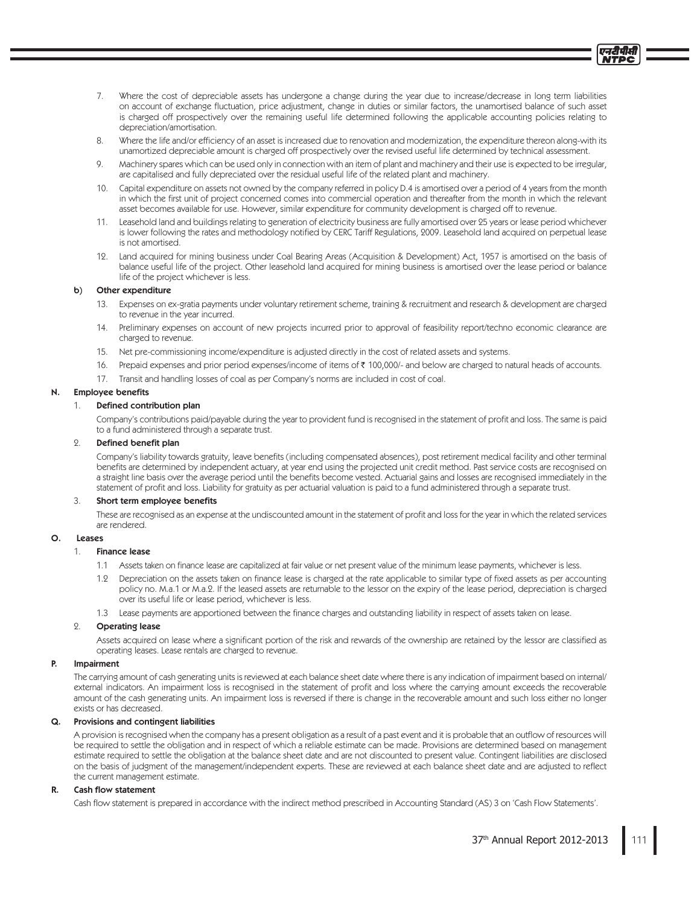- Where the cost of depreciable assets has undergone a change during the year due to increase/decrease in long term liabilities  $7<sup>1</sup>$ on account of exchange fluctuation, price adjustment, change in duties or similar factors, the unamortised balance of such asset is charged off prospectively over the remaining useful life determined following the applicable accounting policies relating to depreciation/amortisation.
- Where the life and/or efficiency of an asset is increased due to renovation and modernization, the expenditure thereon along-with its  $\mathcal{R}$ unamortized depreciable amount is charged off prospectively over the revised useful life determined by technical assessment.
- Machinery spares which can be used only in connection with an item of plant and machinery and their use is expected to be irregular,  $Q$ are capitalised and fully depreciated over the residual useful life of the related plant and machinery.
- $10<sup>-1</sup>$ Capital expenditure on assets not owned by the company referred in policy D.4 is amortised over a period of 4 years from the month in which the first unit of project concerned comes into commercial operation and thereafter from the month in which the relevant asset becomes available for use. However, similar expenditure for community development is charged off to revenue.
- 11. Leasehold land and buildings relating to generation of electricity business are fully amortised over 25 years or lease period whichever is lower following the rates and methodology notified by CERC Tariff Regulations, 2009. Leasehold land acquired on perpetual lease is not amortised.
- 12. Land acquired for mining business under Coal Bearing Areas (Acquisition & Development) Act, 1957 is amortised on the basis of balance useful life of the project. Other leasehold land acquired for mining business is amortised over the lease period or balance life of the project whichever is less.

#### Other expenditure  $b)$

- 13. Expenses on ex-gratia payments under voluntary retirement scheme, training & recruitment and research & development are charged to revenue in the year incurred.
- 14. Preliminary expenses on account of new projects incurred prior to approval of feasibility report/techno economic clearance are charged to revenue.
- 15. Net pre-commissioning income/expenditure is adjusted directly in the cost of related assets and systems.
- 16. Prepaid expenses and prior period expenses/income of items of ₹ 100,000/- and below are charged to natural heads of accounts.
- 17. Transit and handling losses of coal as per Company's norms are included in cost of coal.

#### **Employee benefits** N.

#### $1<sup>1</sup>$ Defined contribution plan

Company's contributions paid/payable during the year to provident fund is recognised in the statement of profit and loss. The same is paid to a fund administered through a separate trust.

#### Defined benefit plan  $\Omega$ .

Company's liability towards gratuity, leave benefits (including compensated absences), post retirement medical facility and other terminal benefits are determined by independent actuary, at year end using the projected unit credit method. Past service costs are recognised on a straight line basis over the average period until the benefits become vested. Actuarial gains and losses are recognised immediately in the statement of profit and loss. Liability for gratuity as per actuarial valuation is paid to a fund administered through a separate trust.

### Short term employee benefits

These are recognised as an expense at the undiscounted amount in the statement of profit and loss for the year in which the related services are rendered.

#### $\Omega$ leases

#### $1.$ **Finance lease**

- 1.1 Assets taken on finance lease are capitalized at fair value or net present value of the minimum lease payments, whichever is less.
- 1.2 Depreciation on the assets taken on finance lease is charged at the rate applicable to similar type of fixed assets as per accounting policy no. M.a.1 or M.a.2. If the leased assets are returnable to the lessor on the expiry of the lease period, depreciation is charged over its useful life or lease period, whichever is less.
- 1.3 Lease payments are apportioned between the finance charges and outstanding liability in respect of assets taken on lease.

#### $\overline{2}$ . **Operating lease**

Assets acquired on lease where a significant portion of the risk and rewards of the ownership are retained by the lessor are classified as operating leases. Lease rentals are charged to revenue.

#### Þ. Imnairment

The carrying amount of cash generating units is reviewed at each balance sheet date where there is any indication of impairment based on internal/ external indicators. An impairment loss is recognised in the statement of profit and loss where the carrying amount exceeds the recoverable amount of the cash generating units. An impairment loss is reversed if there is change in the recoverable amount and such loss either no longer exists or has decreased.

#### Q. Provisions and contingent liabilities

A provision is recognised when the company has a present obligation as a result of a past event and it is probable that an outflow of resources will be required to settle the obligation and in respect of which a reliable estimate can be made. Provisions are determined based on management estimate required to settle the obligation at the balance sheet date and are not discounted to present value. Contingent liabilities are disclosed on the basis of judgment of the management/independent experts. These are reviewed at each balance sheet date and are adjusted to reflect the current management estimate.

#### R. Cash flow statement

Cash flow statement is prepared in accordance with the indirect method prescribed in Accounting Standard (AS) 3 on 'Cash Flow Statements'.

प्लदी पी.स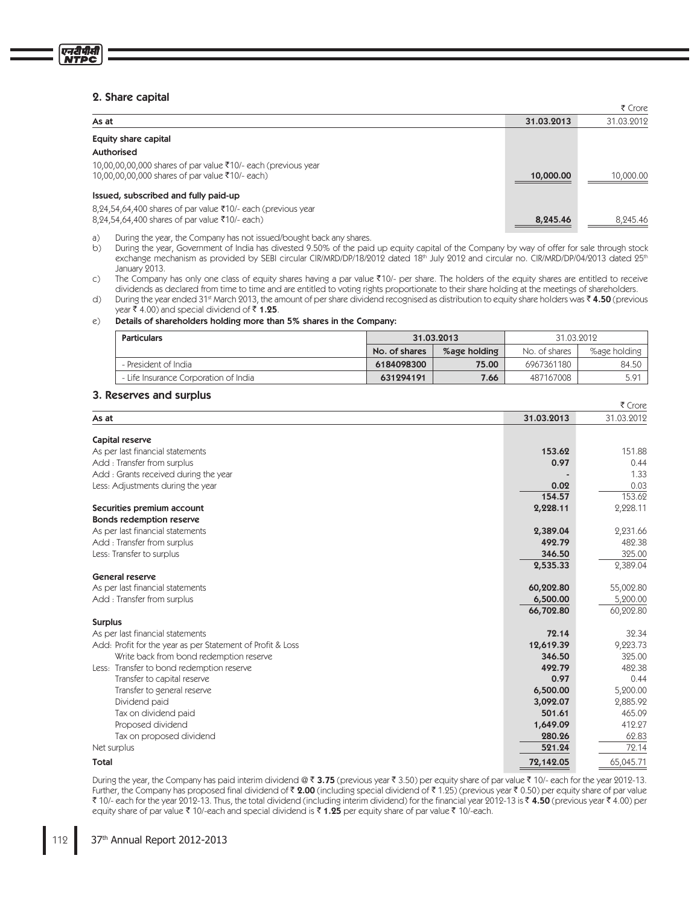# 2. Share capital

एनदीपीसी **NTPC** 

|                                                                                                                  |            | ₹ Crore    |
|------------------------------------------------------------------------------------------------------------------|------------|------------|
| As at                                                                                                            | 31.03.2013 | 31.03.2012 |
| Equity share capital                                                                                             |            |            |
| Authorised                                                                                                       |            |            |
| 10,00,00,00,000 shares of par value ₹10/- each (previous year<br>10,00,00,00,000 shares of par value ₹10/- each) | 10,000.00  | 10,000.00  |
| Issued, subscribed and fully paid-up                                                                             |            |            |
| $8,24,54,64,400$ shares of par value ₹10/- each (previous year<br>8,24,54,64,400 shares of par value ₹10/- each) | 8,245.46   | 8,245.46   |

 $\alpha$ During the year, the Company has not issued/bought back any shares.

 $b)$ During the year, Government of India has divested 9.50% of the paid up equity capital of the Company by way of offer for sale through stock exchange mechanism as provided by SEBI circular CIR/MRD/DP/18/2012 dated 18th July 2012 and circular no. CIR/MRD/DP/04/2013 dated 25th January 2013.

 $\mathsf{C}$ ) The Company has only one class of equity shares having a par value ₹10/- per share. The holders of the equity shares are entitled to receive dividends as declared from time to time and are entitled to voting rights proportionate to their share holding at the meetings of shareholders.

 $\overline{d}$ During the year ended 31st March 2013, the amount of per share dividend recognised as distribution to equity share holders was  $\bar{\bf{z}}$  **4.50** (previous year ₹ 4.00) and special dividend of ₹ 1.25.

#### $\mathcal{C}$ ) Details of shareholders holding more than 5% shares in the Company:

| <b>Particulars</b>                    | 31.03.2013    |              | 31.03.2012    |              |
|---------------------------------------|---------------|--------------|---------------|--------------|
|                                       | No. of shares | %age holding | No. of shares | %age holding |
| - President of India                  | 6184098300    | 75.00        | 6967361180    | 84.50        |
| - Life Insurance Corporation of India | 631294191     | 7.66         | 487167008     | 5.91         |

### 3. Reserves and surplus

|                                                            |            | ₹ Crore    |
|------------------------------------------------------------|------------|------------|
| As at                                                      | 31.03.2013 | 31.03.2012 |
| Capital reserve                                            |            |            |
| As per last financial statements                           | 153.62     | 151.88     |
| Add: Transfer from surplus                                 | 0.97       | 0.44       |
| Add: Grants received during the year                       |            | 1.33       |
| Less: Adjustments during the year                          | 0.02       | 0.03       |
|                                                            | 154.57     | 153.62     |
| Securities premium account                                 | 2,228.11   | 2,228.11   |
| Bonds redemption reserve                                   |            |            |
| As per last financial statements                           | 2,389.04   | 2,231.66   |
| Add: Transfer from surplus                                 | 492.79     | 482.38     |
| Less: Transfer to surplus                                  | 346.50     | 325.00     |
|                                                            | 2,535.33   | 2,389.04   |
| <b>General reserve</b>                                     |            |            |
| As per last financial statements                           | 60,202.80  | 55,002.80  |
| Add: Transfer from surplus                                 | 6,500.00   | 5,200.00   |
|                                                            | 66,702.80  | 60,202.80  |
| <b>Surplus</b>                                             |            |            |
| As per last financial statements                           | 72.14      | 32.34      |
| Add: Profit for the year as per Statement of Profit & Loss | 12,619.39  | 9,223.73   |
| Write back from bond redemption reserve                    | 346.50     | 325.00     |
| Less: Transfer to bond redemption reserve                  | 492.79     | 482.38     |
| Transfer to capital reserve                                | 0.97       | 0.44       |
| Transfer to general reserve                                | 6,500.00   | 5,200.00   |
| Dividend paid                                              | 3,092.07   | 2,885.92   |
| Tax on dividend paid                                       | 501.61     | 465.09     |
| Proposed dividend                                          | 1,649.09   | 412.27     |
| Tax on proposed dividend                                   | 280.26     | 62.83      |
| Net surplus                                                | 521.24     | 72.14      |
| Total                                                      | 72,142.05  | 65,045.71  |

During the year, the Company has paid interim dividend @ ₹3.75 (previous year ₹3.50) per equity share of par value ₹10/- each for the year 2012-13. Further, the Company has proposed final dividend of **₹ 2.00** (including special dividend of ₹ 1.25) (previous year ₹ 0.50) per equity share of par value ₹ 10/- each for the year 2012-13. Thus, the total dividend (including interim dividend) for the financial year 2012-13 is ₹ 4.**50** (previous year ₹ 4.00) per equity share of par value ₹ 10/-each and special dividend is ₹ 1**.25** per equity share of par value ₹ 10/-each.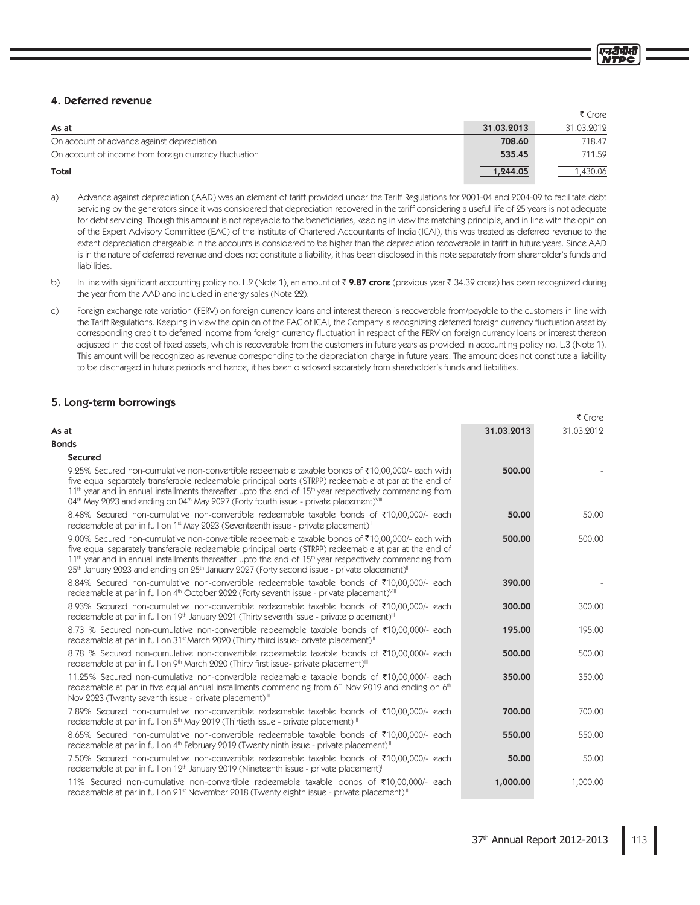# 4. Deferred revenue

|                                                        |            | 7 CIVIE    |
|--------------------------------------------------------|------------|------------|
| As at                                                  | 31.03.2013 | 31.03.2012 |
| On account of advance against depreciation             | 708.60     | 718.47     |
| On account of income from foreign currency fluctuation | 535.45     | 711.59     |
| <b>Total</b>                                           | 1,244.05   | .430.06    |

- Advance against depreciation (AAD) was an element of tariff provided under the Tariff Regulations for 2001-04 and 2004-09 to facilitate debt  $a)$ servicing by the generators since it was considered that depreciation recovered in the tariff considering a useful life of 25 years is not adequate for debt servicing. Though this amount is not repayable to the beneficiaries, keeping in view the matching principle, and in line with the opinion of the Expert Advisory Committee (EAC) of the Institute of Chartered Accountants of India (ICAI), this was treated as deferred revenue to the extent depreciation chargeable in the accounts is considered to be higher than the depreciation recoverable in tariff in future years. Since AAD is in the nature of deferred revenue and does not constitute a liability, it has been disclosed in this note separately from shareholder's funds and liabilities.
- $b)$ In line with significant accounting policy no. L.2 (Note 1), an amount of ₹9.87 crore (previous year ₹34.39 crore) has been recognized during the year from the AAD and included in energy sales (Note 22).
- Foreign exchange rate variation (FERV) on foreign currency loans and interest thereon is recoverable from/payable to the customers in line with  $\mathsf{C}$ ) the Tariff Regulations. Keeping in view the opinion of the EAC of ICAI, the Company is recognizing deferred foreign currency fluctuation asset by corresponding credit to deferred income from foreign currency fluctuation in respect of the FERV on foreign currency loans or interest thereon adjusted in the cost of fixed assets, which is recoverable from the customers in future years as provided in accounting policy no. L.3 (Note 1). This amount will be recognized as revenue corresponding to the depreciation charge in future years. The amount does not constitute a liability to be discharged in future periods and hence, it has been disclosed separately from shareholder's funds and liabilities.

# 5. Long-term borrowings

|                                                                                                                                                                                                                                                                                                                                                                                                                                                             |            | I CIVIE    |
|-------------------------------------------------------------------------------------------------------------------------------------------------------------------------------------------------------------------------------------------------------------------------------------------------------------------------------------------------------------------------------------------------------------------------------------------------------------|------------|------------|
| As at                                                                                                                                                                                                                                                                                                                                                                                                                                                       | 31.03.2013 | 31.03.2012 |
| <b>Bonds</b>                                                                                                                                                                                                                                                                                                                                                                                                                                                |            |            |
| <b>Secured</b>                                                                                                                                                                                                                                                                                                                                                                                                                                              |            |            |
| 9.25% Secured non-cumulative non-convertible redeemable taxable bonds of ₹10,00,000/- each with<br>five equal separately transferable redeemable principal parts (STRPP) redeemable at par at the end of<br>$11th$ year and in annual installments thereafter upto the end of $15th$ year respectively commencing from<br>04th May 2023 and ending on 04th May 2027 (Forty fourth issue - private placement) <sup>VIII</sup>                                | 500.00     |            |
| 8.48% Secured non-cumulative non-convertible redeemable taxable bonds of ₹10,00,000/- each<br>redeemable at par in full on 1 <sup>st</sup> May 2023 (Seventeenth issue - private placement) <sup>1</sup>                                                                                                                                                                                                                                                    | 50.00      | 50.00      |
| 9.00% Secured non-cumulative non-convertible redeemable taxable bonds of ₹10,00,000/- each with<br>five equal separately transferable redeemable principal parts (STRPP) redeemable at par at the end of<br>11 <sup>th</sup> year and in annual installments thereafter upto the end of 15 <sup>th</sup> year respectively commencing from<br>$25th$ January 2023 and ending on $25th$ January 2027 (Forty second issue - private placement) <sup>III</sup> | 500.00     | 500.00     |
| 8.84% Secured non-cumulative non-convertible redeemable taxable bonds of ₹10,00,000/- each<br>redeemable at par in full on 4th October 2022 (Forty seventh issue - private placement) <sup>VIII</sup>                                                                                                                                                                                                                                                       | 390.00     |            |
| 8.93% Secured non-cumulative non-convertible redeemable taxable bonds of ₹10,00,000/- each<br>redeemable at par in full on 19 <sup>th</sup> January 2021 (Thirty seventh issue - private placement) <sup>III</sup>                                                                                                                                                                                                                                          | 300.00     | 300.00     |
| 8.73 % Secured non-cumulative non-convertible redeemable taxable bonds of ₹10,00,000/- each<br>redeemable at par in full on 31 <sup>st</sup> March 2020 (Thirty third issue- private placement) <sup>111</sup>                                                                                                                                                                                                                                              | 195.00     | 195.00     |
| 8.78 % Secured non-cumulative non-convertible redeemable taxable bonds of ₹10,00,000/- each<br>redeemable at par in full on 9 <sup>th</sup> March 2020 (Thirty first issue- private placement) <sup>III</sup>                                                                                                                                                                                                                                               | 500.00     | 500.00     |
| 11.25% Secured non-cumulative non-convertible redeemable taxable bonds of ₹10,00,000/- each<br>redeemable at par in five equal annual installments commencing from $6th$ Nov 2019 and ending on $6th$<br>Nov 2023 (Twenty seventh issue - private placement) <sup>III</sup>                                                                                                                                                                                 | 350.00     | 350.00     |
| 7.89% Secured non-cumulative non-convertible redeemable taxable bonds of ₹10,00,000/- each<br>redeemable at par in full on 5 <sup>th</sup> May 2019 (Thirtieth issue - private placement) <sup>III</sup>                                                                                                                                                                                                                                                    | 700.00     | 700.00     |
| 8.65% Secured non-cumulative non-convertible redeemable taxable bonds of ₹10,00,000/- each<br>redeemable at par in full on 4 <sup>th</sup> February 2019 (Twenty ninth issue - private placement) <sup>III</sup>                                                                                                                                                                                                                                            | 550.00     | 550.00     |
| 7.50% Secured non-cumulative non-convertible redeemable taxable bonds of ₹10,00,000/- each<br>redeemable at par in full on 12 <sup>th</sup> January 2019 (Nineteenth issue - private placement) <sup>11</sup>                                                                                                                                                                                                                                               | 50.00      | 50.00      |
| 11% Secured non-cumulative non-convertible redeemable taxable bonds of ₹10,00,000/- each<br>redeemable at par in full on 21 <sup>st</sup> November 2018 (Twenty eighth issue - private placement) <sup>III</sup>                                                                                                                                                                                                                                            | 1,000.00   | 1,000.00   |

 $\overline{f}$  Cross

 $\sim$   $\sim$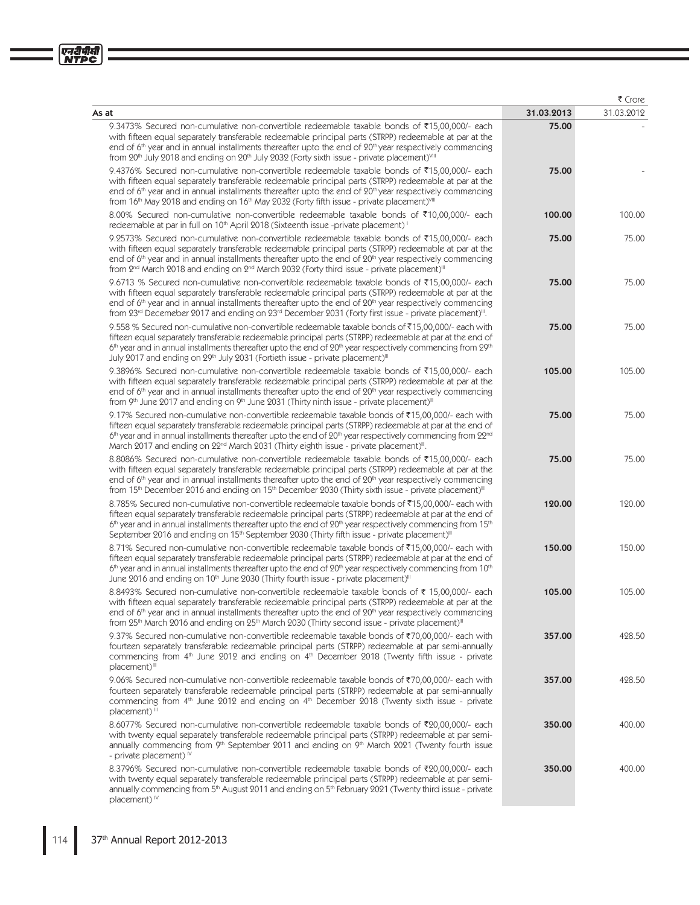| an i<br>, . <b></b><br>с<br>c |  |
|-------------------------------|--|
|                               |  |

|                                                                                                                                                                                                                                                                                                                                                                                                                                                                    |            | ₹ Crore    |
|--------------------------------------------------------------------------------------------------------------------------------------------------------------------------------------------------------------------------------------------------------------------------------------------------------------------------------------------------------------------------------------------------------------------------------------------------------------------|------------|------------|
| As at                                                                                                                                                                                                                                                                                                                                                                                                                                                              | 31.03.2013 | 31.03.2012 |
| 9.3473% Secured non-cumulative non-convertible redeemable taxable bonds of ₹15,00,000/- each<br>with fifteen equal separately transferable redeemable principal parts (STRPP) redeemable at par at the<br>end of $6th$ year and in annual installments thereafter upto the end of $20th$ year respectively commencing<br>from 20 <sup>th</sup> July 2018 and ending on 20 <sup>th</sup> July 2032 (Forty sixth issue - private placement) <sup>VIII</sup>          | 75.00      |            |
| 9.4376% Secured non-cumulative non-convertible redeemable taxable bonds of ₹15,00,000/- each<br>with fifteen equal separately transferable redeemable principal parts (STRPP) redeemable at par at the<br>end of $6th$ year and in annual installments thereafter upto the end of $20th$ year respectively commencing<br>from 16 <sup>th</sup> May 2018 and ending on 16 <sup>th</sup> May 2032 (Forty fifth issue - private placement) <sup>VIII</sup>            | 75.00      |            |
| 8.00% Secured non-cumulative non-convertible redeemable taxable bonds of ₹10,00,000/- each<br>redeemable at par in full on 10 <sup>th</sup> April 2018 (Sixteenth issue -private placement) <sup>1</sup>                                                                                                                                                                                                                                                           | 100.00     | 100.00     |
| 9.2573% Secured non-cumulative non-convertible redeemable taxable bonds of ₹15,00,000/- each<br>with fifteen equal separately transferable redeemable principal parts (STRPP) redeemable at par at the<br>end of $6th$ year and in annual installments thereafter upto the end of $20th$ year respectively commencing<br>from 2 <sup>nd</sup> March 2018 and ending on 2 <sup>nd</sup> March 2032 (Forty third issue - private placement) <sup>III</sup>           | 75.00      | 75.00      |
| 9.6713 % Secured non-cumulative non-convertible redeemable taxable bonds of ₹15,00,000/- each<br>with fifteen equal separately transferable redeemable principal parts (STRPP) redeemable at par at the<br>end of $6th$ year and in annual installments thereafter upto the end of $20th$ year respectively commencing<br>from 23rd Decemeber 2017 and ending on 23rd December 2031 (Forty first issue - private placement)".                                      | 75.00      | 75.00      |
| 9.558 % Secured non-cumulative non-convertible redeemable taxable bonds of ₹15,00,000/- each with<br>fifteen equal separately transferable redeemable principal parts (STRPP) redeemable at par at the end of<br>$6th$ year and in annual installments thereafter upto the end of $20th$ year respectively commencing from $29th$<br>July 2017 and ending on 29 <sup>th</sup> July 2031 (Fortieth issue - private placement) <sup>III</sup>                        | 75.00      | 75.00      |
| 9.3896% Secured non-cumulative non-convertible redeemable taxable bonds of ₹15,00,000/- each<br>with fifteen equal separately transferable redeemable principal parts (STRPP) redeemable at par at the<br>end of $6th$ year and in annual installments thereafter upto the end of $20th$ year respectively commencing<br>from 9th June 2017 and ending on 9th June 2031 (Thirty ninth issue - private placement) <sup>III</sup>                                    | 105.00     | 105.00     |
| 9.17% Secured non-cumulative non-convertible redeemable taxable bonds of ₹15,00,000/- each with<br>fifteen equal separately transferable redeemable principal parts (STRPP) redeemable at par at the end of<br>$6th$ year and in annual installments thereafter upto the end of $20th$ year respectively commencing from $22nd$<br>March 2017 and ending on 22 <sup>nd</sup> March 2031 (Thirty eighth issue - private placement) <sup>II</sup> .                  | 75.00      | 75.00      |
| 8.8086% Secured non-cumulative non-convertible redeemable taxable bonds of ₹15,00,000/- each<br>with fifteen equal separately transferable redeemable principal parts (STRPP) redeemable at par at the<br>end of $6th$ year and in annual installments thereafter upto the end of $20th$ year respectively commencing<br>from 15 <sup>th</sup> December 2016 and ending on 15 <sup>th</sup> December 2030 (Thirty sixth issue - private placement) <sup>III</sup>  | 75.00      | 75.00      |
| 8.785% Secured non-cumulative non-convertible redeemable taxable bonds of ₹15,00,000/- each with<br>fifteen equal separately transferable redeemable principal parts (STRPP) redeemable at par at the end of<br>$6th$ year and in annual installments thereafter upto the end of $20th$ year respectively commencing from 15 <sup>th</sup><br>September 2016 and ending on 15 <sup>th</sup> September 2030 (Thirty fifth issue - private placement) <sup>III</sup> | 120.00     | 120.00     |
| 8.71% Secured non-cumulative non-convertible redeemable taxable bonds of ₹15,00,000/- each with<br>fifteen equal separately transferable redeemable principal parts (STRPP) redeemable at par at the end of<br>$6th$ year and in annual installments thereafter upto the end of $20th$ year respectively commencing from $10th$<br>June 2016 and ending on 10 <sup>th</sup> June 2030 (Thirty fourth issue - private placement) <sup>III</sup>                     | 150.00     | 150.00     |
| 8.8493% Secured non-cumulative non-convertible redeemable taxable bonds of ₹ 15,00,000/- each<br>with fifteen equal separately transferable redeemable principal parts (STRPP) redeemable at par at the<br>end of $6th$ year and in annual installments thereafter upto the end of $20th$ year respectively commencing<br>from 25th March 2016 and ending on 25th March 2030 (Thirty second issue - private placement) <sup>III</sup>                              | 105.00     | 105.00     |
| 9.37% Secured non-cumulative non-convertible redeemable taxable bonds of ₹70,00,000/- each with<br>fourteen separately transferable redeemable principal parts (STRPP) redeemable at par semi-annually<br>commencing from $4th$ June 2012 and ending on $4th$ December 2018 (Twenty fifth issue - private<br>placement) <sup>III</sup>                                                                                                                             | 357.00     | 428.50     |
| 9.06% Secured non-cumulative non-convertible redeemable taxable bonds of ₹70,00,000/- each with<br>fourteen separately transferable redeemable principal parts (STRPP) redeemable at par semi-annually<br>commencing from 4 <sup>th</sup> June 2012 and ending on 4 <sup>th</sup> December 2018 (Twenty sixth issue - private<br>placement) <sup>iii</sup>                                                                                                         | 357.00     | 428.50     |
| 8.6077% Secured non-cumulative non-convertible redeemable taxable bonds of ₹20,00,000/- each<br>with twenty equal separately transferable redeemable principal parts (STRPP) redeemable at par semi-<br>annually commencing from 9th September 2011 and ending on 9th March 2021 (Twenty fourth issue<br>- private placement) $\mathbb{V}$                                                                                                                         | 350.00     | 400.00     |
| 8.3796% Secured non-cumulative non-convertible redeemable taxable bonds of ₹20,00,000/- each<br>with twenty equal separately transferable redeemable principal parts (STRPP) redeemable at par semi-<br>annually commencing from 5 <sup>th</sup> August 2011 and ending on 5 <sup>th</sup> February 2021 (Twenty third issue - private                                                                                                                             | 350.00     | 400.00     |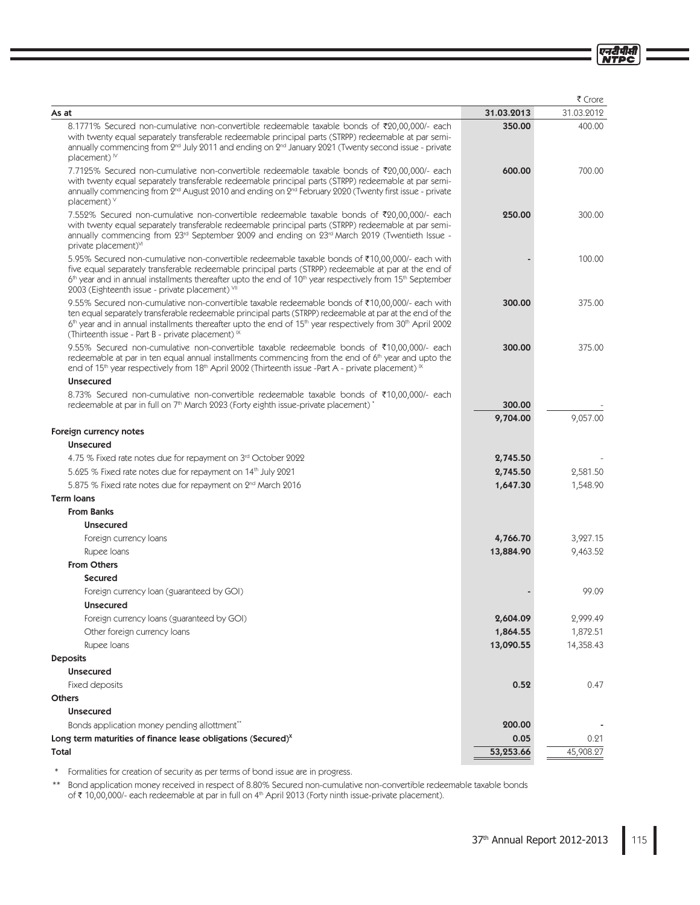एनदीपीसी

|                                                                                                                                                                                                                                                                                                                                                                                                                     |                    | ₹ Crore    |
|---------------------------------------------------------------------------------------------------------------------------------------------------------------------------------------------------------------------------------------------------------------------------------------------------------------------------------------------------------------------------------------------------------------------|--------------------|------------|
| As at                                                                                                                                                                                                                                                                                                                                                                                                               | 31.03.2013         | 31.03.2012 |
| 8.1771% Secured non-cumulative non-convertible redeemable taxable bonds of ₹20,00,000/- each<br>with twenty equal separately transferable redeemable principal parts (STRPP) redeemable at par semi-<br>annually commencing from 2 <sup>nd</sup> July 2011 and ending on 2 <sup>nd</sup> January 2021 (Twenty second issue - private<br>placement) <sup>1V</sup>                                                    | 350.00             | 400.00     |
| 7.7125% Secured non-cumulative non-convertible redeemable taxable bonds of ₹20,00,000/- each<br>with twenty equal separately transferable redeemable principal parts (STRPP) redeemable at par semi-<br>annually commencing from 2 <sup>nd</sup> August 2010 and ending on 2 <sup>nd</sup> February 2020 (Twenty first issue - private<br>placement) $V$                                                            | 600.00             | 700.00     |
| 7.552% Secured non-cumulative non-convertible redeemable taxable bonds of ₹20,00,000/- each<br>with twenty equal separately transferable redeemable principal parts (STRPP) redeemable at par semi-<br>annually commencing from 23rd September 2009 and ending on 23rd March 2019 (Twentieth Issue -<br>private placement) <sup>VI</sup>                                                                            | 250.00             | 300.00     |
| 5.95% Secured non-cumulative non-convertible redeemable taxable bonds of ₹10,00,000/- each with<br>five equal separately transferable redeemable principal parts (STRPP) redeemable at par at the end of<br>6 <sup>th</sup> year and in annual installments thereafter upto the end of 10 <sup>th</sup> year respectively from 15 <sup>th</sup> September<br>2003 (Eighteenth issue - private placement) VII        |                    | 100.00     |
| 9.55% Secured non-cumulative non-convertible taxable redeemable bonds of ₹10,00,000/- each with<br>ten equal separately transferable redeemable principal parts (STRPP) redeemable at par at the end of the<br>6 <sup>th</sup> year and in annual installments thereafter upto the end of 15 <sup>th</sup> year respectively from 30 <sup>th</sup> April 2002<br>(Thirteenth issue - Part B - private placement) IX | 300.00             | 375.00     |
| 9.55% Secured non-cumulative non-convertible taxable redeemable bonds of ₹10,00,000/- each<br>redeemable at par in ten equal annual installments commencing from the end of 6 <sup>th</sup> year and upto the<br>end of 15 <sup>th</sup> year respectively from 18 <sup>th</sup> April 2002 (Thirteenth issue -Part A - private placement) <sup>IX</sup>                                                            | 300.00             | 375.00     |
| <b>Unsecured</b>                                                                                                                                                                                                                                                                                                                                                                                                    |                    |            |
| 8.73% Secured non-cumulative non-convertible redeemable taxable bonds of ₹10,00,000/- each<br>redeemable at par in full on 7 <sup>th</sup> March 2023 (Forty eighth issue-private placement) <sup>*</sup>                                                                                                                                                                                                           | 300.00<br>9,704.00 | 9,057.00   |
| Foreign currency notes                                                                                                                                                                                                                                                                                                                                                                                              |                    |            |
| <b>Unsecured</b>                                                                                                                                                                                                                                                                                                                                                                                                    |                    |            |
| 4.75 % Fixed rate notes due for repayment on 3 <sup>rd</sup> October 2022                                                                                                                                                                                                                                                                                                                                           | 2,745.50           |            |
| 5.625 % Fixed rate notes due for repayment on 14 <sup>th</sup> July 2021                                                                                                                                                                                                                                                                                                                                            | 2,745.50           | 2,581.50   |
| 5.875 % Fixed rate notes due for repayment on 2 <sup>nd</sup> March 2016                                                                                                                                                                                                                                                                                                                                            | 1,647.30           | 1,548.90   |
| <b>Term loans</b>                                                                                                                                                                                                                                                                                                                                                                                                   |                    |            |
| <b>From Banks</b>                                                                                                                                                                                                                                                                                                                                                                                                   |                    |            |
| <b>Unsecured</b>                                                                                                                                                                                                                                                                                                                                                                                                    |                    |            |
| Foreign currency loans                                                                                                                                                                                                                                                                                                                                                                                              | 4,766.70           | 3,927.15   |
| Rupee Ioans                                                                                                                                                                                                                                                                                                                                                                                                         | 13,884.90          | 9,463.52   |
| <b>From Others</b>                                                                                                                                                                                                                                                                                                                                                                                                  |                    |            |
| <b>Secured</b>                                                                                                                                                                                                                                                                                                                                                                                                      |                    |            |
| Foreign currency loan (guaranteed by GOI)                                                                                                                                                                                                                                                                                                                                                                           |                    | 99.09      |
| <b>Unsecured</b>                                                                                                                                                                                                                                                                                                                                                                                                    |                    |            |
| Foreign currency loans (guaranteed by GOI)                                                                                                                                                                                                                                                                                                                                                                          | 2,604.09           | 2,999.49   |
| Other foreign currency loans                                                                                                                                                                                                                                                                                                                                                                                        | 1,864.55           | 1,872.51   |
| Rupee Ioans                                                                                                                                                                                                                                                                                                                                                                                                         | 13,090.55          | 14,358.43  |
| <b>Deposits</b>                                                                                                                                                                                                                                                                                                                                                                                                     |                    |            |
| <b>Unsecured</b>                                                                                                                                                                                                                                                                                                                                                                                                    |                    |            |
| Fixed deposits                                                                                                                                                                                                                                                                                                                                                                                                      | 0.52               | 0.47       |
| <b>Others</b>                                                                                                                                                                                                                                                                                                                                                                                                       |                    |            |
| <b>Unsecured</b>                                                                                                                                                                                                                                                                                                                                                                                                    |                    |            |
| Bonds application money pending allottment**                                                                                                                                                                                                                                                                                                                                                                        | 200.00             |            |
| Long term maturities of finance lease obligations (Secured) <sup>x</sup>                                                                                                                                                                                                                                                                                                                                            | 0.05               | 0.21       |
| <b>Total</b>                                                                                                                                                                                                                                                                                                                                                                                                        | 53,253.66          | 45,908.27  |

\* Formalities for creation of security as per terms of bond issue are in progress.

\*\* Bond application money received in respect of 8.80% Secured non-cumulative non-convertible redeemable taxable bonds<br>of ₹ 10,00,000/- each redeemable at par in full on 4<sup>th</sup> April 2013 (Forty ninth issue-private placeme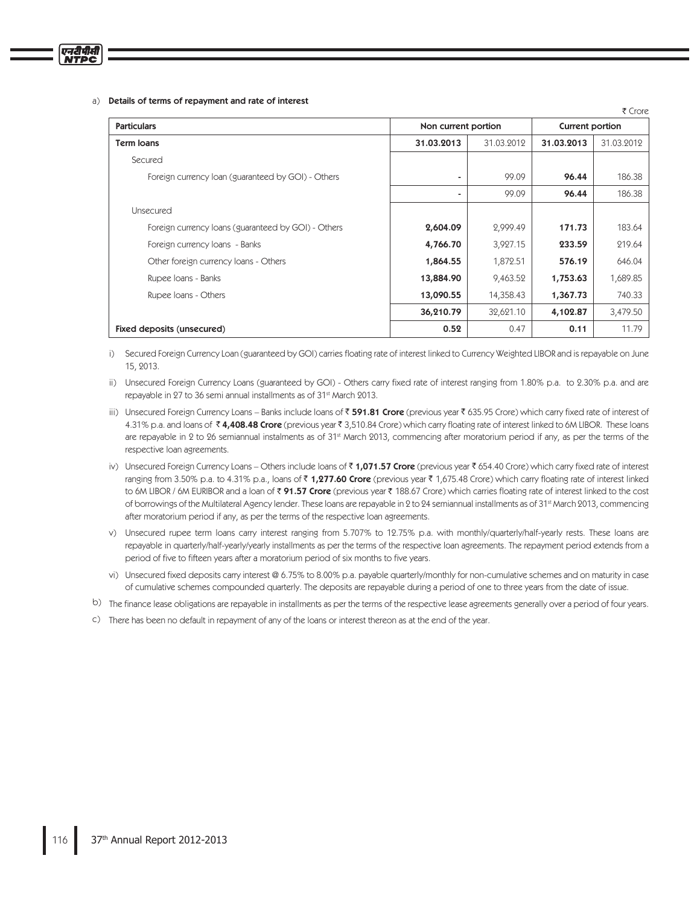### a) Details of terms of repayment and rate of interest

|                                                     |            |                     |            | ₹ Crore         |  |
|-----------------------------------------------------|------------|---------------------|------------|-----------------|--|
| <b>Particulars</b>                                  |            | Non current portion |            | Current portion |  |
| <b>Term loans</b>                                   | 31.03.2013 | 31.03.2012          | 31.03.2013 | 31.03.2012      |  |
| Secured                                             |            |                     |            |                 |  |
| Foreign currency loan (guaranteed by GOI) - Others  | ۰          | 99.09               | 96.44      | 186.38          |  |
|                                                     | ۰          | 99.09               | 96.44      | 186.38          |  |
| Unsecured                                           |            |                     |            |                 |  |
| Foreign currency loans (guaranteed by GOI) - Others | 2,604.09   | 2,999.49            | 171.73     | 183.64          |  |
| Foreign currency loans - Banks                      | 4,766.70   | 3,927.15            | 233.59     | 219.64          |  |
| Other foreign currency loans - Others               | 1,864.55   | 1,872.51            | 576.19     | 646.04          |  |
| Rupee Ioans - Banks                                 | 13,884.90  | 9,463.52            | 1,753.63   | 1,689.85        |  |
| Rupee Ioans - Others                                | 13,090.55  | 14,358.43           | 1,367.73   | 740.33          |  |
|                                                     | 36,210.79  | 32,621.10           | 4,102.87   | 3,479.50        |  |
| Fixed deposits (unsecured)                          | 0.52       | 0.47                | 0.11       | 11.79           |  |

i) Secured Foreign Currency Loan (guaranteed by GOI) carries floating rate of interest linked to Currency Weighted LIBOR and is repayable on June 15, 2013.

ii) Unsecured Foreign Currency Loans (guaranteed by GOI) - Others carry fixed rate of interest ranging from 1.80% p.a. to 2.30% p.a. and are repayable in 27 to 36 semi annual installments as of 31<sup>st</sup> March 2013.

- iii) Unsecured Foreign Currency Loans Banks include Ioans of ₹ **591.81 Crore** (previous year ₹ 635.95 Crore) which carry fixed rate of interest of 4.31% p.a. and loans of ₹**4,408.48 Crore** (previous year ₹ 3,510.84 Crore) which carry floating rate of interest linked to 6M LIBOR. These loans are repayable in 2 to 26 semiannual instalments as of 31<sup>st</sup> March 2013, commencing after moratorium period if any, as per the terms of the respective loan agreements.
- iv) Unsecured Foreign Currency Loans Others include Ioans of₹**1,071.57 Crore** (previous year₹654.40 Crore) which carry fixed rate of interest ranging from 3.50% p.a. to 4.31% p.a., Ioans of ₹ **1,277.60 Crore** (previous year ₹ 1,675.48 Crore) which carry floating rate of interest linked to 6M LIBOR / 6M EURIBOR and a loan of ₹ **91.57 Crore** (previous year ₹ 188.67 Crore) which carries floating rate of interest linked to the cost of borrowings of the Multilateral Agency lender. These Ioans are repayable in 2 to 24 semiannual installments as of 31<sup>st</sup> March 2013, commencing after moratorium period if any, as per the terms of the respective loan agreements.
- v) Unsecured rupee term loans carry interest ranging from 5.707% to 12.75% p.a. with monthly/quarterly/half-yearly rests. These loans are repayable in quarterly/half-yearly/yearly installments as per the terms of the respective loan agreements. The repayment period extends from a period of five to fifteen years after a moratorium period of six months to five years.
- vi) Unsecured fixed deposits carry interest @ 6.75% to 8.00% p.a. payable quarterly/monthly for non-cumulative schemes and on maturity in case of cumulative schemes compounded quarterly. The deposits are repayable during a period of one to three years from the date of issue.
- b) The finance lease obligations are repayable in installments as per the terms of the respective lease agreements generally over a period of four years.
- c) There has been no default in repayment of any of the loans or interest thereon as at the end of the year.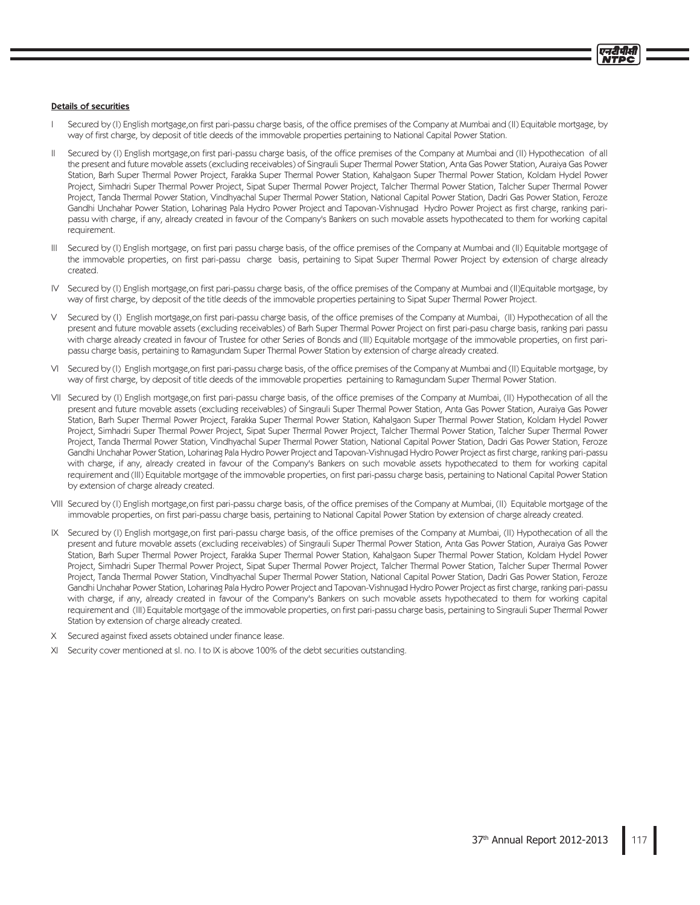### **Details of securities**

- Secured by (I) English mortgage, on first pari-passu charge basis, of the office premises of the Company at Mumbai and (II) Equitable mortgage, by T way of first charge, by deposit of title deeds of the immovable properties pertaining to National Capital Power Station.
- Secured by (I) English mortgage,on first pari-passu charge basis, of the office premises of the Company at Mumbai and (II) Hypothecation of all Ш the present and future movable assets (excluding receivables) of Singrauli Super Thermal Power Station, Anta Gas Power Station, Auraiya Gas Power Station, Barh Super Thermal Power Project, Farakka Super Thermal Power Station, Kahalgaon Super Thermal Power Station, Koldam Hydel Power Project, Simhadri Super Thermal Power Project, Sipat Super Thermal Power Project, Talcher Thermal Power Station, Talcher Super Thermal Power Project, Tanda Thermal Power Station, Vindhyachal Super Thermal Power Station, National Capital Power Station, Dadri Gas Power Station, Feroze Gandhi Unchahar Power Station, Loharinag Pala Hydro Power Project and Tapovan-Vishnugad Hydro Power Project as first charge, ranking paripassu with charge, if any, already created in favour of the Company's Bankers on such movable assets hypothecated to them for working capital requirement.
- Secured by (I) English mortgage, on first pari passu charge basis, of the office premises of the Company at Mumbai and (II) Equitable mortgage of Ш the immovable properties, on first pari-passu charge basis, pertaining to Sipat Super Thermal Power Project by extension of charge already created
- Secured by (I) English mortgage, on first pari-passu charge basis, of the office premises of the Company at Mumbai and (II)Equitable mortgage, by IV. way of first charge, by deposit of the title deeds of the immovable properties pertaining to Sipat Super Thermal Power Project.
- V Secured by (I) English mortgage,on first pari-passu charge basis, of the office premises of the Company at Mumbai, (II) Hypothecation of all the present and future movable assets (excluding receivables) of Barh Super Thermal Power Project on first pari-pasu charge basis, ranking pari passu with charge already created in favour of Trustee for other Series of Bonds and (III) Equitable mortgage of the immovable properties, on first paripassu charge basis, pertaining to Ramagundam Super Thermal Power Station by extension of charge already created.
- VI Secured by (I) English mortgage, on first pari-passu charge basis, of the office premises of the Company at Mumbai and (II) Equitable mortgage, by way of first charge, by deposit of title deeds of the immovable properties pertaining to Ramagundam Super Thermal Power Station.
- VII Secured by (I) English mortgage,on first pari-passu charge basis, of the office premises of the Company at Mumbai, (II) Hypothecation of all the present and future movable assets (excluding receivables) of Singrauli Super Thermal Power Station, Anta Gas Power Station, Auraiya Gas Power Station, Barh Super Thermal Power Project, Farakka Super Thermal Power Station, Kahalgaon Super Thermal Power Station, Koldam Hydel Power Project, Simhadri Super Thermal Power Project, Sipat Super Thermal Power Project, Talcher Thermal Power Station, Talcher Super Thermal Power Project, Tanda Thermal Power Station, Vindhyachal Super Thermal Power Station, National Capital Power Station, Dadri Gas Power Station, Feroze Gandhi Unchahar Power Station, Loharinag Pala Hydro Power Project and Tapovan-Vishnugad Hydro Power Project as first charge, ranking pari-passu with charge, if any, already created in favour of the Company's Bankers on such movable assets hypothecated to them for working capital requirement and (III) Equitable mortgage of the immovable properties, on first pari-passu charge basis, pertaining to National Capital Power Station by extension of charge already created.
- VIII Secured by (I) English mortgage,on first pari-passu charge basis, of the office premises of the Company at Mumbai, (II) Equitable mortgage of the immovable properties, on first pari-passu charge basis, pertaining to National Capital Power Station by extension of charge already created.
- IX Secured by (I) English mortgage,on first pari-passu charge basis, of the office premises of the Company at Mumbai, (II) Hypothecation of all the present and future movable assets (excluding receivables) of Singrauli Super Thermal Power Station, Anta Gas Power Station, Auraiya Gas Power Station, Barh Super Thermal Power Project, Farakka Super Thermal Power Station, Kahalgaon Super Thermal Power Station, Koldam Hydel Power Project, Simhadri Super Thermal Power Project, Sipat Super Thermal Power Project, Talcher Thermal Power Station, Talcher Super Thermal Power Project, Tanda Thermal Power Station, Vindhyachal Super Thermal Power Station, National Capital Power Station, Dadri Gas Power Station, Feroze Gandhi Unchahar Power Station, Loharinag Pala Hydro Power Project and Tapovan-Vishnugad Hydro Power Project as first charge, ranking pari-passu with charge, if any, already created in favour of the Company's Bankers on such movable assets hypothecated to them for working capital requirement and (III) Equitable mortgage of the immovable properties, on first pari-passu charge basis, pertaining to Singrauli Super Thermal Power Station by extension of charge already created.
- Secured against fixed assets obtained under finance lease.
- $X \cup$ Security cover mentioned at sl. no. I to IX is above 100% of the debt securities outstanding.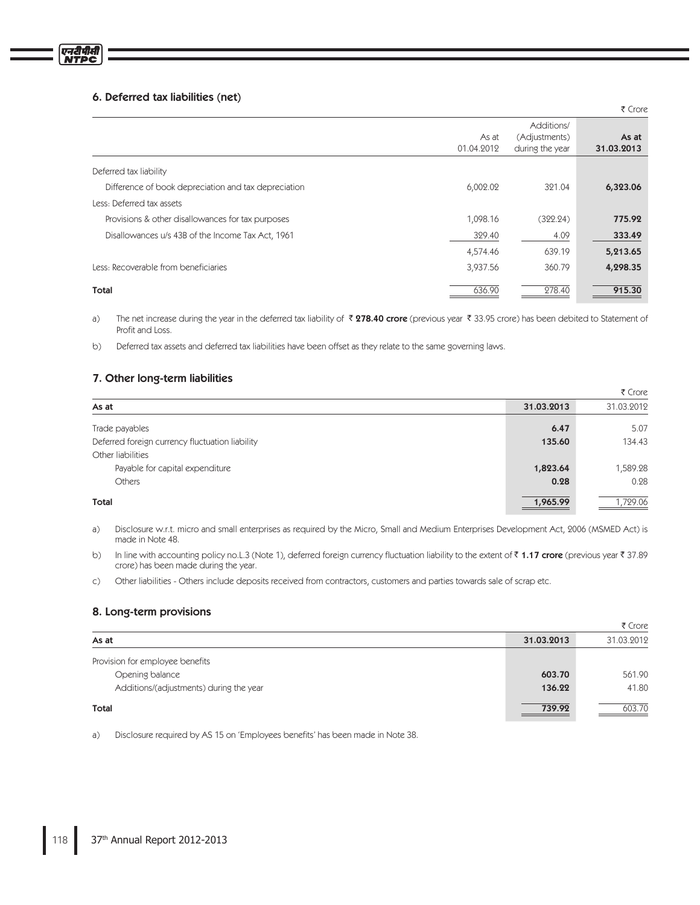# 6. Deferred tax liabilities (net)

|                                                      |                     |                                                | ₹ Crore             |
|------------------------------------------------------|---------------------|------------------------------------------------|---------------------|
|                                                      | As at<br>01.04.2012 | Additions/<br>(Adjustments)<br>during the year | As at<br>31.03.2013 |
| Deferred tax liability                               |                     |                                                |                     |
| Difference of book depreciation and tax depreciation | 6,002.02            | 321.04                                         | 6,323.06            |
| Less: Deferred tax assets                            |                     |                                                |                     |
| Provisions & other disallowances for tax purposes    | 1,098.16            | (322.24)                                       | 775.92              |
| Disallowances u/s 43B of the Income Tax Act, 1961    | 329.40              | 4.09                                           | 333.49              |
|                                                      | 4,574.46            | 639.19                                         | 5,213.65            |
| Less: Recoverable from beneficiaries                 | 3,937.56            | 360.79                                         | 4,298.35            |
| <b>Total</b>                                         | 636.90              | 278.40                                         | 915.30              |

 $a)$ The net increase during the year in the deferred tax liability of  $\bar{\bar{\tau}}$  **278.40 crore** (previous year  $\bar{\bar{\tau}}$  33.95 crore) has been debited to Statement of Profit and Loss.

 $b)$ Deferred tax assets and deferred tax liabilities have been offset as they relate to the same governing laws.

# 7. Other long-term liabilities

|                                                 |            | ₹ Crore    |
|-------------------------------------------------|------------|------------|
| As at                                           | 31.03.2013 | 31.03.2012 |
| Trade payables                                  | 6.47       | 5.07       |
| Deferred foreign currency fluctuation liability | 135.60     | 134.43     |
| Other liabilities                               |            |            |
| Payable for capital expenditure                 | 1,823.64   | 1,589.28   |
| <b>Others</b>                                   | 0.28       | 0.28       |
| Total                                           | 1,965.99   | 1,729.06   |

 $a)$ Disclosure w.r.t. micro and small enterprises as required by the Micro, Small and Medium Enterprises Development Act, 2006 (MSMED Act) is made in Note 48.

 $b)$ In line with accounting policy no.L.3 (Note 1), deferred foreign currency fluctuation liability to the extent of ₹ 1**.17 crore** (previous year ₹ 37.89 crore) has been made during the year.

 $\mathsf{C}$ Other liabilities - Others include deposits received from contractors, customers and parties towards sale of scrap etc.

# 8. Long-term provisions

|                                         |            | ₹ Crore    |
|-----------------------------------------|------------|------------|
| As at                                   | 31.03.2013 | 31.03.2012 |
| Provision for employee benefits         |            |            |
| Opening balance                         | 603.70     | 561.90     |
| Additions/(adjustments) during the year | 136.22     | 41.80      |
| Total                                   | 739.92     | 603.70     |

 $a)$ Disclosure required by AS 15 on 'Employees benefits' has been made in Note 38.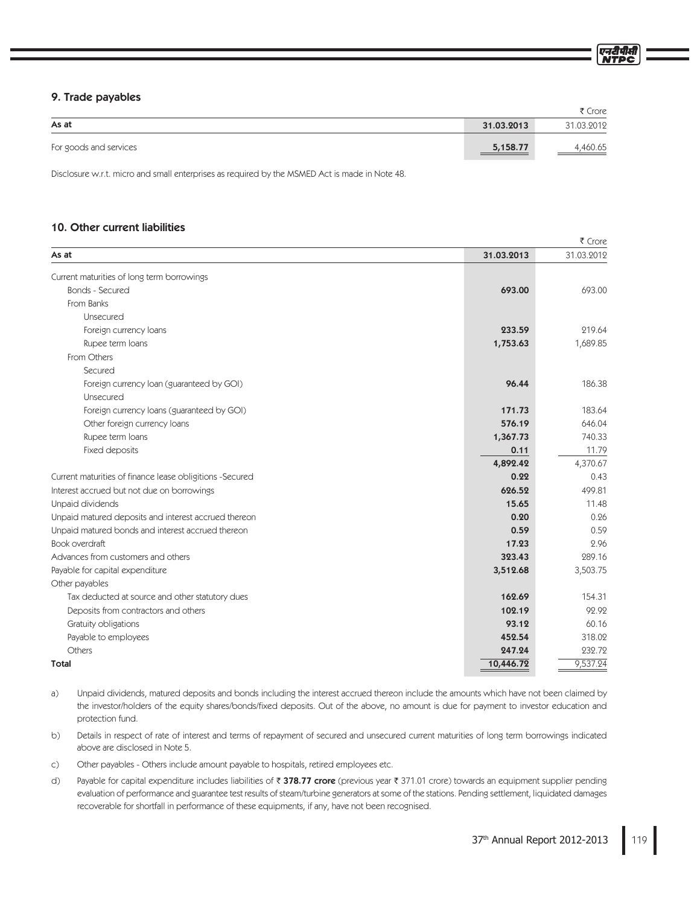|                        |            | ₹ Crore    |
|------------------------|------------|------------|
| As at                  | 31.03.2013 | 31.03.2012 |
| For goods and services | 5,158.77   | ,460.65    |

Disclosure w.r.t. micro and small enterprises as required by the MSMED Act is made in Note 48.

# 10. Other current liabilities

9. Trade payables

| As at                                                    | 31.03.2013 | 31.03.2012 |  |  |  |
|----------------------------------------------------------|------------|------------|--|--|--|
| Current maturities of long term borrowings               |            |            |  |  |  |
| Bonds - Secured                                          | 693.00     | 693.00     |  |  |  |
| From Banks                                               |            |            |  |  |  |
| Unsecured                                                |            |            |  |  |  |
| Foreign currency loans                                   | 233.59     | 219.64     |  |  |  |
| Rupee term loans                                         | 1,753.63   | 1,689.85   |  |  |  |
| From Others                                              |            |            |  |  |  |
| Secured                                                  |            |            |  |  |  |
| Foreign currency loan (guaranteed by GOI)                | 96.44      | 186.38     |  |  |  |
| Unsecured                                                |            |            |  |  |  |
| Foreign currency loans (guaranteed by GOI)               | 171.73     | 183.64     |  |  |  |
| Other foreign currency loans                             | 576.19     | 646.04     |  |  |  |
| Rupee term loans                                         | 1,367.73   | 740.33     |  |  |  |
| Fixed deposits                                           | 0.11       | 11.79      |  |  |  |
|                                                          | 4,892.42   | 4,370.67   |  |  |  |
| Current maturities of finance lease obligitions -Secured | 0.22       | 0.43       |  |  |  |
| Interest accrued but not due on borrowings               | 626.52     | 499.81     |  |  |  |
| Unpaid dividends                                         | 15.65      | 11.48      |  |  |  |
| Unpaid matured deposits and interest accrued thereon     | 0.20       | 0.26       |  |  |  |
| Unpaid matured bonds and interest accrued thereon        | 0.59       | 0.59       |  |  |  |
| Book overdraft                                           | 17.23      | 2.96       |  |  |  |
| Advances from customers and others                       | 323.43     | 289.16     |  |  |  |
| Payable for capital expenditure                          | 3,512.68   | 3,503.75   |  |  |  |
| Other payables                                           |            |            |  |  |  |
| Tax deducted at source and other statutory dues          | 162.69     | 154.31     |  |  |  |
| Deposits from contractors and others                     | 102.19     | 92.92      |  |  |  |
| Gratuity obligations                                     | 93.12      | 60.16      |  |  |  |
| Payable to employees                                     | 452.54     | 318.02     |  |  |  |
| Others                                                   | 247.24     | 232.72     |  |  |  |
| Total                                                    | 10,446.72  | 9,537.24   |  |  |  |

 $a)$ Unpaid dividends, matured deposits and bonds including the interest accrued thereon include the amounts which have not been claimed by the investor/holders of the equity shares/bonds/fixed deposits. Out of the above, no amount is due for payment to investor education and protection fund.

 $b)$ Details in respect of rate of interest and terms of repayment of secured and unsecured current maturities of long term borrowings indicated above are disclosed in Note 5.

C) Other payables - Others include amount payable to hospitals, retired employees etc.

d) Payable for capital expenditure includes liabilities of ₹ **378.77 crore** (previous year ₹ 371.01 crore) towards an equipment supplier pending evaluation of performance and guarantee test results of steam/turbine generators at some of the stations. Pending settlement, liquidated damages recoverable for shortfall in performance of these equipments, if any, have not been recognised.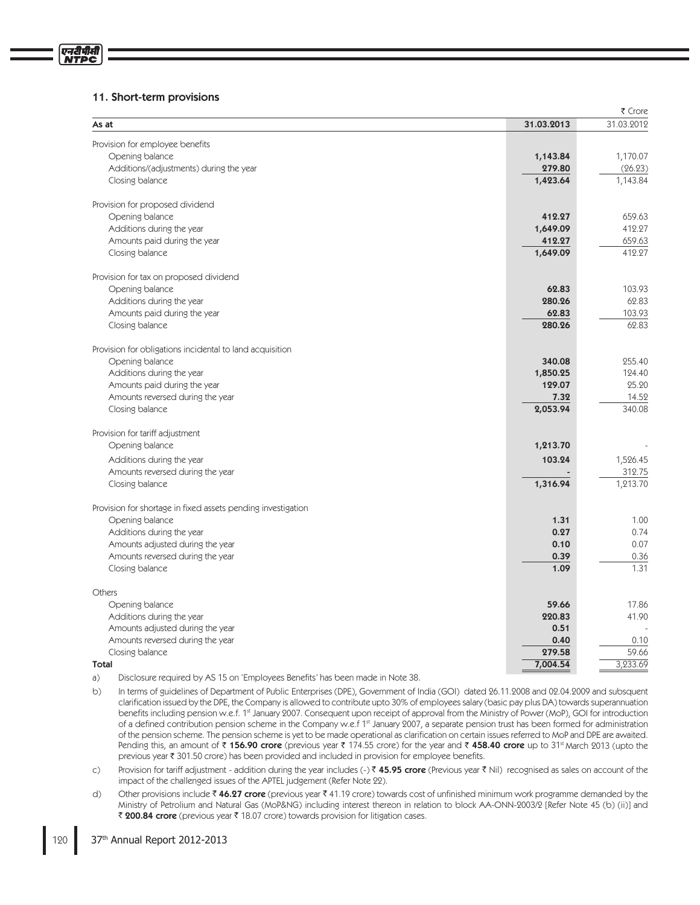# 11. Short-term provisions

| As at                                                                                        | 31.03.2013         | 31.03.2012    |  |  |
|----------------------------------------------------------------------------------------------|--------------------|---------------|--|--|
| Provision for employee benefits                                                              |                    |               |  |  |
| Opening balance                                                                              | 1,143.84           | 1,170.07      |  |  |
| Additions/(adjustments) during the year                                                      | 279.80             | (26.23)       |  |  |
| Closing balance                                                                              | 1,423.64           | 1,143.84      |  |  |
| Provision for proposed dividend                                                              |                    |               |  |  |
| Opening balance                                                                              | 412.27             | 659.63        |  |  |
| Additions during the year                                                                    | 1,649.09           | 412.27        |  |  |
| Amounts paid during the year                                                                 | 412.27             | 659.63        |  |  |
| Closing balance                                                                              | 1,649.09           | 412.27        |  |  |
| Provision for tax on proposed dividend                                                       |                    |               |  |  |
| Opening balance                                                                              | 62.83              | 103.93        |  |  |
| Additions during the year                                                                    | 280.26             | 62.83         |  |  |
| Amounts paid during the year                                                                 | 62.83              | 103.93        |  |  |
| Closing balance                                                                              | 280.26             | 62.83         |  |  |
| Provision for obligations incidental to land acquisition                                     |                    |               |  |  |
| Opening balance                                                                              | 340.08             | 255.40        |  |  |
| Additions during the year                                                                    | 1,850.25           | 124.40        |  |  |
| Amounts paid during the year                                                                 | 129.07             | 25.20         |  |  |
| Amounts reversed during the year                                                             | 7.32               | 14.52         |  |  |
| Closing balance                                                                              | 2,053.94           | 340.08        |  |  |
| Provision for tariff adjustment                                                              |                    |               |  |  |
| Opening balance                                                                              | 1,213.70           |               |  |  |
| Additions during the year                                                                    | 103.24             | 1,526.45      |  |  |
| Amounts reversed during the year                                                             |                    | 312.75        |  |  |
| Closing balance                                                                              | 1,316.94           | 1,213.70      |  |  |
| Provision for shortage in fixed assets pending investigation                                 |                    |               |  |  |
| Opening balance                                                                              | 1.31               | 1.00          |  |  |
| Additions during the year                                                                    | 0.27               | 0.74          |  |  |
| Amounts adjusted during the year                                                             | 0.10               | 0.07          |  |  |
| Amounts reversed during the year                                                             | 0.39               | 0.36          |  |  |
| Closing balance                                                                              | 1.09               | 1.31          |  |  |
| Others                                                                                       |                    |               |  |  |
| Opening balance                                                                              | 59.66              | 17.86         |  |  |
| Additions during the year                                                                    | 220.83             | 41.90         |  |  |
| Amounts adjusted during the year                                                             | 0.51               |               |  |  |
| Amounts reversed during the year                                                             | 0.40               | 0.10<br>59.66 |  |  |
| Closing balance<br>Total                                                                     | 279.58<br>7,004.54 | 3,233.69      |  |  |
| Displace to sometimed by LAC 15 and Crops loves Depatite' has been mode in Note 20<br>$\sim$ |                    |               |  |  |

- a) Disclosure required by AS 15 on 'Employees Benefits' has been made in Note 38.
- $b)$ In terms of guidelines of Department of Public Enterprises (DPE), Government of India (GOI) dated 26.11.2008 and 02.04.2009 and subsquent clarification issued by the DPE, the Company is allowed to contribute upto 30% of employees salary (basic pay plus DA) towards superannuation benefits including pension w.e.f. 1st January 2007. Consequent upon receipt of approval from the Ministry of Power (MoP), GOI for introduction of a defined contribution pension scheme in the Company w.e.f 1<sup>st</sup> January 2007, a separate pension trust has been formed for administration of the pension scheme. The pension scheme is yet to be made operational as clarification on certain issues referred to MoP and DPE are awaited. Pending this, an amount of ₹ **156.90 crore** (previous year ₹ 174.55 crore) for the year and ₹ **458.40 crore** up to 31st March 2013 (upto the previous year ₹ 301.50 crore) has been provided and included in provision for employee benefits.
- $\mathsf{C}$ ) Provision for tariff adjustment - addition during the year includes (-) ₹ **45.95 crore** (Previous year ₹ Nil) recognised as sales on account of the impact of the challenged issues of the APTEL judgement (Refer Note 22).
- $d)$ Other provisions include **₹ 46.27 crore** (previous year ₹ 41.19 crore) towards cost of unfinished minimum work programme demanded by the Ministry of Petrolium and Natural Gas (MoP&NG) including interest thereon in relation to block AA-ONN-2003/2 [Refer Note 45 (b) (ii)] and ₹ 200.84 crore (previous year ₹ 18.07 crore) towards provision for litigation cases.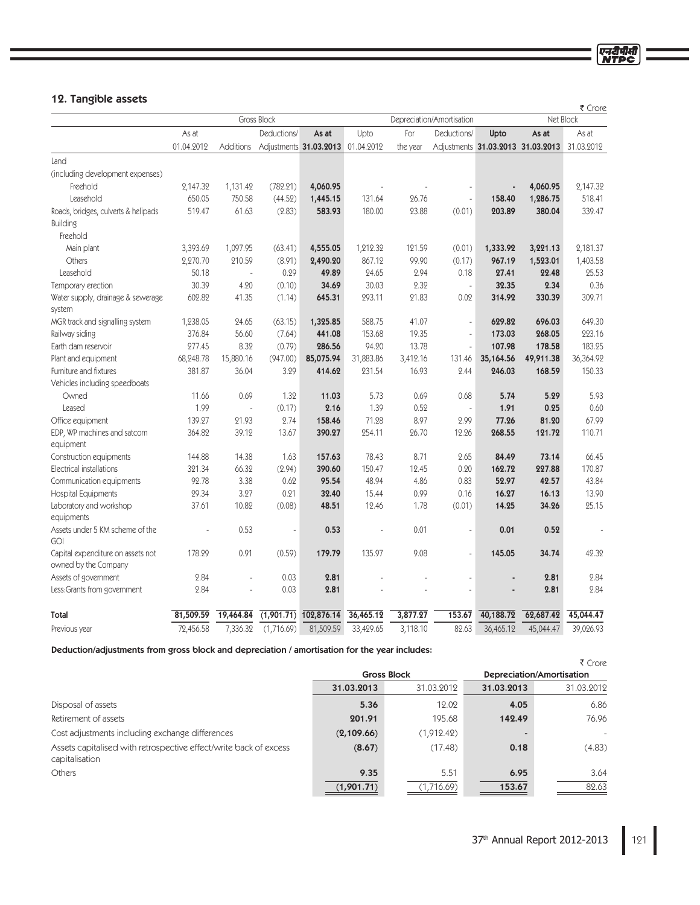# एन<u>री</u>पीसी

# 12. Tangible assets

|                                                           |            |                |             |                        |            |          |                           | ₹ Crore   |                                   |            |
|-----------------------------------------------------------|------------|----------------|-------------|------------------------|------------|----------|---------------------------|-----------|-----------------------------------|------------|
|                                                           |            |                | Gross Block |                        |            |          | Depreciation/Amortisation |           |                                   | Net Block  |
|                                                           | As at      |                | Deductions/ | As at                  | Upto       | For      | Deductions/               | Upto      | As at                             | As at      |
|                                                           | 01.04.2012 | Additions      |             | Adjustments 31.03.2013 | 01.04.2012 | the year |                           |           | Adjustments 31.03.2013 31.03.2013 | 31.03.2012 |
| Land                                                      |            |                |             |                        |            |          |                           |           |                                   |            |
| (including development expenses)                          |            |                |             |                        |            |          |                           |           |                                   |            |
| Freehold                                                  | 2,147.32   | 1,131.42       | (782.21)    | 4,060.95               |            |          |                           |           | 4,060.95                          | 2,147.32   |
| Leasehold                                                 | 650.05     | 750.58         | (44.52)     | 1,445.15               | 131.64     | 26.76    |                           | 158.40    | 1,286.75                          | 518.41     |
| Roads, bridges, culverts & helipads                       | 519.47     | 61.63          | (2.83)      | 583.93                 | 180.00     | 23.88    | (0.01)                    | 203.89    | 380.04                            | 339.47     |
| <b>Building</b>                                           |            |                |             |                        |            |          |                           |           |                                   |            |
| Freehold                                                  |            |                |             |                        |            |          |                           |           |                                   |            |
| Main plant                                                | 3,393.69   | 1,097.95       | (63.41)     | 4,555.05               | 1,212.32   | 121.59   | (0.01)                    | 1,333.92  | 3,221.13                          | 2,181.37   |
| Others                                                    | 2,270.70   | 210.59         | (8.91)      | 2,490.20               | 867.12     | 99.90    | (0.17)                    | 967.19    | 1,523.01                          | 1,403.58   |
| Leasehold                                                 | 50.18      | L              | 0.29        | 49.89                  | 24.65      | 2.94     | 0.18                      | 27.41     | 22.48                             | 25.53      |
| Temporary erection                                        | 30.39      | 4.20           | (0.10)      | 34.69                  | 30.03      | 2.32     | ÷,                        | 32.35     | 2.34                              | 0.36       |
| Water supply, drainage & sewerage                         | 602.82     | 41.35          | (1.14)      | 645.31                 | 293.11     | 21.83    | 0.02                      | 314.92    | 330.39                            | 309.71     |
| system                                                    |            |                |             |                        |            |          |                           |           |                                   |            |
| MGR track and signalling system                           | 1,238.05   | 24.65          | (63.15)     | 1,325.85               | 588.75     | 41.07    | $\overline{a}$            | 629.82    | 696.03                            | 649.30     |
| Railway siding                                            | 376.84     | 56.60          | (7.64)      | 441.08                 | 153.68     | 19.35    | $\overline{\phantom{a}}$  | 173.03    | 268.05                            | 223.16     |
| Earth dam reservoir                                       | 277.45     | 8.32           | (0.79)      | 286.56                 | 94.20      | 13.78    | L.                        | 107.98    | 178.58                            | 183.25     |
| Plant and equipment                                       | 68,248.78  | 15,880.16      | (947.00)    | 85,075.94              | 31,883.86  | 3,412.16 | 131.46                    | 35,164.56 | 49,911.38                         | 36,364.92  |
| Furniture and fixtures                                    | 381.87     | 36.04          | 3.29        | 414.62                 | 231.54     | 16.93    | 2.44                      | 246.03    | 168.59                            | 150.33     |
| Vehicles including speedboats                             |            |                |             |                        |            |          |                           |           |                                   |            |
| Owned                                                     | 11.66      | 0.69           | 1.32        | 11.03                  | 5.73       | 0.69     | 0.68                      | 5.74      | 5.29                              | 5.93       |
| Leased                                                    | 1.99       | $\overline{a}$ | (0.17)      | 2.16                   | 1.39       | 0.52     | $\overline{a}$            | 1.91      | 0.25                              | 0.60       |
| Office equipment                                          | 139.27     | 21.93          | 2.74        | 158.46                 | 71.28      | 8.97     | 2.99                      | 77.26     | 81.20                             | 67.99      |
| EDP, WP machines and satcom                               | 364.82     | 39.12          | 13.67       | 390.27                 | 254.11     | 26.70    | 12.26                     | 268.55    | 121.72                            | 110.71     |
| equipment                                                 |            |                |             |                        |            |          |                           |           |                                   |            |
| Construction equipments                                   | 144.88     | 14.38          | 1.63        | 157.63                 | 78.43      | 8.71     | 2.65                      | 84.49     | 73.14                             | 66.45      |
| Electrical installations                                  | 321.34     | 66.32          | (2.94)      | 390.60                 | 150.47     | 12.45    | 0.20                      | 162.72    | 227.88                            | 170.87     |
| Communication equipments                                  | 92.78      | 3.38           | 0.62        | 95.54                  | 48.94      | 4.86     | 0.83                      | 52.97     | 42.57                             | 43.84      |
| <b>Hospital Equipments</b>                                | 29.34      | 3.27           | 0.21        | 32.40                  | 15.44      | 0.99     | 0.16                      | 16.27     | 16.13                             | 13.90      |
| Laboratory and workshop                                   | 37.61      | 10.82          | (0.08)      | 48.51                  | 12.46      | 1.78     | (0.01)                    | 14.25     | 34.26                             | 25.15      |
| equipments                                                |            |                |             |                        |            |          |                           |           |                                   |            |
| Assets under 5 KM scheme of the<br>GOI                    |            | 0.53           |             | 0.53                   |            | 0.01     | L,                        | 0.01      | 0.52                              |            |
| Capital expenditure on assets not<br>owned by the Company | 178.29     | 0.91           | (0.59)      | 179.79                 | 135.97     | 9.08     | L,                        | 145.05    | 34.74                             | 42.32      |
| Assets of government                                      | 2.84       |                | 0.03        | 2.81                   |            |          |                           |           | 2.81                              | 2.84       |
| Less: Grants from government                              | 2.84       |                | 0.03        | 2.81                   |            |          |                           |           | 2.81                              | 2.84       |
| Total                                                     | 81,509.59  | 19,464.84      | (1,901.71)  | 102,876.14             | 36,465.12  | 3,877.27 | 153.67                    | 40,188.72 | 62,687.42                         | 45,044.47  |
| Previous year                                             | 72,456.58  | 7,336.32       | (1,716.69)  | 81,509.59              | 33,429.65  | 3,118.10 | 82.63                     | 36,465.12 | 45,044.47                         | 39,026.93  |

Deduction/adjustments from gross block and depreciation / amortisation for the year includes:

|                                                                                     |            |                    |                           | ₹ Crore    |  |  |
|-------------------------------------------------------------------------------------|------------|--------------------|---------------------------|------------|--|--|
|                                                                                     |            | <b>Gross Block</b> | Depreciation/Amortisation |            |  |  |
|                                                                                     | 31.03.2013 | 31.03.2012         | 31.03.2013                | 31.03.2012 |  |  |
| Disposal of assets                                                                  | 5.36       | 12.02              | 4.05                      | 6.86       |  |  |
| Retirement of assets                                                                | 201.91     | 195.68             | 142.49                    | 76.96      |  |  |
| Cost adjustments including exchange differences                                     | (2,109.66) | (1,912.42)         |                           | -          |  |  |
| Assets capitalised with retrospective effect/write back of excess<br>capitalisation | (8.67)     | (17.48)            | 0.18                      | (4.83)     |  |  |
| Others                                                                              | 9.35       | 5.51               | 6.95                      | 3.64       |  |  |
|                                                                                     | (1,901.71) | (1,716.69)         | 153.67                    | 82.63      |  |  |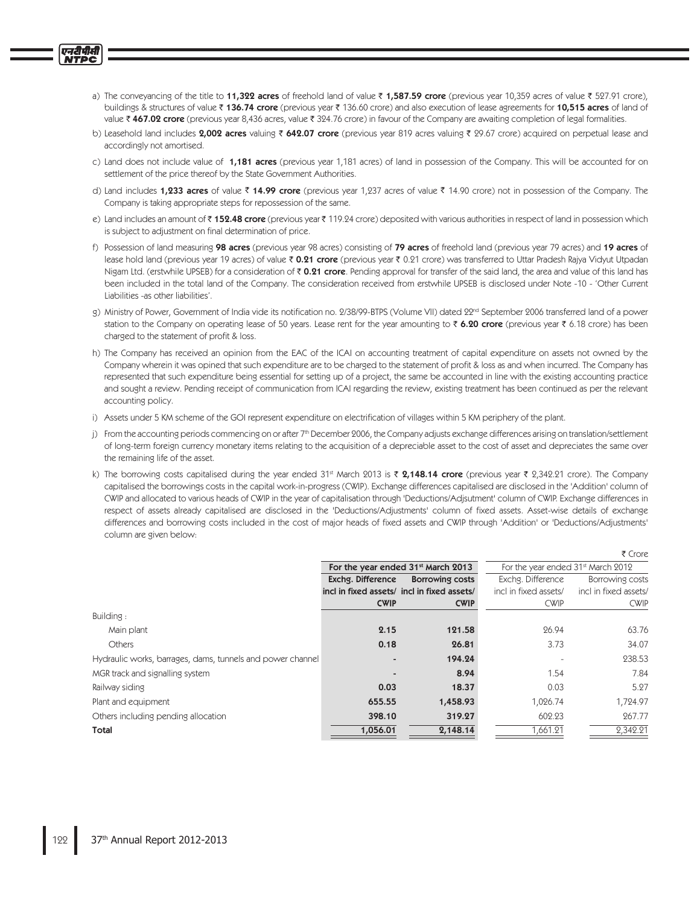- a) The conveyancing of the title to **11,322 acres** of freehold land of value ₹ **1,587.59 crore** (previous year 10,359 acres of value ₹ 527.91 crore), buildings & structures of value ₹ **136.74 crore** (previous year ₹ 136.60 crore) and also execution of lease agreements for **10,515 acres** of land of value  $\bar{\mathfrak{c}}$  **467.02 crore** (previous year 8,436 acres, value  $\bar{\mathfrak{c}}$  324.76 crore) in favour of the Company are awaiting completion of legal formalities.
- b) Leasehold land includes **2,002 acres** valuing ₹ **642.07 crore** (previous year 819 acres valuing ₹ 29.67 crore) acquired on perpetual lease and accordingly not amortised.
- c) Land does not include value of 1**,181 acres** (previous year 1,181 acres) of land in possession of the Company. This will be accounted for on settlement of the price thereof by the State Government Authorities.
- d) Land includes **1,233 acres** of value ₹ **14.99 crore** (previous year 1,237 acres of value ₹ 14.90 crore) not in possession of the Company. The Company is taking appropriate steps for repossession of the same.
- e) Land includes an amount of₹**152.48 crore** (previous year₹119.24 crore) deposited with various authorities in respect of land in possession which is subject to adjustment on final determination of price.
- f) Possession of land measuring **98 acres** (previous year 98 acres) consisting of **79 acres** of freehold land (previous year 79 acres) and **19 acres** of lease hold land (previous year 19 acres) of value ₹ 0.21 crore (previous year ₹ 0.21 crore) was transferred to Uttar Pradesh Rajya Vidyut Utpadan Nigam Ltd. (erstwhile UPSEB) for a consideration of ₹ 0.21 crore. Pending approval for transfer of the said land, the area and value of this land has been included in the total land of the Company. The consideration received from erstwhile UPSEB is disclosed under Note -10 - 'Other Current Liabilities -as other liabilities'.
- g) Ministry of Power, Government of India vide its notification no. 2/38/99-BTPS (Volume VII) dated 22<sup>nd</sup> September 2006 transferred land of a power station to the Company on operating lease of 50 years. Lease rent for the year amounting to ₹ **6.20 crore** (previous year ₹ 6.18 crore) has been charged to the statement of profit & loss.
- h) The Company has received an opinion from the EAC of the ICAI on accounting treatment of capital expenditure on assets not owned by the Company wherein it was opined that such expenditure are to be charged to the statement of profit & loss as and when incurred. The Company has represented that such expenditure being essential for setting up of a project, the same be accounted in line with the existing accounting practice and sought a review. Pending receipt of communication from ICAI regarding the review, existing treatment has been continued as per the relevant accounting policy.
- i) Assets under 5 KM scheme of the GOI represent expenditure on electrification of villages within 5 KM periphery of the plant.
- j) From the accounting periods commencing on or after 7th December 2006, the Company adjusts exchange differences arising on translation/settlement of long-term foreign currency monetary items relating to the acquisition of a depreciable asset to the cost of asset and depreciates the same over the remaining life of the asset.
- k) The borrowing costs capitalised during the year ended 31st March 2013 is ₹ **2,148.14 crore** (previous year ₹ 2,342.21 crore). The Company capitalised the borrowings costs in the capital work-in-progress (CWIP). Exchange differences capitalised are disclosed in the 'Addition' column of CWIP and allocated to various heads of CWIP in the year of capitalisation through 'Deductions/Adjsutment' column of CWIP. Exchange differences in respect of assets already capitalised are disclosed in the 'Deductions/Adjustments' column of fixed assets. Asset-wise details of exchange differences and borrowing costs included in the cost of major heads of fixed assets and CWIP through 'Addition' or 'Deductions/Adjustments' column are given below:

 $\sim$  spectrum.

|                                                            |                          |                                                |                                                | र Crore               |
|------------------------------------------------------------|--------------------------|------------------------------------------------|------------------------------------------------|-----------------------|
|                                                            |                          | For the year ended 31 <sup>st</sup> March 2013 | For the year ended 31 <sup>st</sup> March 2012 |                       |
|                                                            | Exchg. Difference        | <b>Borrowing costs</b>                         | Exchg. Difference                              | Borrowing costs       |
|                                                            |                          | incl in fixed assets/ incl in fixed assets/    | incl in fixed assets/                          | incl in fixed assets/ |
|                                                            | <b>CWIP</b>              | <b>CWIP</b>                                    | <b>CWIP</b>                                    | <b>CWIP</b>           |
| Building:                                                  |                          |                                                |                                                |                       |
| Main plant                                                 | 2.15                     | 121.58                                         | 26.94                                          | 63.76                 |
| <b>Others</b>                                              | 0.18                     | 26.81                                          | 3.73                                           | 34.07                 |
| Hydraulic works, barrages, dams, tunnels and power channel | $\blacksquare$           | 194.24                                         |                                                | 238.53                |
| MGR track and signalling system                            | $\overline{\phantom{a}}$ | 8.94                                           | 1.54                                           | 7.84                  |
| Railway siding                                             | 0.03                     | 18.37                                          | 0.03                                           | 5.27                  |
| Plant and equipment                                        | 655.55                   | 1,458.93                                       | 1,026.74                                       | 1,724.97              |
| Others including pending allocation                        | 398.10                   | 319.27                                         | 602.23                                         | 267.77                |
| Total                                                      | 1,056.01                 | 2,148.14                                       | 1,661.21                                       | 2.342.21              |
|                                                            |                          |                                                |                                                |                       |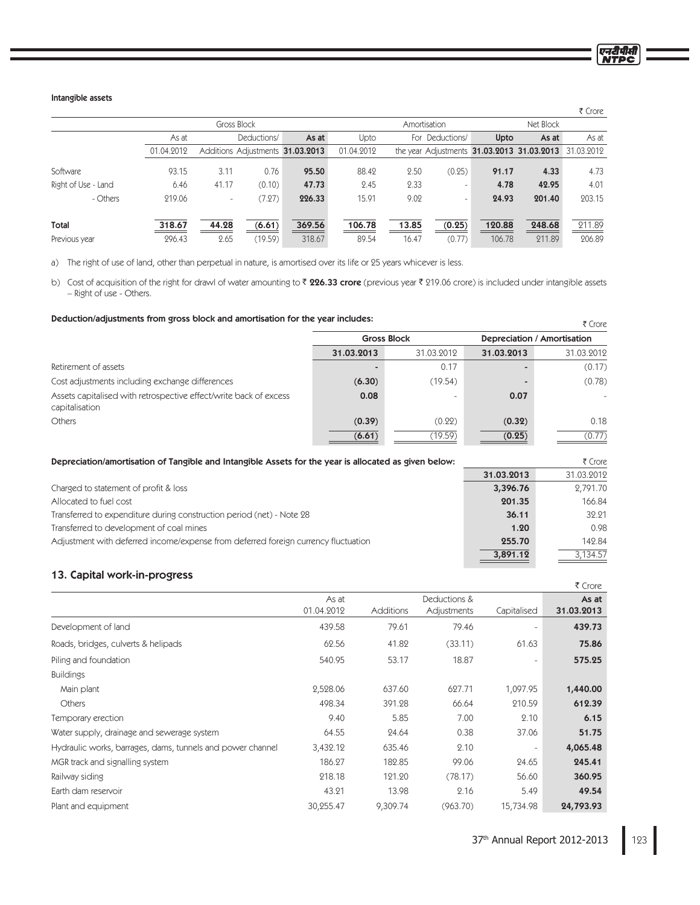एनदीपीसी

# Intangible assets

|                     |            |                          |             |                                  |            |       |                          |        |                                                       | ₹ Crore |
|---------------------|------------|--------------------------|-------------|----------------------------------|------------|-------|--------------------------|--------|-------------------------------------------------------|---------|
|                     |            |                          | Gross Block |                                  |            |       | Amortisation             |        | Net Block                                             |         |
|                     | As at      |                          | Deductions/ | As at                            | Upto       |       | For Deductions/          | Upto   | As at                                                 | As at   |
|                     | 01.04.2012 |                          |             | Additions Adjustments 31.03.2013 | 01.04.2012 |       |                          |        | the year Adjustments 31.03.2013 31.03.2013 31.03.2012 |         |
| Software            | 93.15      | 3.11                     | 0.76        | 95.50                            | 88.42      | 2.50  | (0.25)                   | 91.17  | 4.33                                                  | 4.73    |
| Right of Use - Land | 6.46       | 41.17                    | (0.10)      | 47.73                            | 2.45       | 2.33  |                          | 4.78   | 42.95                                                 | 4.01    |
| - Others            | 219.06     | $\overline{\phantom{a}}$ | (7.27)      | 226.33                           | 15.91      | 9.02  | $\overline{\phantom{a}}$ | 24.93  | 201.40                                                | 203.15  |
| Total               | 318.67     | 44.28                    | (6.61)      | 369.56                           | 106.78     | 13.85 | (0.25)                   | 120.88 | 248.68                                                | 211.89  |
| Previous year       | 296.43     | 2.65                     | (19.59)     | 318.67                           | 89.54      | 16.47 | (0.77)                   | 106.78 | 211.89                                                | 206.89  |

a) The right of use of land, other than perpetual in nature, is amortised over its life or 25 years whicever is less.

b) Cost of acquisition of the right for drawl of water amounting to ₹ **226.33 crore** (previous year ₹ 219.06 crore) is included under intangible assets - Right of use - Others.

# Deduction/adjustments from gross block and amortisation for the year includes:

| Dequction/aqjustments from gross block and amortisation for the year includes:      |            |                          |                             | ₹ Crore                  |  |
|-------------------------------------------------------------------------------------|------------|--------------------------|-----------------------------|--------------------------|--|
|                                                                                     |            | <b>Gross Block</b>       | Depreciation / Amortisation |                          |  |
|                                                                                     | 31.03.2013 | 31.03.2012               | 31.03.2013                  | 31.03.2012               |  |
| Retirement of assets                                                                |            | 0.17                     |                             | (0.17)                   |  |
| Cost adjustments including exchange differences                                     | (6.30)     | (19.54)                  |                             | (0.78)                   |  |
| Assets capitalised with retrospective effect/write back of excess<br>capitalisation | 0.08       | $\overline{\phantom{0}}$ | 0.07                        | $\overline{\phantom{a}}$ |  |
| <b>Others</b>                                                                       | (0.39)     | (0.22)                   | (0.32)                      | 0.18                     |  |
|                                                                                     | (6.61)     | (19.59)                  | (0.25)                      | (0.77)                   |  |

| Depreciation/amortisation of Tangible and Intangible Assets for the year is allocated as given below: |            | ₹ Crore    |  |  |
|-------------------------------------------------------------------------------------------------------|------------|------------|--|--|
|                                                                                                       | 31.03.2013 | 31.03.2012 |  |  |
| Charged to statement of profit & loss                                                                 | 3,396.76   | 2,791.70   |  |  |
| Allocated to fuel cost                                                                                | 201.35     | 166.84     |  |  |
| Transferred to expenditure during construction period (net) - Note 28                                 | 36.11      | 32.21      |  |  |
| Transferred to development of coal mines                                                              | 1.20       | 0.98       |  |  |
| Adjustment with deferred income/expense from deferred foreign currency fluctuation                    | 255.70     | 142.84     |  |  |
|                                                                                                       | 3,891.12   | 3.134.57   |  |  |

# 13. Capital work-in-progress

|                                                            |            |           |              |                          | ₹ Crore    |
|------------------------------------------------------------|------------|-----------|--------------|--------------------------|------------|
|                                                            | As at      |           | Deductions & |                          | As at      |
|                                                            | 01.04.2012 | Additions | Adjustments  | Capitalised              | 31.03.2013 |
| Development of land                                        | 439.58     | 79.61     | 79.46        | $\overline{\phantom{a}}$ | 439.73     |
| Roads, bridges, culverts & helipads                        | 62.56      | 41.82     | (33.11)      | 61.63                    | 75.86      |
| Piling and foundation                                      | 540.95     | 53.17     | 18.87        | $\overline{\phantom{a}}$ | 575.25     |
| <b>Buildings</b>                                           |            |           |              |                          |            |
| Main plant                                                 | 2,528.06   | 637.60    | 627.71       | 1,097.95                 | 1,440.00   |
| Others                                                     | 498.34     | 391.28    | 66.64        | 210.59                   | 612.39     |
| Temporary erection                                         | 9.40       | 5.85      | 7.00         | 2.10                     | 6.15       |
| Water supply, drainage and sewerage system                 | 64.55      | 24.64     | 0.38         | 37.06                    | 51.75      |
| Hydraulic works, barrages, dams, tunnels and power channel | 3,432.12   | 635.46    | 2.10         | $\overline{\phantom{a}}$ | 4,065.48   |
| MGR track and signalling system                            | 186.27     | 182.85    | 99.06        | 24.65                    | 245.41     |
| Railway siding                                             | 218.18     | 121.20    | (78.17)      | 56.60                    | 360.95     |
| Earth dam reservoir                                        | 43.21      | 13.98     | 2.16         | 5.49                     | 49.54      |
| Plant and equipment                                        | 30,255.47  | 9,309.74  | (963.70)     | 15,734.98                | 24,793.93  |
|                                                            |            |           |              |                          |            |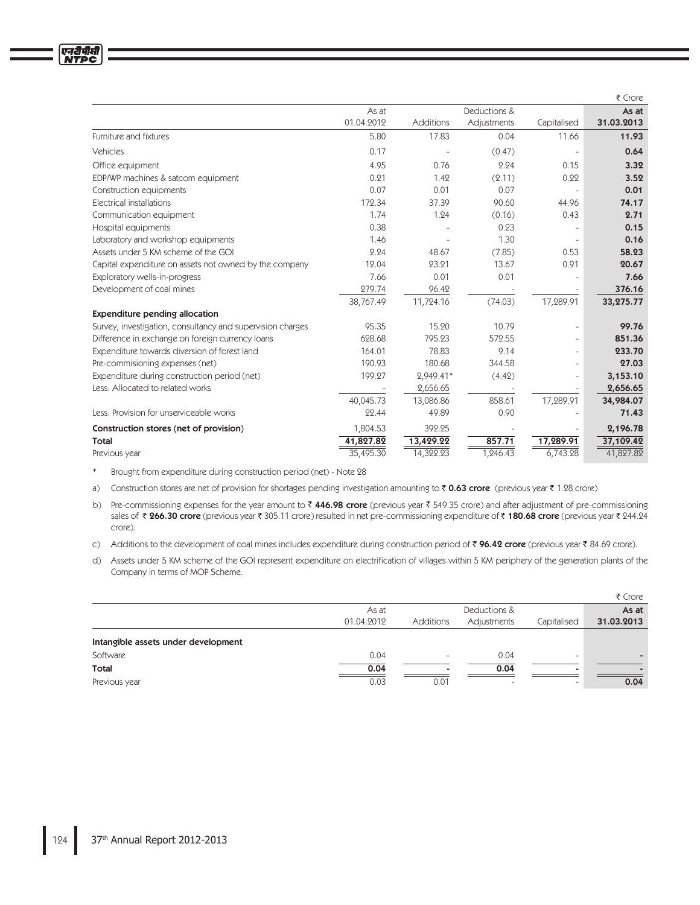|                                                            |            |           |              |             | ₹ Crore    |
|------------------------------------------------------------|------------|-----------|--------------|-------------|------------|
|                                                            | As at      |           | Deductions & |             | As at      |
|                                                            | 01.04.2012 | Additions | Adjustments  | Capitalised | 31.03.2013 |
| Furniture and fixtures                                     | 5.80       | 17.83     | 0.04         | 11.66       | 11.93      |
| Vehicles                                                   | 0.17       |           | (0.47)       |             | 0.64       |
| Office equipment                                           | 4.95       | 0.76      | 2.24         | 0.15        | 3.32       |
| EDP/WP machines & satcom equipment                         | 0.21       | 1.42      | (2.11)       | 0.22        | 3.52       |
| Construction equipments                                    | 0.07       | 0.01      | 0.07         |             | 0.01       |
| Electrical installations                                   | 172.34     | 37.39     | 90.60        | 44.96       | 74.17      |
| Communication equipment                                    | 1.74       | 1.24      | (0.16)       | 0.43        | 2.71       |
| Hospital equipments                                        | 0.38       |           | 0.23         |             | 0.15       |
| Laboratory and workshop equipments                         | 1.46       |           | 1.30         |             | 0.16       |
| Assets under 5 KM scheme of the GOI                        | 2.24       | 48.67     | (7.85)       | 0.53        | 58.23      |
| Capital expenditure on assets not owned by the company     | 12.04      | 23.21     | 13.67        | 0.91        | 20.67      |
| Exploratory wells-in-progress                              | 7.66       | 0.01      | 0.01         |             | 7.66       |
| Development of coal mines                                  | 279.74     | 96.42     |              |             | 376.16     |
|                                                            | 38,767.49  | 11,724.16 | (74.03)      | 17,289.91   | 33,275.77  |
| <b>Expenditure pending allocation</b>                      |            |           |              |             |            |
| Survey, investigation, consultancy and supervision charges | 95.35      | 15.20     | 10.79        |             | 99.76      |
| Difference in exchange on foreign currency loans           | 628.68     | 795.23    | 572.55       | $\equiv$    | 851.36     |
| Expenditure towards diversion of forest land               | 164.01     | 78.83     | 9.14         |             | 233.70     |
| Pre-commisioning expenses (net)                            | 190.93     | 180.68    | 344.58       |             | 27.03      |
| Expenditure during construction period (net)               | 199.27     | 2,949.41* | (4.42)       |             | 3,153.10   |
| Less: Allocated to related works                           |            | 2,656.65  |              |             | 2,656.65   |
|                                                            | 40,045.73  | 13,086.86 | 858.61       | 17,289.91   | 34,984.07  |
| Less: Provision for unserviceable works                    | 22.44      | 49.89     | 0.90         |             | 71.43      |
| Construction stores (net of provision)                     | 1,804.53   | 392.25    |              |             | 2,196.78   |
| Total                                                      | 41,827.82  | 13,429.22 | 857.71       | 17,289.91   | 37,109.42  |
| Previous year                                              | 35,495.30  | 14,322.23 | 1,246.43     | 6,743.28    | 41,827.82  |

Brought from expenditure during construction period (net) - Note 28  $\ast$ 

a) Construction stores are net of provision for shortages pending investigation amounting to ₹0.63 crore (previous year ₹1.28 crore)

b) Pre-commissioning expenses for the year amount to ₹446.98 crore (previous year ₹549.35 crore) and after adjustment of pre-commissioning sales of ₹ 266.30 crore (previous year ₹ 305.11 crore) resulted in net pre-commissioning expenditure of ₹ 180.68 crore (previous year ₹ 244.24 crore).

c) Additions to the development of coal mines includes expenditure during construction period of ₹ 96.42 crore (previous year ₹ 84.69 crore).

d) Assets under 5 KM scheme of the GOI represent expenditure on electrification of villages within 5 KM periphery of the generation plants of the Company in terms of MOP Scheme.

|                                     |            |                  |                          |                          | ₹ Crore    |
|-------------------------------------|------------|------------------|--------------------------|--------------------------|------------|
|                                     | As at      |                  | Deductions &             |                          | As at      |
|                                     | 01.04.2012 | <b>Additions</b> | Adjustments              | Capitalised              | 31.03.2013 |
| Intangible assets under development |            |                  |                          |                          |            |
| Software                            | 0.04       |                  | 0.04                     | $\overline{\phantom{0}}$ |            |
| Total                               | 0.04       |                  | 0.04                     |                          |            |
| Previous year                       | 0.03       | 0.01             | $\overline{\phantom{0}}$ | -                        | 0.04       |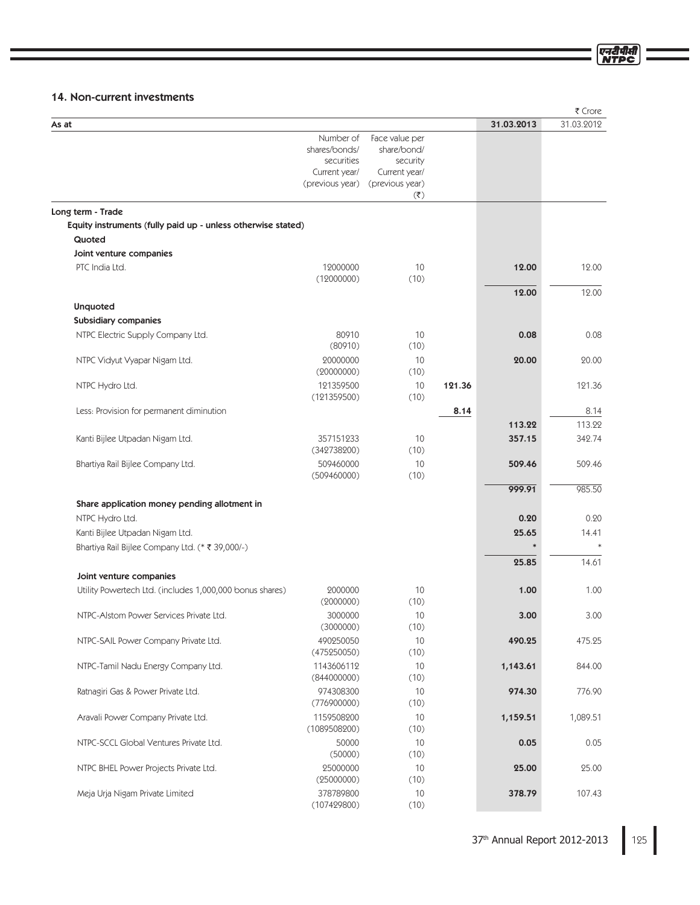# 14. Non-current investments

|                                                                 |                                                                              |                                                                                                            |        |                | ₹ Crore        |
|-----------------------------------------------------------------|------------------------------------------------------------------------------|------------------------------------------------------------------------------------------------------------|--------|----------------|----------------|
| As at                                                           |                                                                              |                                                                                                            |        | 31.03.2013     | 31.03.2012     |
|                                                                 | Number of<br>shares/bonds/<br>securities<br>Current year/<br>(previous year) | Face value per<br>share/bond/<br>security<br>Current year/<br>(previous year)<br>$(\overline{\mathbf{z}})$ |        |                |                |
| Long term - Trade                                               |                                                                              |                                                                                                            |        |                |                |
| Equity instruments (fully paid up - unless otherwise stated)    |                                                                              |                                                                                                            |        |                |                |
| Quoted                                                          |                                                                              |                                                                                                            |        |                |                |
| Joint venture companies                                         |                                                                              |                                                                                                            |        |                |                |
| PTC India Ltd.                                                  | 12000000<br>(12000000)                                                       | 10<br>(10)                                                                                                 |        | 12.00<br>12.00 | 12.00<br>12.00 |
| <b>Unquoted</b>                                                 |                                                                              |                                                                                                            |        |                |                |
| Subsidiary companies                                            |                                                                              |                                                                                                            |        |                |                |
| NTPC Electric Supply Company Ltd.                               | 80910<br>(80910)                                                             | 10<br>(10)                                                                                                 |        | 0.08           | 0.08           |
| NTPC Vidyut Vyapar Nigam Ltd.                                   | 20000000<br>(20000000)                                                       | 10<br>(10)                                                                                                 |        | 20.00          | 20.00          |
| NTPC Hydro Ltd.                                                 | 121359500<br>(121359500)                                                     | 10<br>(10)                                                                                                 | 121.36 |                | 121.36         |
| Less: Provision for permanent diminution                        |                                                                              |                                                                                                            | 8.14   |                | 8.14           |
|                                                                 |                                                                              |                                                                                                            |        | 113.22         | 113.22         |
| Kanti Bijlee Utpadan Nigam Ltd.                                 | 357151233<br>(342738200)                                                     | 10<br>(10)                                                                                                 |        | 357.15         | 342.74         |
| Bhartiya Rail Bijlee Company Ltd.                               | 509460000<br>(509460000)                                                     | 10<br>(10)                                                                                                 |        | 509.46         | 509.46         |
|                                                                 |                                                                              |                                                                                                            |        | 999.91         | 985.50         |
| Share application money pending allotment in<br>NTPC Hydro Ltd. |                                                                              |                                                                                                            |        | 0.20           | 0.20           |
| Kanti Bijlee Utpadan Nigam Ltd.                                 |                                                                              |                                                                                                            |        | 25.65          | 14.41          |
| Bhartiya Rail Bijlee Company Ltd. (* ₹ 39,000/-)                |                                                                              |                                                                                                            |        |                |                |
|                                                                 |                                                                              |                                                                                                            |        | 25.85          | 14.61          |
| Joint venture companies                                         |                                                                              |                                                                                                            |        |                |                |
| Utility Powertech Ltd. (includes 1,000,000 bonus shares)        | 2000000<br>(2000000)                                                         | 10<br>(10)                                                                                                 |        | 1.00           | 1.00           |
| NTPC-Alstom Power Services Private Ltd.                         | 3000000<br>(3000000)                                                         | 10<br>(10)                                                                                                 |        | 3.00           | 3.00           |
| NTPC-SAIL Power Company Private Ltd.                            | 490250050<br>(475250050)                                                     | 10<br>(10)                                                                                                 |        | 490.25         | 475.25         |
| NTPC-Tamil Nadu Energy Company Ltd.                             | 1143606112<br>(844000000)                                                    | 10<br>(10)                                                                                                 |        | 1,143.61       | 844.00         |
| Ratnagiri Gas & Power Private Ltd.                              | 974308300<br>(776900000)                                                     | 10<br>(10)                                                                                                 |        | 974.30         | 776.90         |
| Aravali Power Company Private Ltd.                              | 1159508200<br>(1089508200)                                                   | 10<br>(10)                                                                                                 |        | 1,159.51       | 1,089.51       |
| NTPC-SCCL Global Ventures Private Ltd.                          | 50000<br>(50000)                                                             | 10<br>(10)                                                                                                 |        | 0.05           | 0.05           |
| NTPC BHEL Power Projects Private Ltd.                           | 25000000<br>(25000000)                                                       | 10<br>(10)                                                                                                 |        | 25.00          | 25.00          |
| Meja Urja Nigam Private Limited                                 | 378789800<br>(107429800)                                                     | 10<br>(10)                                                                                                 |        | 378.79         | 107.43         |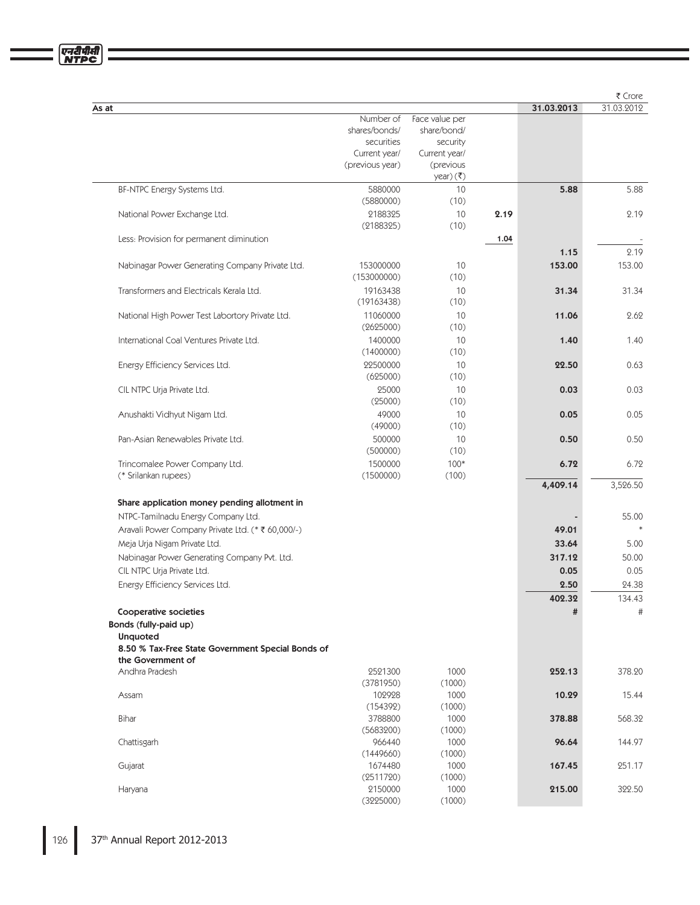|                                                                        |                      |                |      |            | ₹ Crore    |
|------------------------------------------------------------------------|----------------------|----------------|------|------------|------------|
| As at                                                                  |                      |                |      | 31.03.2013 | 31.03.2012 |
|                                                                        | Number of            | Face value per |      |            |            |
|                                                                        | shares/bonds/        | share/bond/    |      |            |            |
|                                                                        | securities           | security       |      |            |            |
|                                                                        | Current year/        | Current year/  |      |            |            |
|                                                                        | (previous year)      | (previous      |      |            |            |
|                                                                        |                      | $year)(\xi)$   |      |            |            |
| BF-NTPC Energy Systems Ltd.                                            | 5880000              | 10             |      | 5.88       | 5.88       |
|                                                                        | (5880000)            | (10)           |      |            |            |
| National Power Exchange Ltd.                                           | 2188325              | 10             | 2.19 |            | 2.19       |
|                                                                        | (2188325)            | (10)           |      |            |            |
| Less: Provision for permanent diminution                               |                      |                | 1.04 |            |            |
|                                                                        |                      |                |      | 1.15       | 2.19       |
|                                                                        |                      |                |      |            |            |
| Nabinagar Power Generating Company Private Ltd.                        | 153000000            | 10             |      | 153.00     | 153.00     |
|                                                                        | (153000000)          | (10)           |      |            |            |
| Transformers and Electricals Kerala Ltd.                               | 19163438             | 10             |      | 31.34      | 31.34      |
|                                                                        | (19163438)           | (10)           |      |            |            |
| National High Power Test Labortory Private Ltd.                        | 11060000             | 10             |      | 11.06      | 2.62       |
|                                                                        | (2625000)            | (10)           |      |            |            |
| International Coal Ventures Private Ltd.                               | 1400000              | 10             |      | 1.40       | 1.40       |
|                                                                        | (1400000)            | (10)           |      |            |            |
| Energy Efficiency Services Ltd.                                        | 22500000             | 10             |      | 22.50      | 0.63       |
|                                                                        | (625000)             | (10)           |      |            |            |
| CIL NTPC Urja Private Ltd.                                             | 25000                | 10             |      | 0.03       | 0.03       |
|                                                                        | (25000)              | (10)           |      |            |            |
|                                                                        |                      |                |      |            |            |
| Anushakti Vidhyut Nigam Ltd.                                           | 49000                | 10             |      | 0.05       | 0.05       |
|                                                                        | (49000)              | (10)           |      |            |            |
| Pan-Asian Renewables Private Ltd.                                      | 500000               | 10             |      | 0.50       | 0.50       |
|                                                                        | (500000)             | (10)           |      |            |            |
| Trincomalee Power Company Ltd.                                         | 1500000              | $100*$         |      | 6.72       | 6.72       |
| (* Srilankan rupees)                                                   | (1500000)            | (100)          |      |            |            |
|                                                                        |                      |                |      | 4,409.14   | 3,526.50   |
| Share application money pending allotment in                           |                      |                |      |            |            |
| NTPC-Tamilnadu Energy Company Ltd.                                     |                      |                |      |            | 55.00      |
| Aravali Power Company Private Ltd. (* ₹ 60,000/-)                      |                      |                |      | 49.01      |            |
|                                                                        |                      |                |      |            |            |
| Meja Urja Nigam Private Ltd.                                           |                      |                |      | 33.64      | 5.00       |
| Nabinagar Power Generating Company Pvt. Ltd.                           |                      |                |      | 317.12     | 50.00      |
| CIL NTPC Urja Private Ltd.                                             |                      |                |      | 0.05       | 0.05       |
| Energy Efficiency Services Ltd.                                        |                      |                |      | 2.50       | 24.38      |
|                                                                        |                      |                |      | 402.32     | 134.43     |
| Cooperative societies                                                  |                      |                |      | #          | #          |
| Bonds (fully-paid up)                                                  |                      |                |      |            |            |
| <b>Unquoted</b>                                                        |                      |                |      |            |            |
|                                                                        |                      |                |      |            |            |
| 8.50 % Tax-Free State Government Special Bonds of<br>the Government of |                      |                |      |            |            |
| Andhra Pradesh                                                         |                      | 1000           |      | 252.13     | 378.20     |
|                                                                        | 2521300<br>(3781950) | (1000)         |      |            |            |
|                                                                        |                      |                |      |            | 15.44      |
| Assam                                                                  | 102928               | 1000           |      | 10.29      |            |
|                                                                        | (154392)             | (1000)         |      |            |            |
| Bihar                                                                  | 3788800              | 1000           |      | 378.88     | 568.32     |
|                                                                        | (5683200)            | (1000)         |      |            |            |
| Chattisgarh                                                            | 966440               | 1000           |      | 96.64      | 144.97     |
|                                                                        | (1449660)            | (1000)         |      |            |            |
| Gujarat                                                                | 1674480              | 1000           |      | 167.45     | 251.17     |
|                                                                        | (2511720)            | (1000)         |      |            |            |
| Haryana                                                                | 2150000              | 1000           |      | 215.00     | 322.50     |
|                                                                        | (3225000)            | (1000)         |      |            |            |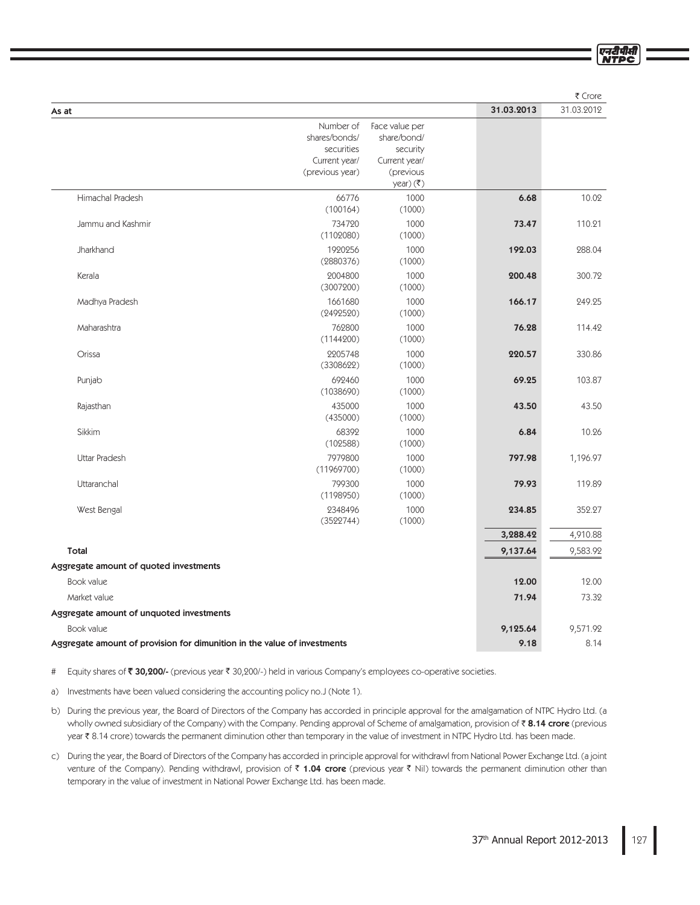|                                                                          |                                                                              |                                                                         |            | ₹ Crore    |
|--------------------------------------------------------------------------|------------------------------------------------------------------------------|-------------------------------------------------------------------------|------------|------------|
| As at                                                                    |                                                                              |                                                                         | 31.03.2013 | 31.03.2012 |
|                                                                          | Number of<br>shares/bonds/<br>securities<br>Current year/<br>(previous year) | Face value per<br>share/bond/<br>security<br>Current year/<br>(previous |            |            |
|                                                                          |                                                                              | $year)(\overline{\zeta})$                                               |            |            |
| Himachal Pradesh                                                         | 66776<br>(100164)                                                            | 1000<br>(1000)                                                          | 6.68       | 10.02      |
| Jammu and Kashmir                                                        | 734720<br>(1102080)                                                          | 1000<br>(1000)                                                          | 73.47      | 110.21     |
| Jharkhand                                                                | 1920256<br>(2880376)                                                         | 1000<br>(1000)                                                          | 192.03     | 288.04     |
| Kerala                                                                   | 2004800<br>(3007200)                                                         | 1000<br>(1000)                                                          | 200.48     | 300.72     |
| Madhya Pradesh                                                           | 1661680<br>(2492520)                                                         | 1000<br>(1000)                                                          | 166.17     | 249.25     |
| Maharashtra                                                              | 762800<br>(1144200)                                                          | 1000<br>(1000)                                                          | 76.28      | 114.42     |
| Orissa                                                                   | 2205748<br>(3308622)                                                         | 1000<br>(1000)                                                          | 220.57     | 330.86     |
| Punjab                                                                   | 692460<br>(1038690)                                                          | 1000<br>(1000)                                                          | 69.25      | 103.87     |
| Rajasthan                                                                | 435000<br>(435000)                                                           | 1000<br>(1000)                                                          | 43.50      | 43.50      |
| Sikkim                                                                   | 68392<br>(102588)                                                            | 1000<br>(1000)                                                          | 6.84       | 10.26      |
| <b>Uttar Pradesh</b>                                                     | 7979800<br>(11969700)                                                        | 1000<br>(1000)                                                          | 797.98     | 1,196.97   |
| Uttaranchal                                                              | 799300<br>(1198950)                                                          | 1000<br>(1000)                                                          | 79.93      | 119.89     |
| West Bengal                                                              | 2348496<br>(3522744)                                                         | 1000<br>(1000)                                                          | 234.85     | 352.27     |
|                                                                          |                                                                              |                                                                         | 3,288.42   | 4,910.88   |
| Total                                                                    |                                                                              |                                                                         | 9,137.64   | 9,583.92   |
| Aggregate amount of quoted investments                                   |                                                                              |                                                                         |            |            |
| Book value                                                               |                                                                              |                                                                         | 12.00      | 12.00      |
| Market value                                                             |                                                                              |                                                                         | 71.94      | 73.32      |
| Aggregate amount of unquoted investments                                 |                                                                              |                                                                         |            |            |
| Book value                                                               |                                                                              |                                                                         | 9,125.64   | 9,571.92   |
| Aggregate amount of provision for dimunition in the value of investments |                                                                              |                                                                         | 9.18       | 8.14       |

# Equity shares of ₹30,200/- (previous year ₹ 30,200/-) held in various Company's employees co-operative societies.

a) Investments have been valued considering the accounting policy no.J (Note 1).

- b) During the previous year, the Board of Directors of the Company has accorded in principle approval for the amalgamation of NTPC Hydro Ltd. (a wholly owned subsidiary of the Company) with the Company. Pending approval of Scheme of amalgamation, provision of ₹ **8.14 crore** (previous year ₹ 8.14 crore) towards the permanent diminution other than temporary in the value of investment in NTPC Hydro Ltd. has been made.
- c) During the year, the Board of Directors of the Company has accorded in principle approval for withdrawl from National Power Exchange Ltd. (a joint venture of the Company). Pending withdrawl, provision of ₹ **1.04 crore** (previous year ₹ Nil) towards the permanent diminution other than temporary in the value of investment in National Power Exchange Ltd. has been made.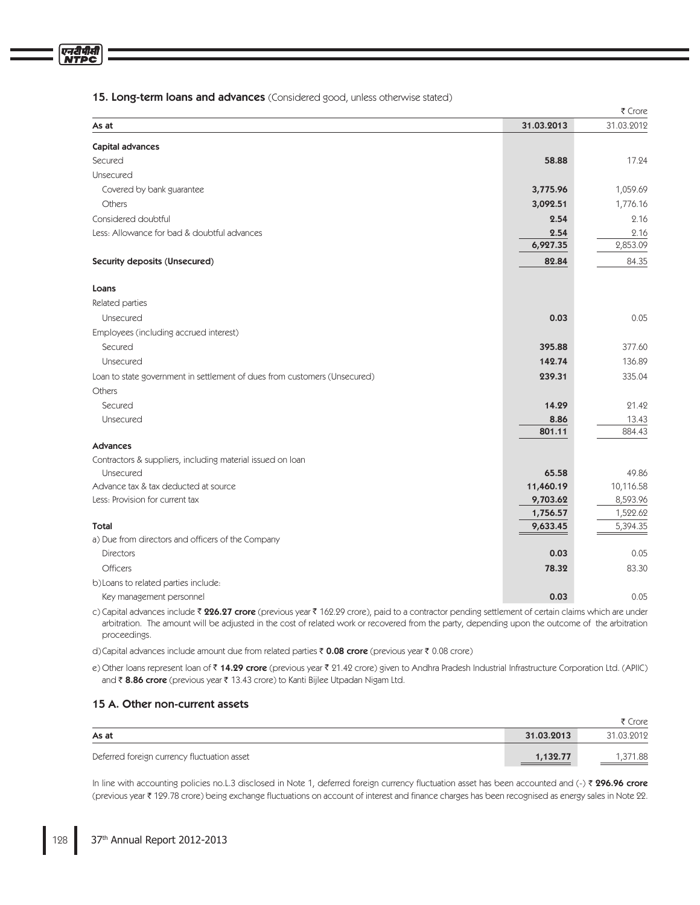# 15. Long-term loans and advances (Considered good, unless otherwise stated)

|                                                                           |            | ₹ Crore    |
|---------------------------------------------------------------------------|------------|------------|
| As at                                                                     | 31.03.2013 | 31.03.2012 |
| Capital advances                                                          |            |            |
| Secured                                                                   | 58.88      | 17.24      |
| Unsecured                                                                 |            |            |
| Covered by bank guarantee                                                 | 3,775.96   | 1,059.69   |
| Others                                                                    | 3,092.51   | 1,776.16   |
| Considered doubtful                                                       | 2.54       | 2.16       |
| Less: Allowance for bad & doubtful advances                               | 2.54       | 2.16       |
|                                                                           | 6,927.35   | 2,853.09   |
| Security deposits (Unsecured)                                             | 82.84      | 84.35      |
| Loans                                                                     |            |            |
| Related parties                                                           |            |            |
| Unsecured                                                                 | 0.03       | 0.05       |
| Employees (including accrued interest)                                    |            |            |
| Secured                                                                   | 395.88     | 377.60     |
| Unsecured                                                                 | 142.74     | 136.89     |
| Loan to state government in settlement of dues from customers (Unsecured) | 239.31     | 335.04     |
| Others                                                                    |            |            |
| Secured                                                                   | 14.29      | 21.42      |
| Unsecured                                                                 | 8.86       | 13.43      |
|                                                                           | 801.11     | 884.43     |
| Advances                                                                  |            |            |
| Contractors & suppliers, including material issued on loan                |            |            |
| Unsecured                                                                 | 65.58      | 49.86      |
| Advance tax & tax deducted at source                                      | 11,460.19  | 10,116.58  |
| Less: Provision for current tax                                           | 9,703.62   | 8,593.96   |
|                                                                           | 1,756.57   | 1,522.62   |
| Total                                                                     | 9,633.45   | 5,394.35   |
| a) Due from directors and officers of the Company                         |            |            |
| <b>Directors</b>                                                          | 0.03       | 0.05       |
| <b>Officers</b>                                                           | 78.32      | 83.30      |
| b) Loans to related parties include:                                      |            |            |
| Key management personnel                                                  | 0.03       | 0.05       |

c) Capital advances include ₹ **226.27 crore** (previous year ₹ 162.29 crore), paid to a contractor pending settlement of certain claims which are under arbitration. The amount will be adjusted in the cost of related work or recovered from the party, depending upon the outcome of the arbitration proceedings.

d)Capital advances include amount due from related parties  $\bar{\tau}$  0.08 crore (previous year  $\bar{\tau}$  0.08 crore)

e) Other Ioans represent Ioan of ₹ **14.29 crore** (previous year ₹ 21.42 crore) given to Andhra Pradesh Industrial Infrastructure Corporation Ltd. (APIIC) and ₹ **8.86 crore** (previous year ₹ 13.43 crore) to Kanti Bijlee Utpadan Nigam Ltd.

# 15 A. Other non-current assets

|                                             |            | ₹ Crore    |
|---------------------------------------------|------------|------------|
| As at                                       | 31.03.2013 | 31.03.2012 |
| Deferred foreign currency fluctuation asset | 1,132.77   | .371.88    |

In line with accounting policies no.L.3 disclosed in Note 1, deferred foreign currency fluctuation asset has been accounted and (-) ₹ **296.96 crore** (previous year ₹ 129.78 crore) being exchange fluctuations on account of interest and finance charges has been recognised as energy sales in Note 22.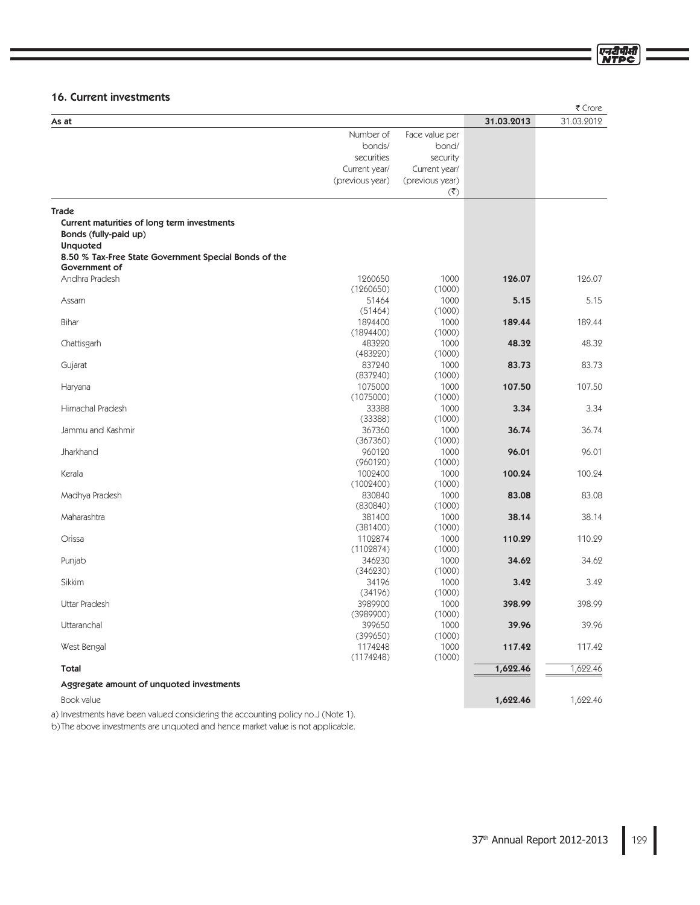# 16. Current investments

|                                                       |                 |                    |            | ₹ Crore    |
|-------------------------------------------------------|-----------------|--------------------|------------|------------|
| As at                                                 |                 |                    | 31.03.2013 | 31.03.2012 |
|                                                       | Number of       | Face value per     |            |            |
|                                                       | bonds/          | bond/              |            |            |
|                                                       | securities      | security           |            |            |
|                                                       | Current year/   | Current year/      |            |            |
|                                                       | (previous year) | (previous year)    |            |            |
|                                                       |                 | $(\overline{\xi})$ |            |            |
|                                                       |                 |                    |            |            |
| <b>Trade</b>                                          |                 |                    |            |            |
| Current maturities of long term investments           |                 |                    |            |            |
| Bonds (fully-paid up)                                 |                 |                    |            |            |
| <b>Unquoted</b>                                       |                 |                    |            |            |
| 8.50 % Tax-Free State Government Special Bonds of the |                 |                    |            |            |
| Government of                                         |                 |                    |            |            |
| Andhra Pradesh                                        | 1260650         | 1000               | 126.07     | 126.07     |
|                                                       | (1260650)       | (1000)             |            |            |
| Assam                                                 | 51464           | 1000               | 5.15       | 5.15       |
|                                                       | (51464)         | (1000)             |            |            |
| Bihar                                                 | 1894400         | 1000               | 189.44     | 189.44     |
|                                                       | (1894400)       | (1000)             |            |            |
| Chattisgarh                                           | 483220          | 1000               | 48.32      | 48.32      |
|                                                       | (483220)        | (1000)             |            |            |
| Gujarat                                               | 837240          | 1000               | 83.73      | 83.73      |
|                                                       | (837240)        | (1000)             |            |            |
| Haryana                                               | 1075000         | 1000               | 107.50     | 107.50     |
|                                                       | (1075000)       | (1000)             |            |            |
| Himachal Pradesh                                      | 33388           | 1000               | 3.34       | 3.34       |
|                                                       | (33388)         | (1000)             |            |            |
| Jammu and Kashmir                                     | 367360          | 1000               | 36.74      | 36.74      |
|                                                       | (367360)        | (1000)             |            |            |
| Jharkhand                                             | 960120          | 1000               | 96.01      | 96.01      |
|                                                       | (960120)        | (1000)             |            |            |
| Kerala                                                | 1002400         | 1000               | 100.24     | 100.24     |
|                                                       | (1002400)       | (1000)             |            |            |
| Madhya Pradesh                                        | 830840          | 1000               | 83.08      | 83.08      |
|                                                       | (830840)        | (1000)             |            |            |
| Maharashtra                                           | 381400          | 1000               | 38.14      | 38.14      |
|                                                       | (381400)        | (1000)             |            |            |
| Orissa                                                | 1102874         | 1000               | 110.29     | 110.29     |
|                                                       | (1102874)       | (1000)             |            |            |
| Punjab                                                | 346230          | 1000               | 34.62      | 34.62      |
|                                                       | (346230)        | (1000)             |            |            |
| <b>Sikkim</b>                                         | 34196           | 1000               | 3.42       | 3.42       |
|                                                       | (34196)         | (1000)             |            |            |
| Uttar Pradesh                                         | 3989900         | 1000               | 398.99     | 398.99     |
|                                                       | (3989900)       | (1000)             |            |            |
| Uttaranchal                                           | 399650          | 1000               | 39.96      | 39.96      |
|                                                       | (399650)        | (1000)             |            |            |
| West Bengal                                           | 1174248         | 1000               | 117.42     | 117.42     |
|                                                       | (1174248)       | (1000)             |            |            |
| Total                                                 |                 |                    | 1,622.46   | 1,622.46   |
|                                                       |                 |                    |            |            |
| Aggregate amount of unquoted investments              |                 |                    |            |            |
| Book value                                            |                 |                    | 1,622.46   | 1,622.46   |
|                                                       |                 |                    |            |            |

a) Investments have been valued considering the accounting policy no.J (Note 1).

b)The above investments are unquoted and hence market value is not applicable.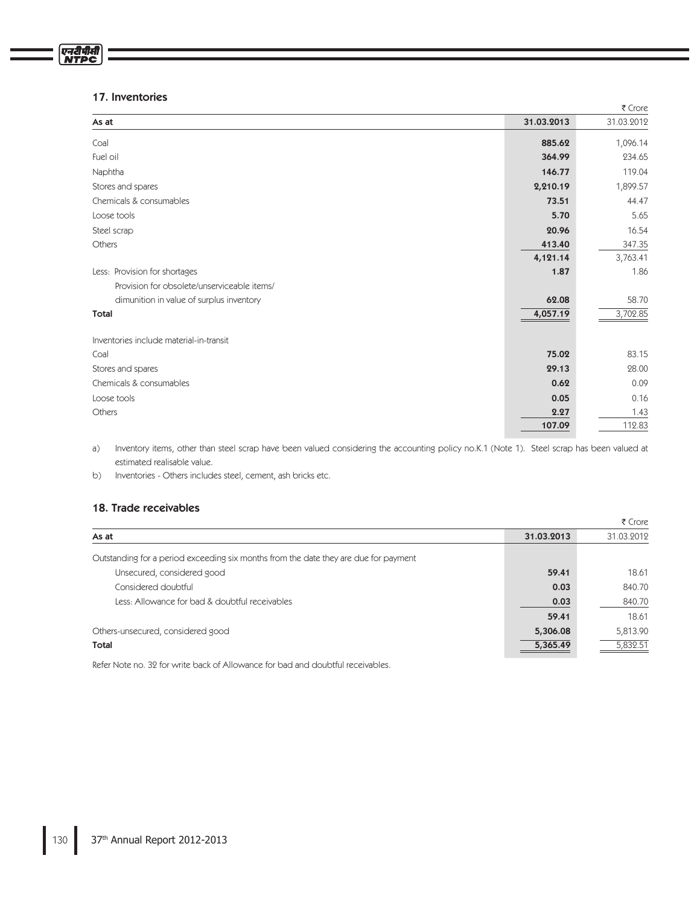# 17. Inventories

एनदीपीसी

|                                             |            | ₹ Crore    |
|---------------------------------------------|------------|------------|
| As at                                       | 31.03.2013 | 31.03.2012 |
| Coal                                        | 885.62     | 1,096.14   |
| Fuel oil                                    | 364.99     | 234.65     |
| Naphtha                                     | 146.77     | 119.04     |
| Stores and spares                           | 2,210.19   | 1,899.57   |
| Chemicals & consumables                     | 73.51      | 44.47      |
| Loose tools                                 | 5.70       | 5.65       |
| Steel scrap                                 | 20.96      | 16.54      |
| Others                                      | 413.40     | 347.35     |
|                                             | 4,121.14   | 3,763.41   |
| Less: Provision for shortages               | 1.87       | 1.86       |
| Provision for obsolete/unserviceable items/ |            |            |
| dimunition in value of surplus inventory    | 62.08      | 58.70      |
| <b>Total</b>                                | 4,057.19   | 3,702.85   |
| Inventories include material-in-transit     |            |            |
| Coal                                        | 75.02      | 83.15      |
| Stores and spares                           | 29.13      | 28.00      |
| Chemicals & consumables                     | 0.62       | 0.09       |
| Loose tools                                 | 0.05       | 0.16       |
| Others                                      | 2.27       | 1.43       |
|                                             | 107.09     | 112.83     |

a) Inventory items, other than steel scrap have been valued considering the accounting policy no.K.1 (Note 1). Steel scrap has been valued at estimated realisable value.

b) Inventories - Others includes steel, cement, ash bricks etc.

# 18. Trade receivables

|                                                                                      |            | ₹ Crore    |
|--------------------------------------------------------------------------------------|------------|------------|
| As at                                                                                | 31.03.2013 | 31.03.2012 |
| Outstanding for a period exceeding six months from the date they are due for payment |            |            |
| Unsecured, considered good                                                           | 59.41      | 18.61      |
| Considered doubtful                                                                  | 0.03       | 840.70     |
| Less: Allowance for bad & doubtful receivables                                       | 0.03       | 840.70     |
|                                                                                      | 59.41      | 18.61      |
| Others-unsecured, considered good                                                    | 5,306.08   | 5,813.90   |
| Total                                                                                | 5,365.49   | 5,832.51   |

Refer Note no. 32 for write back of Allowance for bad and doubtful receivables.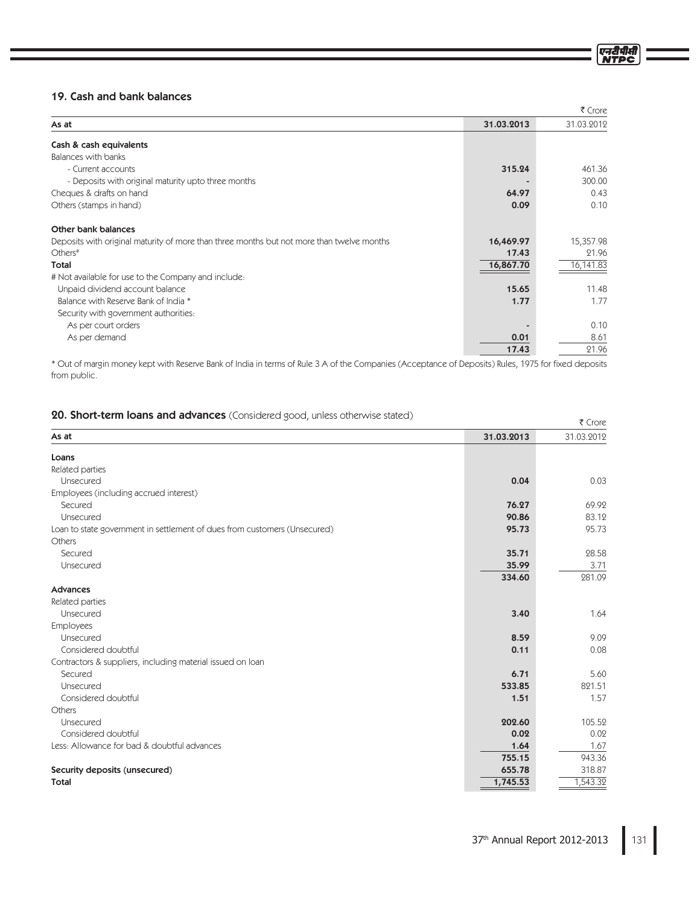|                                                                                           |            | ₹ Crore    |
|-------------------------------------------------------------------------------------------|------------|------------|
| As at                                                                                     | 31.03.2013 | 31.03.2012 |
| Cash & cash equivalents                                                                   |            |            |
| Balances with banks                                                                       |            |            |
| - Current accounts                                                                        | 315.24     | 461.36     |
| - Deposits with original maturity upto three months                                       |            | 300.00     |
| Cheques & drafts on hand                                                                  | 64.97      | 0.43       |
| Others (stamps in hand)                                                                   | 0.09       | 0.10       |
| Other bank balances                                                                       |            |            |
| Deposits with original maturity of more than three months but not more than twelve months | 16,469.97  | 15,357.98  |
| Others <sup>#</sup>                                                                       | 17.43      | 21.96      |
| Total                                                                                     | 16,867.70  | 16,141.83  |
| # Not available for use to the Company and include:                                       |            |            |
| Unpaid dividend account balance                                                           | 15.65      | 11.48      |
| Balance with Reserve Bank of India *                                                      | 1.77       | 1.77       |
| Security with government authorities.                                                     |            |            |
| As per court orders                                                                       |            | 0.10       |
| As per demand                                                                             | 0.01       | 8.61       |
|                                                                                           | 17.43      | 21.96      |

\* Out of margin money kept with Reserve Bank of India in terms of Rule 3 A of the Companies (Acceptance of Deposits) Rules, 1975 for fixed deposits from public.

|  | 20. Short-term loans and advances (Considered good, unless otherwise stated) |  |  |  |  |  |  |  |  |
|--|------------------------------------------------------------------------------|--|--|--|--|--|--|--|--|
|--|------------------------------------------------------------------------------|--|--|--|--|--|--|--|--|

|                                                                           |            | ₹ Crore    |
|---------------------------------------------------------------------------|------------|------------|
| As at                                                                     | 31.03.2013 | 31.03.2012 |
| Loans                                                                     |            |            |
| Related parties                                                           |            |            |
| Unsecured                                                                 | 0.04       | 0.03       |
| Employees (including accrued interest)                                    |            |            |
| Secured                                                                   | 76.27      | 69.92      |
| Unsecured                                                                 | 90.86      | 83.12      |
| Loan to state government in settlement of dues from customers (Unsecured) | 95.73      | 95.73      |
| Others                                                                    |            |            |
| Secured                                                                   | 35.71      | 28.58      |
| Unsecured                                                                 | 35.99      | 3.71       |
|                                                                           | 334.60     | 281.09     |
| Advances                                                                  |            |            |
| Related parties                                                           |            |            |
| Unsecured                                                                 | 3.40       | 1.64       |
| Employees                                                                 |            |            |
| Unsecured                                                                 | 8.59       | 9.09       |
| Considered doubtful                                                       | 0.11       | 0.08       |
| Contractors & suppliers, including material issued on loan                |            |            |
| Secured                                                                   | 6.71       | 5.60       |
| Unsecured                                                                 | 533.85     | 821.51     |
| Considered doubtful                                                       | 1.51       | 1.57       |
| Others                                                                    |            |            |
| Unsecured                                                                 | 202.60     | 105.52     |
| Considered doubtful                                                       | 0.02       | 0.02       |
| Less: Allowance for bad & doubtful advances                               | 1.64       | 1.67       |
|                                                                           | 755.15     | 943.36     |
| Security deposits (unsecured)                                             | 655.78     | 318.87     |
| Total                                                                     | 1,745.53   | 1,543.32   |

एनटीपीर्स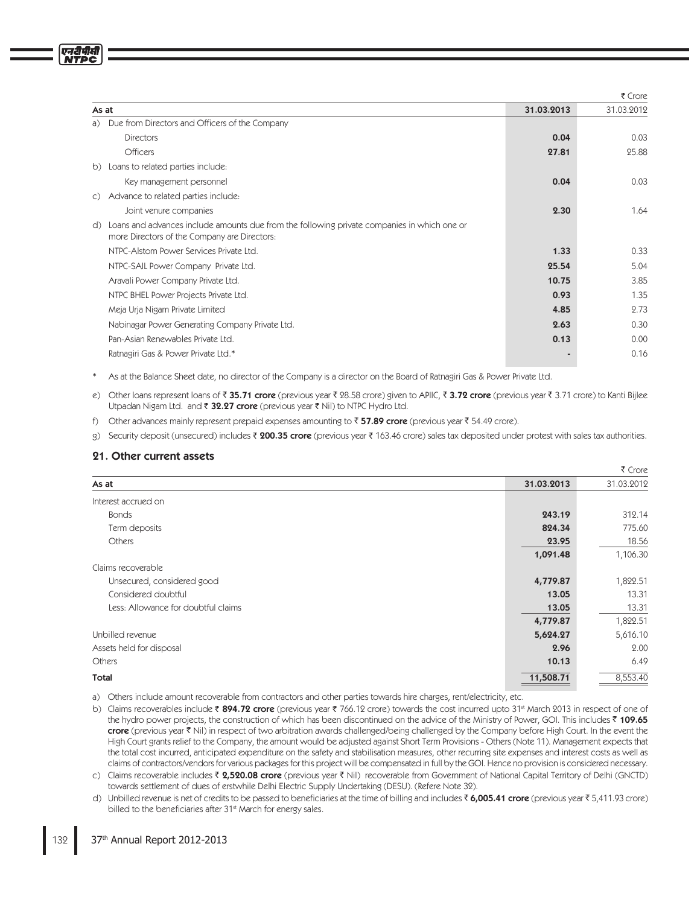|                |                                                                                                                                             |            | ₹ Crore    |
|----------------|---------------------------------------------------------------------------------------------------------------------------------------------|------------|------------|
| As at          |                                                                                                                                             | 31.03.2013 | 31.03.2012 |
| a)             | Due from Directors and Officers of the Company                                                                                              |            |            |
|                | <b>Directors</b>                                                                                                                            | 0.04       | 0.03       |
|                | <b>Officers</b>                                                                                                                             | 27.81      | 25.88      |
| b)             | Loans to related parties include:                                                                                                           |            |            |
|                | Key management personnel                                                                                                                    | 0.04       | 0.03       |
| $\mathsf{C}$ ) | Advance to related parties include:                                                                                                         |            |            |
|                | Joint venure companies                                                                                                                      | 2.30       | 1.64       |
| d)             | Loans and advances include amounts due from the following private companies in which one or<br>more Directors of the Company are Directors: |            |            |
|                | NTPC-Alstom Power Services Private Ltd.                                                                                                     | 1.33       | 0.33       |
|                | NTPC-SAIL Power Company Private Ltd.                                                                                                        | 25.54      | 5.04       |
|                | Aravali Power Company Private Ltd.                                                                                                          | 10.75      | 3.85       |
|                | NTPC BHEL Power Projects Private Ltd.                                                                                                       | 0.93       | 1.35       |
|                | Meja Urja Nigam Private Limited                                                                                                             | 4.85       | 2.73       |
|                | Nabinagar Power Generating Company Private Ltd.                                                                                             | 2.63       | 0.30       |
|                | Pan-Asian Renewables Private Ltd.                                                                                                           | 0.13       | 0.00       |
|                | Ratnagiri Gas & Power Private Ltd.*                                                                                                         |            | 0.16       |
|                |                                                                                                                                             |            |            |

As at the Balance Sheet date, no director of the Company is a director on the Board of Ratnagiri Gas & Power Private Ltd.

e) Other loans represent loans of ₹ **35.71 crore** (previous year ₹ 28.58 crore) given to APIIC, ₹ **3.72 crore** (previous year ₹ 3.71 crore) to Kanti Bijlee Utpadan Nigam Ltd. and ₹ 32.27 crore (previous year ₹ Nil) to NTPC Hydro Ltd.

 $f$ ) Other advances mainly represent prepaid expenses amounting to  $\bar{\tau}$  57.89 crore (previous year  $\bar{\tau}$  54.49 crore).

g) Security deposit (unsecured) includes ₹ **200.35 crore** (previous year ₹ 163.46 crore) sales tax deposited under protest with sales tax authorities.

# 21. Other current assets

प्तरीपीर्व

|                                     |            | ₹ Crore    |
|-------------------------------------|------------|------------|
| As at                               | 31.03.2013 | 31.03.2012 |
| Interest accrued on                 |            |            |
| <b>Bonds</b>                        | 243.19     | 312.14     |
| Term deposits                       | 824.34     | 775.60     |
| Others                              | 23.95      | 18.56      |
|                                     | 1,091.48   | 1,106.30   |
| Claims recoverable                  |            |            |
| Unsecured, considered good          | 4,779.87   | 1,822.51   |
| Considered doubtful                 | 13.05      | 13.31      |
| Less: Allowance for doubtful claims | 13.05      | 13.31      |
|                                     | 4,779.87   | 1,822.51   |
| Unbilled revenue                    | 5,624.27   | 5,616.10   |
| Assets held for disposal            | 2.96       | 2.00       |
| Others                              | 10.13      | 6.49       |
| Total                               | 11,508.71  | 8,553.40   |

a) Others include amount recoverable from contractors and other parties towards hire charges, rent/electricity, etc.

b) Claims recoverables include ₹ 894.72 crore (previous year ₹ 766.12 crore) towards the cost incurred upto 31\* March 2013 in respect of one of the hydro power projects, the construction of which has been discontinued on the advice of the Ministry of Power, GOI. This includes ₹ 109.65 crore (previous year ₹ Nil) in respect of two arbitration awards challenged/being challenged by the Company before High Court. In the event the High Court grants relief to the Company, the amount would be adjusted against Short Term Provisions - Others (Note 11). Management expects that the total cost incurred, anticipated expenditure on the safety and stabilisation measures, other recurring site expenses and interest costs as well as claims of contractors/vendors for various packages for this project will be compensated in full by the GOI. Hence no provision is considered necessary.

c) Claims recoverable includes ₹ **2,520.08 crore** (previous year ₹ Nil) recoverable from Government of National Capital Territory of Delhi (GNCTD) towards settlement of dues of erstwhile Delhi Electric Supply Undertaking (DESU). (Refere Note 32).

d) Unbilled revenue is net of credits to be passed to beneficiaries at the time of billing and includes ₹ 6,005.41 crore (previous year ₹ 5,411.93 crore) billed to the beneficiaries after 31<sup>st</sup> March for energy sales.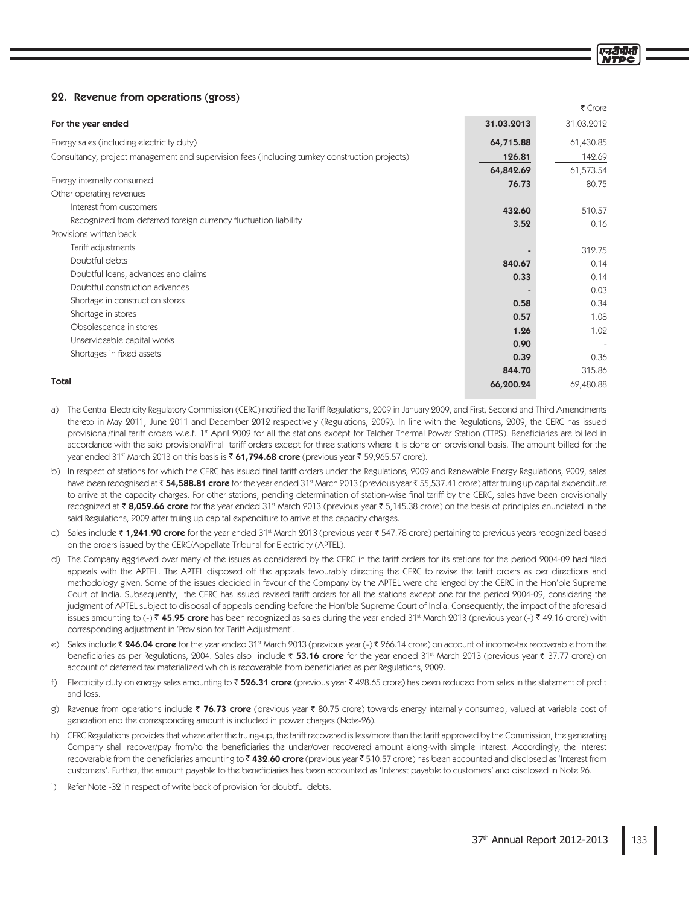# 22. Revenue from operations (gross)

|                                                                                                |            | ₹ Crore    |
|------------------------------------------------------------------------------------------------|------------|------------|
| For the year ended                                                                             | 31.03.2013 | 31.03.2012 |
| Energy sales (including electricity duty)                                                      | 64,715.88  | 61,430.85  |
| Consultancy, project management and supervision fees (including turnkey construction projects) | 126.81     | 142.69     |
|                                                                                                | 64,842.69  | 61,573.54  |
| Energy internally consumed                                                                     | 76.73      | 80.75      |
| Other operating revenues                                                                       |            |            |
| Interest from customers                                                                        | 432.60     | 510.57     |
| Recognized from deferred foreign currency fluctuation liability                                | 3.52       | 0.16       |
| Provisions written back                                                                        |            |            |
| Tariff adjustments                                                                             |            | 312.75     |
| Doubtful debts                                                                                 | 840.67     | 0.14       |
| Doubtful loans, advances and claims                                                            | 0.33       | 0.14       |
| Doubtful construction advances                                                                 |            | 0.03       |
| Shortage in construction stores                                                                | 0.58       | 0.34       |
| Shortage in stores                                                                             | 0.57       | 1.08       |
| Obsolescence in stores                                                                         | 1.26       | 1.02       |
| Unserviceable capital works                                                                    | 0.90       |            |
| Shortages in fixed assets                                                                      | 0.39       | 0.36       |
|                                                                                                | 844.70     | 315.86     |
| Total                                                                                          | 66.200.24  | 62.480.88  |

- a) The Central Electricity Regulatory Commission (CERC) notified the Tariff Regulations, 2009 in January 2009, and First, Second and Third Amendments thereto in May 2011, June 2011 and December 2012 respectively (Regulations, 2009). In line with the Regulations, 2009, the CERC has issued provisional/final tariff orders w.e.f. 1st April 2009 for all the stations except for Talcher Thermal Power Station (TTPS). Beneficiaries are billed in accordance with the said provisional/final tariff orders except for three stations where it is done on provisional basis. The amount billed for the year ended 31<sup>st</sup> March 2013 on this basis is ₹ 61,794.68 crore (previous year ₹ 59,965.57 crore).
- b) In respect of stations for which the CERC has issued final tariff orders under the Regulations, 2009 and Renewable Energy Regulations, 2009, sales have been recognised at ₹54,588.81 crore for the year ended 31<sup>st</sup> March 2013 (previous year ₹55,537.41 crore) after truing up capital expenditure to arrive at the capacity charges. For other stations, pending determination of station-wise final tariff by the CERC, sales have been provisionally recognized at ₹8,059.66 crore for the year ended 31<sup>st</sup> March 2013 (previous year ₹5,145.38 crore) on the basis of principles enunciated in the said Regulations, 2009 after truing up capital expenditure to arrive at the capacity charges.
- c) Sales include ₹ 1,241.90 crore for the year ended 31<sup>st</sup> March 2013 (previous year ₹ 547.78 crore) pertaining to previous years recognized based on the orders issued by the CERC/Appellate Tribunal for Electricity (APTEL).
- d) The Company aggrieved over many of the issues as considered by the CERC in the tariff orders for its stations for the period 2004-09 had filed appeals with the APTEL. The APTEL disposed off the appeals favourably directing the CERC to revise the tariff orders as per directions and methodology given. Some of the issues decided in favour of the Company by the APTEL were challenged by the CERC in the Hon'ble Supreme Court of India. Subsequently, the CERC has issued revised tariff orders for all the stations except one for the period 2004-09, considering the judgment of APTEL subject to disposal of appeals pending before the Hon'ble Supreme Court of India. Consequently, the impact of the aforesaid issues amounting to (-) ₹45.95 crore has been recognized as sales during the year ended 31st March 2013 (previous year (-) ₹49.16 crore) with corresponding adjustment in 'Provision for Tariff Adjustment'.
- e) Sales include ₹ 246.04 crore for the year ended 31st March 2013 (previous year (-) ₹ 266.14 crore) on account of income-tax recoverable from the beneficiaries as per Regulations, 2004. Sales also include ₹ 53.16 crore for the year ended 31<sup>st</sup> March 2013 (previous year ₹ 37.77 crore) on account of deferred tax materialized which is recoverable from beneficiaries as per Regulations, 2009.
- Electricity duty on energy sales amounting to  $\bar{\tau}$  526.31 crore (previous year  $\bar{\tau}$  428.65 crore) has been reduced from sales in the statement of profit  $f$ and loss.
- Revenue from operations include ₹ 76.73 crore (previous year ₹ 80.75 crore) towards energy internally consumed, valued at variable cost of  $\sigma$ ) generation and the corresponding amount is included in power charges (Note-26).
- h) CERC Regulations provides that where after the truing-up, the tariff recovered is less/more than the tariff approved by the Commission, the generating Company shall recover/pay from/to the beneficiaries the under/over recovered amount along-with simple interest. Accordingly, the interest recoverable from the beneficiaries amounting to  $\bar{\tau}$  432.60 crore (previous year  $\bar{\tau}$  510.57 crore) has been accounted and disclosed as 'Interest from customers'. Further, the amount payable to the beneficiaries has been accounted as 'Interest payable to customers' and disclosed in Note 26.
- i) Refer Note -32 in respect of write back of provision for doubtful debts.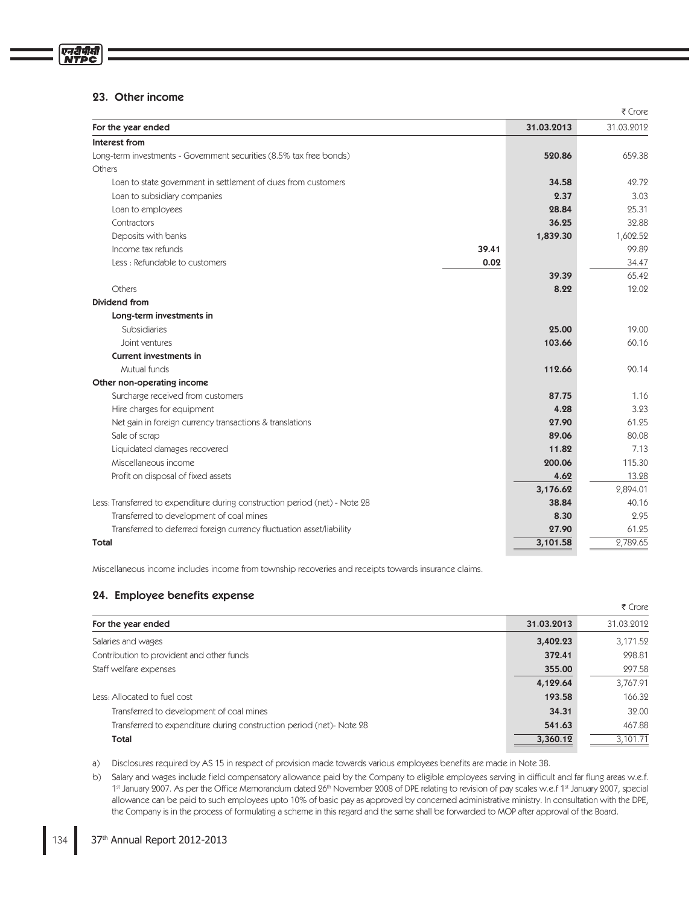# 23. Other income

एनटीपीसी **NTPC** 

| 31.03.2013<br>For the year ended<br>Interest from<br>Long-term investments - Government securities (8.5% tax free bonds)<br>520.86<br>Others<br>Loan to state government in settlement of dues from customers<br>34.58<br>Loan to subsidiary companies<br>2.37<br>28.84<br>Loan to employees<br>36.25<br>Contractors<br>Deposits with banks<br>1,839.30<br>Income tax refunds<br>39.41<br>Less: Refundable to customers<br>0.02<br>39.39<br>Others<br>8.22<br>Dividend from<br>Long-term investments in<br><b>Subsidiaries</b><br>25.00<br>103.66<br>Joint ventures<br><b>Current investments in</b><br>Mutual funds<br>112.66<br>Other non-operating income<br>Surcharge received from customers<br>87.75<br>Hire charges for equipment<br>4.28<br>27.90<br>Net gain in foreign currency transactions & translations<br>Sale of scrap<br>89.06<br>Liquidated damages recovered<br>11.82<br>Miscellaneous income<br>200.06<br>Profit on disposal of fixed assets<br>4.62<br>3,176.62<br>Less: Transferred to expenditure during construction period (net) - Note 28<br>38.84<br>Transferred to development of coal mines<br>8.30<br>27.90<br>Transferred to deferred foreign currency fluctuation asset/liability<br>3,101.58<br>Total |  | ₹ Crore    |
|----------------------------------------------------------------------------------------------------------------------------------------------------------------------------------------------------------------------------------------------------------------------------------------------------------------------------------------------------------------------------------------------------------------------------------------------------------------------------------------------------------------------------------------------------------------------------------------------------------------------------------------------------------------------------------------------------------------------------------------------------------------------------------------------------------------------------------------------------------------------------------------------------------------------------------------------------------------------------------------------------------------------------------------------------------------------------------------------------------------------------------------------------------------------------------------------------------------------------------------|--|------------|
|                                                                                                                                                                                                                                                                                                                                                                                                                                                                                                                                                                                                                                                                                                                                                                                                                                                                                                                                                                                                                                                                                                                                                                                                                                        |  | 31.03.2012 |
|                                                                                                                                                                                                                                                                                                                                                                                                                                                                                                                                                                                                                                                                                                                                                                                                                                                                                                                                                                                                                                                                                                                                                                                                                                        |  |            |
|                                                                                                                                                                                                                                                                                                                                                                                                                                                                                                                                                                                                                                                                                                                                                                                                                                                                                                                                                                                                                                                                                                                                                                                                                                        |  | 659.38     |
|                                                                                                                                                                                                                                                                                                                                                                                                                                                                                                                                                                                                                                                                                                                                                                                                                                                                                                                                                                                                                                                                                                                                                                                                                                        |  |            |
|                                                                                                                                                                                                                                                                                                                                                                                                                                                                                                                                                                                                                                                                                                                                                                                                                                                                                                                                                                                                                                                                                                                                                                                                                                        |  | 42.72      |
|                                                                                                                                                                                                                                                                                                                                                                                                                                                                                                                                                                                                                                                                                                                                                                                                                                                                                                                                                                                                                                                                                                                                                                                                                                        |  | 3.03       |
|                                                                                                                                                                                                                                                                                                                                                                                                                                                                                                                                                                                                                                                                                                                                                                                                                                                                                                                                                                                                                                                                                                                                                                                                                                        |  | 25.31      |
|                                                                                                                                                                                                                                                                                                                                                                                                                                                                                                                                                                                                                                                                                                                                                                                                                                                                                                                                                                                                                                                                                                                                                                                                                                        |  | 32.88      |
|                                                                                                                                                                                                                                                                                                                                                                                                                                                                                                                                                                                                                                                                                                                                                                                                                                                                                                                                                                                                                                                                                                                                                                                                                                        |  | 1,602.52   |
|                                                                                                                                                                                                                                                                                                                                                                                                                                                                                                                                                                                                                                                                                                                                                                                                                                                                                                                                                                                                                                                                                                                                                                                                                                        |  | 99.89      |
|                                                                                                                                                                                                                                                                                                                                                                                                                                                                                                                                                                                                                                                                                                                                                                                                                                                                                                                                                                                                                                                                                                                                                                                                                                        |  | 34.47      |
|                                                                                                                                                                                                                                                                                                                                                                                                                                                                                                                                                                                                                                                                                                                                                                                                                                                                                                                                                                                                                                                                                                                                                                                                                                        |  | 65.42      |
|                                                                                                                                                                                                                                                                                                                                                                                                                                                                                                                                                                                                                                                                                                                                                                                                                                                                                                                                                                                                                                                                                                                                                                                                                                        |  | 12.02      |
|                                                                                                                                                                                                                                                                                                                                                                                                                                                                                                                                                                                                                                                                                                                                                                                                                                                                                                                                                                                                                                                                                                                                                                                                                                        |  |            |
|                                                                                                                                                                                                                                                                                                                                                                                                                                                                                                                                                                                                                                                                                                                                                                                                                                                                                                                                                                                                                                                                                                                                                                                                                                        |  |            |
|                                                                                                                                                                                                                                                                                                                                                                                                                                                                                                                                                                                                                                                                                                                                                                                                                                                                                                                                                                                                                                                                                                                                                                                                                                        |  | 19.00      |
|                                                                                                                                                                                                                                                                                                                                                                                                                                                                                                                                                                                                                                                                                                                                                                                                                                                                                                                                                                                                                                                                                                                                                                                                                                        |  | 60.16      |
|                                                                                                                                                                                                                                                                                                                                                                                                                                                                                                                                                                                                                                                                                                                                                                                                                                                                                                                                                                                                                                                                                                                                                                                                                                        |  |            |
|                                                                                                                                                                                                                                                                                                                                                                                                                                                                                                                                                                                                                                                                                                                                                                                                                                                                                                                                                                                                                                                                                                                                                                                                                                        |  | 90.14      |
|                                                                                                                                                                                                                                                                                                                                                                                                                                                                                                                                                                                                                                                                                                                                                                                                                                                                                                                                                                                                                                                                                                                                                                                                                                        |  |            |
|                                                                                                                                                                                                                                                                                                                                                                                                                                                                                                                                                                                                                                                                                                                                                                                                                                                                                                                                                                                                                                                                                                                                                                                                                                        |  | 1.16       |
|                                                                                                                                                                                                                                                                                                                                                                                                                                                                                                                                                                                                                                                                                                                                                                                                                                                                                                                                                                                                                                                                                                                                                                                                                                        |  | 3.23       |
|                                                                                                                                                                                                                                                                                                                                                                                                                                                                                                                                                                                                                                                                                                                                                                                                                                                                                                                                                                                                                                                                                                                                                                                                                                        |  | 61.25      |
|                                                                                                                                                                                                                                                                                                                                                                                                                                                                                                                                                                                                                                                                                                                                                                                                                                                                                                                                                                                                                                                                                                                                                                                                                                        |  | 80.08      |
|                                                                                                                                                                                                                                                                                                                                                                                                                                                                                                                                                                                                                                                                                                                                                                                                                                                                                                                                                                                                                                                                                                                                                                                                                                        |  | 7.13       |
|                                                                                                                                                                                                                                                                                                                                                                                                                                                                                                                                                                                                                                                                                                                                                                                                                                                                                                                                                                                                                                                                                                                                                                                                                                        |  | 115.30     |
|                                                                                                                                                                                                                                                                                                                                                                                                                                                                                                                                                                                                                                                                                                                                                                                                                                                                                                                                                                                                                                                                                                                                                                                                                                        |  | 13.28      |
|                                                                                                                                                                                                                                                                                                                                                                                                                                                                                                                                                                                                                                                                                                                                                                                                                                                                                                                                                                                                                                                                                                                                                                                                                                        |  | 2,894.01   |
|                                                                                                                                                                                                                                                                                                                                                                                                                                                                                                                                                                                                                                                                                                                                                                                                                                                                                                                                                                                                                                                                                                                                                                                                                                        |  | 40.16      |
|                                                                                                                                                                                                                                                                                                                                                                                                                                                                                                                                                                                                                                                                                                                                                                                                                                                                                                                                                                                                                                                                                                                                                                                                                                        |  | 2.95       |
|                                                                                                                                                                                                                                                                                                                                                                                                                                                                                                                                                                                                                                                                                                                                                                                                                                                                                                                                                                                                                                                                                                                                                                                                                                        |  | 61.25      |
|                                                                                                                                                                                                                                                                                                                                                                                                                                                                                                                                                                                                                                                                                                                                                                                                                                                                                                                                                                                                                                                                                                                                                                                                                                        |  | 2,789.65   |

.Miscellaneous income includes income from township recoveries and receipts towards insurance claims.

# 24. Employee benefits expense

|                                                                      |            | ₹ Crore    |
|----------------------------------------------------------------------|------------|------------|
| For the year ended                                                   | 31.03.2013 | 31.03.2012 |
| Salaries and wages                                                   | 3,402.23   | 3,171.52   |
| Contribution to provident and other funds                            | 372.41     | 298.81     |
| Staff welfare expenses                                               | 355.00     | 297.58     |
|                                                                      | 4,129.64   | 3,767.91   |
| Less: Allocated to fuel cost                                         | 193.58     | 166.32     |
| Transferred to development of coal mines                             | 34.31      | 32.00      |
| Transferred to expenditure during construction period (net)- Note 28 | 541.63     | 467.88     |
| Total                                                                | 3,360.12   | 3,101.71   |

a) Disclosures required by AS 15 in respect of provision made towards various employees benefits are made in Note 38.

b) Salary and wages include field compensatory allowance paid by the Company to eligible employees serving in difficult and far flung areas w.e.f. 1st January 2007. As per the Office Memorandum dated 26th November 2008 of DPE relating to revision of pay scales w.e.f 1st January 2007, special allowance can be paid to such employees upto 10% of basic pay as approved by concerned administrative ministry. In consultation with the DPE, the Company is in the process of formulating a scheme in this regard and the same shall be forwarded to MOP after approval of the Board.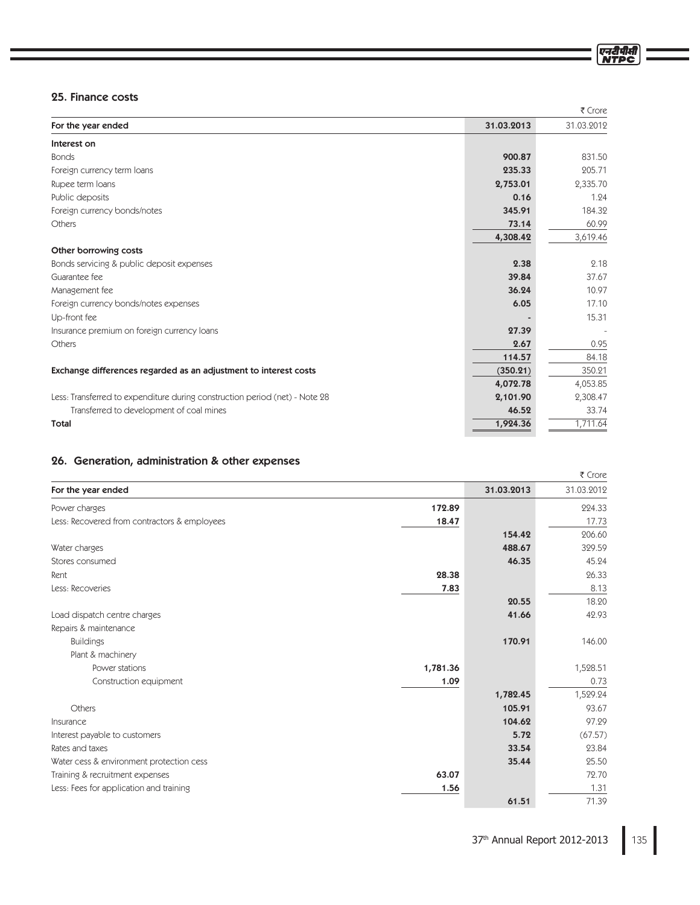# 25. Finance costs

|                                                                             |            | ₹ Crore    |
|-----------------------------------------------------------------------------|------------|------------|
| For the year ended                                                          | 31.03.2013 | 31.03.2012 |
| Interest on                                                                 |            |            |
| <b>Bonds</b>                                                                | 900.87     | 831.50     |
| Foreign currency term loans                                                 | 235.33     | 205.71     |
| Rupee term loans                                                            | 2,753.01   | 2,335.70   |
| Public deposits                                                             | 0.16       | 1.24       |
| Foreign currency bonds/notes                                                | 345.91     | 184.32     |
| Others                                                                      | 73.14      | 60.99      |
|                                                                             | 4,308.42   | 3,619.46   |
| Other borrowing costs                                                       |            |            |
| Bonds servicing & public deposit expenses                                   | 2.38       | 2.18       |
| Guarantee fee                                                               | 39.84      | 37.67      |
| Management fee                                                              | 36.24      | 10.97      |
| Foreign currency bonds/notes expenses                                       | 6.05       | 17.10      |
| Up-front fee                                                                |            | 15.31      |
| Insurance premium on foreign currency loans                                 | 27.39      |            |
| Others                                                                      | 2.67       | 0.95       |
|                                                                             | 114.57     | 84.18      |
| Exchange differences regarded as an adjustment to interest costs            | (350.21)   | 350.21     |
|                                                                             | 4,072.78   | 4,053.85   |
| Less: Transferred to expenditure during construction period (net) - Note 28 | 2,101.90   | 2,308.47   |
| Transferred to development of coal mines                                    | 46.52      | 33.74      |
| <b>Total</b>                                                                | 1,924.36   | 1,711.64   |
|                                                                             |            |            |

# 26. Generation, administration & other expenses

|                                              |          |            | ₹ Crore    |
|----------------------------------------------|----------|------------|------------|
| For the year ended                           |          | 31.03.2013 | 31.03.2012 |
| Power charges                                | 172.89   |            | 224.33     |
| Less: Recovered from contractors & employees | 18.47    |            | 17.73      |
|                                              |          | 154.42     | 206.60     |
| Water charges                                |          | 488.67     | 329.59     |
| Stores consumed                              |          | 46.35      | 45.24      |
| Rent                                         | 28.38    |            | 26.33      |
| Less: Recoveries                             | 7.83     |            | 8.13       |
|                                              |          | 20.55      | 18.20      |
| Load dispatch centre charges                 |          | 41.66      | 42.93      |
| Repairs & maintenance                        |          |            |            |
| <b>Buildings</b>                             |          | 170.91     | 146.00     |
| Plant & machinery                            |          |            |            |
| Power stations                               | 1,781.36 |            | 1,528.51   |
| Construction equipment                       | 1.09     |            | 0.73       |
|                                              |          | 1,782.45   | 1,529.24   |
| Others                                       |          | 105.91     | 93.67      |
| Insurance                                    |          | 104.62     | 97.29      |
| Interest payable to customers                |          | 5.72       | (67.57)    |
| Rates and taxes                              |          | 33.54      | 23.84      |
| Water cess & environment protection cess     |          | 35.44      | 25.50      |
| Training & recruitment expenses              | 63.07    |            | 72.70      |
| Less: Fees for application and training      | 1.56     |            | 1.31       |
|                                              |          | 61.51      | 71.39      |

एनटीपीर्स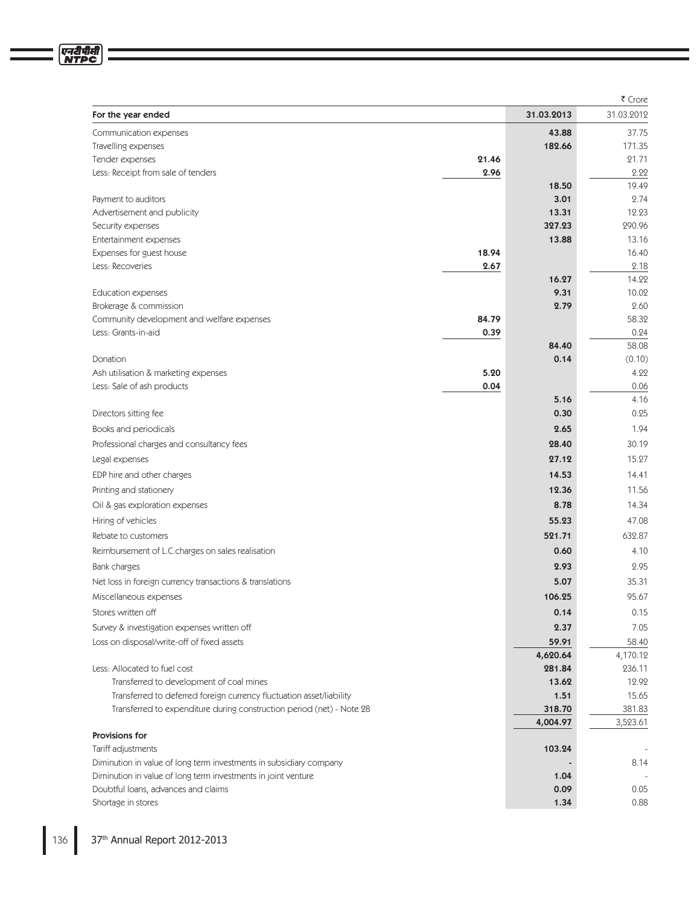|                                                                                                      |               |              | ₹ Crore       |
|------------------------------------------------------------------------------------------------------|---------------|--------------|---------------|
| For the year ended                                                                                   |               | 31.03.2013   | 31.03.2012    |
| Communication expenses                                                                               |               | 43.88        | 37.75         |
| Travelling expenses                                                                                  |               | 182.66       | 171.35        |
| Tender expenses                                                                                      | 21.46         |              | 21.71         |
| Less: Receipt from sale of tenders                                                                   | 2.96          |              | 2.22          |
|                                                                                                      |               | 18.50        | 19.49         |
| Payment to auditors                                                                                  |               | 3.01         | 2.74          |
| Advertisement and publicity                                                                          |               | 13.31        | 12.23         |
| Security expenses                                                                                    |               | 327.23       | 290.96        |
| Entertainment expenses                                                                               |               | 13.88        | 13.16         |
| Expenses for guest house<br>Less: Recoveries                                                         | 18.94<br>2.67 |              | 16.40<br>2.18 |
|                                                                                                      |               | 16.27        | 14.22         |
| Education expenses                                                                                   |               | 9.31         | 10.02         |
| Brokerage & commission                                                                               |               | 2.79         | 2.60          |
| Community development and welfare expenses                                                           | 84.79         |              | 58.32         |
| Less: Grants-in-aid                                                                                  | 0.39          |              | 0.24          |
|                                                                                                      |               | 84.40        | 58.08         |
| Donation                                                                                             |               | 0.14         | (0.10)        |
| Ash utilisation & marketing expenses                                                                 | 5.20          |              | 4.22          |
| Less: Sale of ash products                                                                           | 0.04          |              | 0.06          |
|                                                                                                      |               | 5.16         | 4.16          |
| Directors sitting fee                                                                                |               | 0.30         | 0.25          |
| Books and periodicals                                                                                |               | 2.65         | 1.94          |
| Professional charges and consultancy fees                                                            |               | 28.40        | 30.19         |
| Legal expenses                                                                                       |               | 27.12        | 15.27         |
| EDP hire and other charges                                                                           |               | 14.53        | 14.41         |
| Printing and stationery                                                                              |               | 12.36        | 11.56         |
| Oil & gas exploration expenses                                                                       |               | 8.78         | 14.34         |
| Hiring of vehicles                                                                                   |               | 55.23        | 47.08         |
|                                                                                                      |               | 521.71       | 632.87        |
| Rebate to customers                                                                                  |               |              |               |
| Reimbursement of L.C.charges on sales realisation                                                    |               | 0.60         | 4.10          |
| Bank charges                                                                                         |               | 2.93         | 2.95          |
| Net loss in foreign currency transactions & translations                                             |               | 5.07         | 35.31         |
| Miscellaneous expenses                                                                               |               | 106.25       | 95.67         |
| Stores written off                                                                                   |               | 0.14         | 0.15          |
| Survey & investigation expenses written off                                                          |               | 2.37         | 7.05          |
| Loss on disposal/write-off of fixed assets                                                           |               | 59.91        | 58.40         |
|                                                                                                      |               | 4,620.64     | 4,170.12      |
| Less: Allocated to fuel cost                                                                         |               | 281.84       | 236.11        |
| Transferred to development of coal mines                                                             |               | 13.62        | 12.92         |
| Transferred to deferred foreign currency fluctuation asset/liability                                 |               | 1.51         | 15.65         |
| Transferred to expenditure during construction period (net) - Note 28                                |               | 318.70       | 381.83        |
|                                                                                                      |               | 4,004.97     | 3,523.61      |
| Provisions for                                                                                       |               |              |               |
| Tariff adjustments                                                                                   |               | 103.24       |               |
| Diminution in value of long term investments in subsidiary company                                   |               |              | 8.14          |
| Diminution in value of long term investments in joint venture<br>Doubtful loans, advances and claims |               | 1.04<br>0.09 | 0.05          |
| Shortage in stores                                                                                   |               | 1.34         | 0.88          |
|                                                                                                      |               |              |               |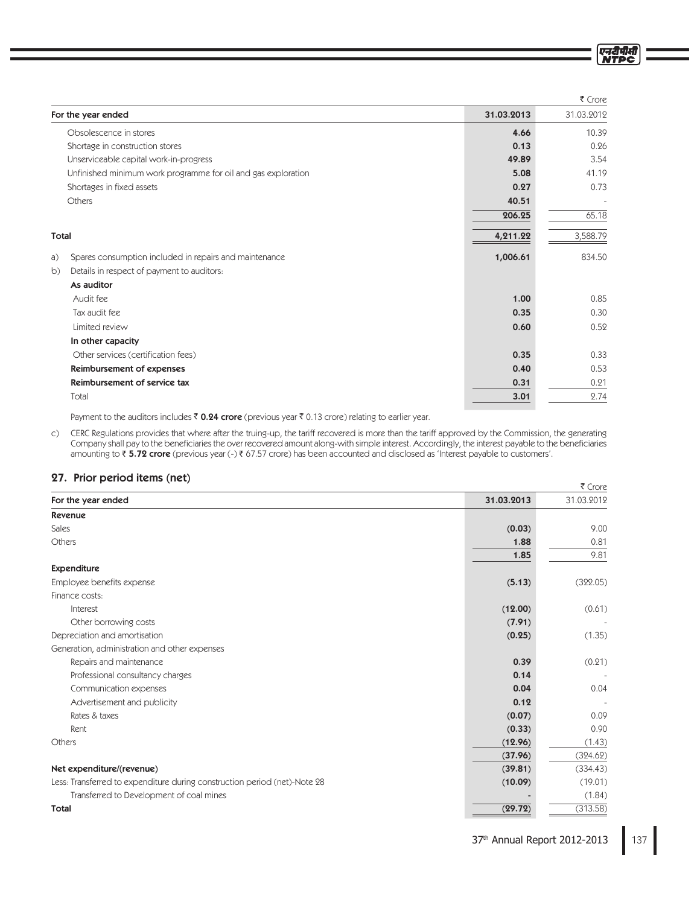|                                                               |            | ₹ Crore    |
|---------------------------------------------------------------|------------|------------|
| For the year ended                                            | 31.03.2013 | 31.03.2012 |
| Obsolescence in stores                                        | 4.66       | 10.39      |
| Shortage in construction stores                               | 0.13       | 0.26       |
| Unserviceable capital work-in-progress                        | 49.89      | 3.54       |
| Unfinished minimum work programme for oil and gas exploration | 5.08       | 41.19      |
| Shortages in fixed assets                                     | 0.27       | 0.73       |
| Others                                                        | 40.51      |            |
|                                                               | 206.25     | 65.18      |
| <b>Total</b>                                                  | 4,211.22   | 3,588.79   |
| Spares consumption included in repairs and maintenance<br>a)  | 1,006.61   | 834.50     |
| b)<br>Details in respect of payment to auditors:              |            |            |
| As auditor                                                    |            |            |
| Audit fee                                                     | 1.00       | 0.85       |
| Tax audit fee                                                 | 0.35       | 0.30       |
| Limited review                                                | 0.60       | 0.52       |
| In other capacity                                             |            |            |
| Other services (certification fees)                           | 0.35       | 0.33       |
| Reimbursement of expenses                                     | 0.40       | 0.53       |
| Reimbursement of service tax                                  | 0.31       | 0.21       |
| Total                                                         | 3.01       | 2.74       |

Payment to the auditors includes  $\bar{\bar{\tau}}$  0.24 crore (previous year  $\bar{\bar{\tau}}$  0.13 crore) relating to earlier year.

c) CERC Regulations provides that where after the truing-up, the tariff recovered is more than the tariff approved by the Commission, the generating Company shall pay to the beneficiaries the over recovered amount along-with simple interest. Accordingly, the interest payable to the beneficiaries amounting to ₹ **5.72 crore** (previous year (-) ₹ 67.57 crore) has been accounted and disclosed as 'Interest payable to customers'.

# 27. Prior period items (net)

| $\mathbf{z}_I$ . Thor period remissingly                                  |            | ₹ Crore    |
|---------------------------------------------------------------------------|------------|------------|
| For the year ended                                                        | 31.03.2013 | 31.03.2012 |
| <b>Revenue</b>                                                            |            |            |
| Sales                                                                     | (0.03)     | 9.00       |
| Others                                                                    | 1.88       | 0.81       |
|                                                                           | 1.85       | 9.81       |
| <b>Expenditure</b>                                                        |            |            |
| Employee benefits expense                                                 | (5.13)     | (322.05)   |
| Finance costs:                                                            |            |            |
| Interest                                                                  | (12.00)    | (0.61)     |
| Other borrowing costs                                                     | (7.91)     |            |
| Depreciation and amortisation                                             | (0.25)     | (1.35)     |
| Generation, administration and other expenses                             |            |            |
| Repairs and maintenance                                                   | 0.39       | (0.21)     |
| Professional consultancy charges                                          | 0.14       |            |
| Communication expenses                                                    | 0.04       | 0.04       |
| Advertisement and publicity                                               | 0.12       |            |
| Rates & taxes                                                             | (0.07)     | 0.09       |
| Rent                                                                      | (0.33)     | 0.90       |
| Others                                                                    | (12.96)    | (1.43)     |
|                                                                           | (37.96)    | (324.62)   |
| Net expenditure/(revenue)                                                 | (39.81)    | (334.43)   |
| Less: Transferred to expenditure during construction period (net)-Note 28 | (10.09)    | (19.01)    |
| Transferred to Development of coal mines                                  |            | (1.84)     |
| <b>Total</b>                                                              | (29.72)    | (313.58)   |

एन<u>री</u>पीसी **NTPC**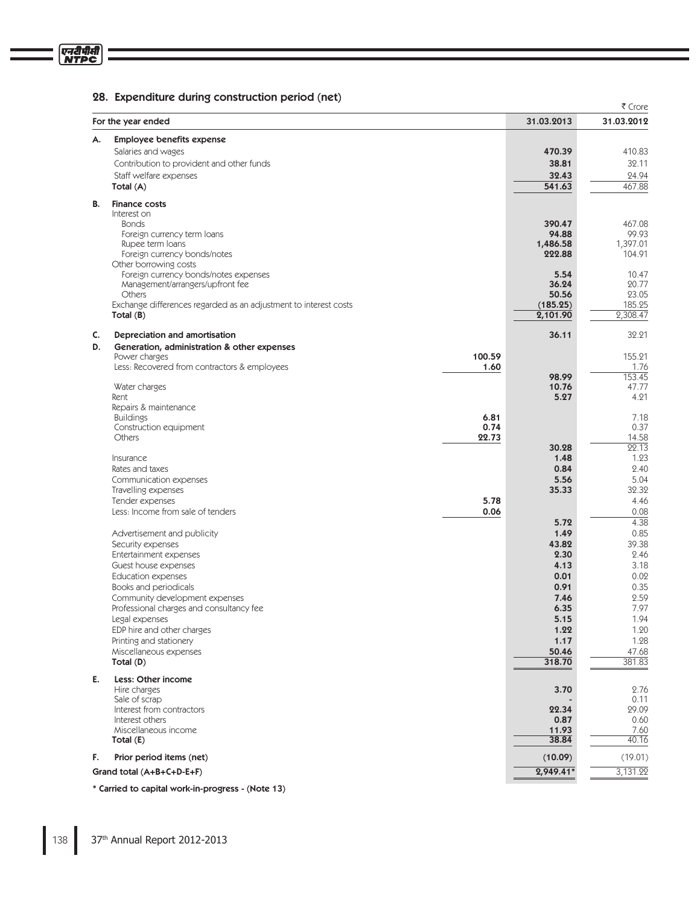# 28. Expenditure during construction period (net)

|    |                                                                            |        |                   | ₹ Crore           |
|----|----------------------------------------------------------------------------|--------|-------------------|-------------------|
|    | For the year ended                                                         |        | 31.03.2013        | 31.03.2012        |
| А. | <b>Employee benefits expense</b>                                           |        |                   |                   |
|    | Salaries and wages                                                         |        | 470.39            | 410.83            |
|    | Contribution to provident and other funds                                  |        | 38.81             | 32.11             |
|    | Staff welfare expenses                                                     |        | 32.43             | 24.94             |
|    | Total (A)                                                                  |        | 541.63            | 467.88            |
| В. | <b>Finance costs</b>                                                       |        |                   |                   |
|    | Interest on                                                                |        |                   |                   |
|    | <b>Bonds</b>                                                               |        | 390.47            | 467.08            |
|    | Foreign currency term loans<br>Rupee term loans                            |        | 94.88<br>1,486.58 | 99.93<br>1,397.01 |
|    | Foreign currency bonds/notes                                               |        | 222.88            | 104.91            |
|    | Other borrowing costs                                                      |        |                   |                   |
|    | Foreign currency bonds/notes expenses                                      |        | 5.54              | 10.47             |
|    | Management/arrangers/upfront fee                                           |        | 36.24             | 20.77             |
|    | Others<br>Exchange differences regarded as an adjustment to interest costs |        | 50.56<br>(185.25) | 23.05<br>185.25   |
|    | Total $(B)$                                                                |        | 2,101.90          | 2,308.47          |
|    |                                                                            |        |                   |                   |
| C. | Depreciation and amortisation                                              |        | 36.11             | 32.21             |
| D. | Generation, administration & other expenses                                | 100.59 |                   |                   |
|    | Power charges<br>Less: Recovered from contractors & employees              | 1.60   |                   | 155.21<br>1.76    |
|    |                                                                            |        | 98.99             | 153.45            |
|    | Water charges                                                              |        | 10.76             | 47.77             |
|    | Rent                                                                       |        | 5.27              | 4.21              |
|    | Repairs & maintenance                                                      | 6.81   |                   | 7.18              |
|    | <b>Buildings</b><br>Construction equipment                                 | 0.74   |                   | 0.37              |
|    | Others                                                                     | 22.73  |                   | 14.58             |
|    |                                                                            |        | 30.28             | 22.13             |
|    | Insurance                                                                  |        | 1.48              | 1.23              |
|    | Rates and taxes                                                            |        | 0.84<br>5.56      | 2.40<br>5.04      |
|    | Communication expenses<br>Travelling expenses                              |        | 35.33             | 32.32             |
|    | Tender expenses                                                            | 5.78   |                   | 4.46              |
|    | Less: Income from sale of tenders                                          | 0.06   |                   | 0.08              |
|    |                                                                            |        | 5.72              | 4.38              |
|    | Advertisement and publicity                                                |        | 1.49              | 0.85              |
|    | Security expenses                                                          |        | 43.82             | 39.38             |
|    | Entertainment expenses<br>Guest house expenses                             |        | 2.30<br>4.13      | 2.46<br>3.18      |
|    | <b>Education expenses</b>                                                  |        | 0.01              | 0.02              |
|    | Books and periodicals                                                      |        | 0.91              | 0.35              |
|    | Community development expenses                                             |        | 7.46              | 2.59              |
|    | Professional charges and consultancy fee                                   |        | 6.35              | 7.97              |
|    | Legal expenses                                                             |        | 5.15              | 1.94              |
|    | EDP hire and other charges                                                 |        | 1.22              | 1.20              |
|    | Printing and stationery<br>Miscellaneous expenses                          |        | 1.17              | 1.28              |
|    | Total (D)                                                                  |        | 50.46<br>318.70   | 47.68<br>381.83   |
|    |                                                                            |        |                   |                   |
| Е. | Less: Other income<br>Hire charges                                         |        | 3.70              | 2.76              |
|    | Sale of scrap                                                              |        |                   | 0.11              |
|    | Interest from contractors                                                  |        | 22.34             | 29.09             |
|    | Interest others                                                            |        | 0.87              | 0.60              |
|    | Miscellaneous income                                                       |        | 11.93             | 7.60              |
|    | Total (E)                                                                  |        | 38.84             | 40.16             |
| F. | Prior period items (net)                                                   |        | (10.09)           | (19.01)           |
|    | Grand total (A+B+C+D-E+F)                                                  |        | $2,949.41*$       | 3,131.22          |
|    |                                                                            |        |                   |                   |

\* Carried to capital work-in-progress - (Note 13)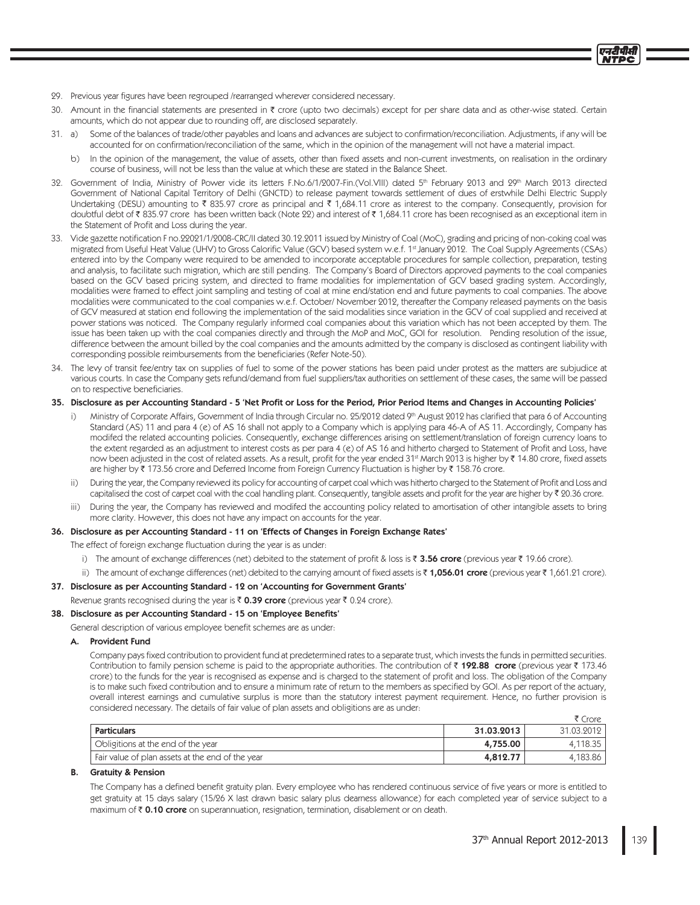- 29. Previous year figures have been regrouped /rearranged wherever considered necessary.
- 30. Amount in the financial statements are presented in ₹ crore (upto two decimals) except for per share data and as other-wise stated. Certain amounts, which do not appear due to rounding off, are disclosed separately.
- 31. a) Some of the balances of trade/other payables and loans and advances are subject to confirmation/reconciliation. Adjustments, if any will be accounted for on confirmation/reconciliation of the same, which in the opinion of the management will not have a material impact.
	- b) In the opinion of the management, the value of assets, other than fixed assets and non-current investments, on realisation in the ordinary course of business, will not be less than the value at which these are stated in the Balance Sheet.
- 32. Government of India, Ministry of Power vide its letters F.No.6/1/2007-Fin.(Vol.VIII) dated 5<sup>th</sup> February 2013 and 29<sup>th</sup> March 2013 directed Government of National Capital Territory of Delhi (GNCTD) to release payment towards settlement of dues of erstwhile Delhi Electric Supply Undertaking (DESU) amounting to  $\bar{\tau}$  835.97 crore as principal and  $\bar{\tau}$  1,684.11 crore as interest to the company. Consequently, provision for doubtful debt of ₹835.97 crore has been written back (Note 22) and interest of ₹1,684.11 crore has been recognised as an exceptional item in the Statement of Profit and Loss during the year.
- 33. Vide gazette notification F no.22021/1/2008-CRC/II dated 30.12.2011 issued by Ministry of Coal (MoC), grading and pricing of non-coking coal was migrated from Useful Heat Value (UHV) to Gross Calorific Value (GCV) based system w.e.f. 1st January 2012. The Coal Supply Agreements (CSAs) entered into by the Company were required to be amended to incorporate acceptable procedures for sample collection, preparation, testing and analysis, to facilitate such migration, which are still pending. The Company's Board of Directors approved payments to the coal companies based on the GCV based pricing system, and directed to frame modalities for implementation of GCV based grading system. Accordingly, modalities were framed to effect joint sampling and testing of coal at mine end/station end and future payments to coal companies. The above modalities were communicated to the coal companies w.e.f. October/ November 2012, thereafter the Company released payments on the basis of GCV measured at station end following the implementation of the said modalities since variation in the GCV of coal supplied and received at power stations was noticed. The Company regularly informed coal companies about this variation which has not been accepted by them. The issue has been taken up with the coal companies directly and through the MoP and MoC, GOI for resolution. Pending resolution of the issue, difference between the amount billed by the coal companies and the amounts admitted by the company is disclosed as contingent liability with corresponding possible reimbursements from the beneficiaries (Refer Note-50).
- 34. The levy of transit fee/entry tax on supplies of fuel to some of the power stations has been paid under protest as the matters are subjudice at various courts. In case the Company gets refund/demand from fuel suppliers/tax authorities on settlement of these cases, the same will be passed on to respective beneficiaries.

# 35. Disclosure as per Accounting Standard - 5 'Net Profit or Loss for the Period, Prior Period Items and Changes in Accounting Policies'

- Ministry of Corporate Affairs, Government of India through Circular no. 25/2012 dated 9th August 2012 has clarified that para 6 of Accounting Standard (AS) 11 and para 4 (e) of AS 16 shall not apply to a Company which is applying para 46-A of AS 11. Accordingly, Company has modifed the related accounting policies. Consequently, exchange differences arising on settlement/translation of foreign currency loans to the extent regarded as an adjustment to interest costs as per para 4 (e) of AS 16 and hitherto charged to Statement of Profit and Loss, have now been adjusted in the cost of related assets. As a result, profit for the year ended 31<sup>st</sup> March 2013 is higher by ₹ 14.80 crore, fixed assets are higher by ₹ 173.56 crore and Deferred Income from Foreign Currency Fluctuation is higher by ₹ 158.76 crore.
- $\overline{11}$ During the year, the Company reviewed its policy for accounting of carpet coal which was hitherto charged to the Statement of Profit and Loss and capitalised the cost of carpet coal with the coal handling plant. Consequently, tangible assets and profit for the year are higher by ₹ 20.36 crore.
- During the year, the Company has reviewed and modifed the accounting policy related to amortisation of other intangible assets to bring  $iii)$ more clarity. However, this does not have any impact on accounts for the year.

# 36. Disclosure as per Accounting Standard - 11 on 'Effects of Changes in Foreign Exchange Rates'

The effect of foreign exchange fluctuation during the year is as under:

- i) The amount of exchange differences (net) debited to the statement of profit & loss is ₹ 3.56 crore (previous year ₹ 19.66 crore).
- ii) The amount of exchange differences (net) debited to the carrying amount of fixed assets is ₹1,056.01 crore (previous year ₹1,661.21 crore).

# 37. Disclosure as per Accounting Standard - 12 on 'Accounting for Government Grants'

Revenue grants recognised during the year is ₹ 0.39 crore (previous year ₹ 0.24 crore).

# 38. Disclosure as per Accounting Standard - 15 on 'Employee Benefits'

General description of various employee benefit schemes are as under:

### A. Provident Fund

Company pays fixed contribution to provident fund at predetermined rates to a separate trust, which invests the funds in permitted securities. Contribution to family pension scheme is paid to the appropriate authorities. The contribution of  $\bar{\tau}$  192.88 crore (previous year  $\bar{\tau}$  173.46 crore) to the funds for the year is recognised as expense and is charged to the statement of profit and loss. The obligation of the Company is to make such fixed contribution and to ensure a minimum rate of return to the members as specified by GOI. As per report of the actuary, overall interest earnings and cumulative surplus is more than the statutory interest payment requirement. Hence, no further provision is considered necessary. The details of fair value of plan assets and obligitions are as under:

|                                                  |            | Crore      |
|--------------------------------------------------|------------|------------|
| Particulars                                      | 31.03.2013 | 31.03.2012 |
| Obligitions at the end of the year               | 4,755.00   | 4.118.35   |
| Fair value of plan assets at the end of the year | 4,812.77   | 4.183.86   |

### **B.** Gratuity & Pension

The Company has a defined benefit gratuity plan. Every employee who has rendered continuous service of five years or more is entitled to get gratuity at 15 days salary (15/26 X last drawn basic salary plus dearness allowance) for each completed year of service subject to a maximum of ₹ 0.10 crore on superannuation, resignation, termination, disablement or on death.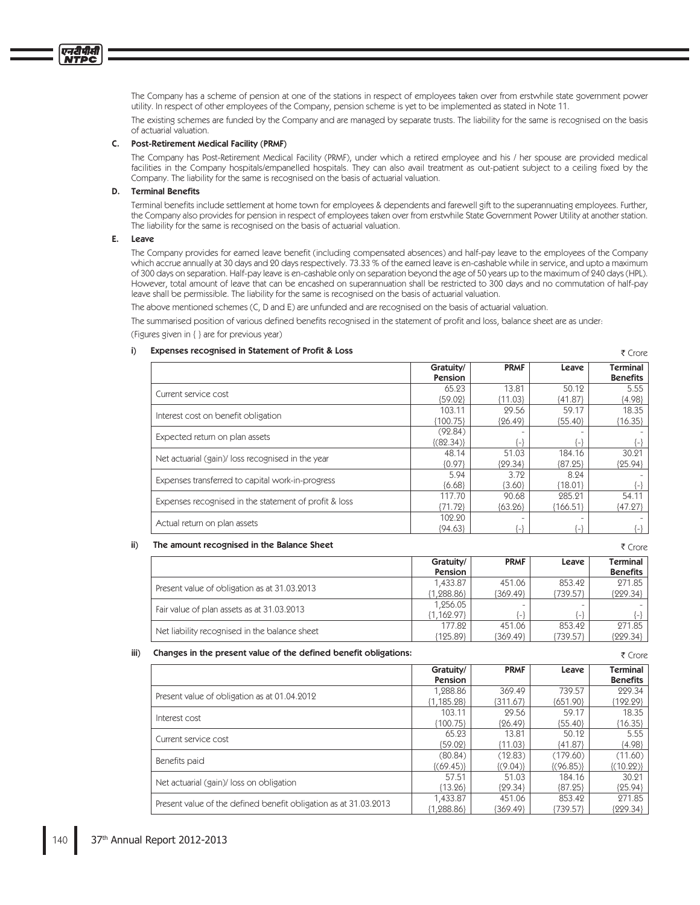The Company has a scheme of pension at one of the stations in respect of employees taken over from erstwhile state government power utility. In respect of other employees of the Company, pension scheme is yet to be implemented as stated in Note 11.

The existing schemes are funded by the Company and are managed by separate trusts. The liability for the same is recognised on the basis of actuarial valuation.

# C. Post-Retirement Medical Facility (PRMF)

The Company has Post-Retirement Medical Facility (PRMF), under which a retired employee and his / her spouse are provided medical facilities in the Company hospitals/empanelled hospitals. They can also avail treatment as out-patient subject to a ceiling fixed by the Company. The liability for the same is recognised on the basis of actuarial valuation.

### **D.** Terminal Benefits

Terminal benefits include settlement at home town for employees & dependents and farewell gift to the superannuating employees. Further, the Company also provides for pension in respect of employees taken over from erstwhile State Government Power Utility at another station. The liability for the same is recognised on the basis of actuarial valuation.

# E. Leave

एनदीपीसी

The Company provides for earned leave benefit (including compensated absences) and half-pay leave to the employees of the Company which accrue annually at 30 days and 20 days respectively. 73.33 % of the earned leave is en-cashable while in service, and upto a maximum of 300 days on separation. Half-pay leave is en-cashable only on separation beyond the age of 50 years up to the maximum of 240 days (HPL). However, total amount of leave that can be encashed on superannuation shall be restricted to 300 days and no commutation of half-pay leave shall be permissible. The liability for the same is recognised on the basis of actuarial valuation.

The above mentioned schemes (C, D and E) are unfunded and are recognised on the basis of actuarial valuation.

The summarised position of various defined benefits recognised in the statement of profit and loss, balance sheet are as under:

(Figures given in { } are for previous year)

#### Expenses recognised in Statement of Profit & Loss  $i$

|                                                       | Gratuity/<br>Pension | <b>PRMF</b> | Leave     | <b>Terminal</b><br><b>Benefits</b> |
|-------------------------------------------------------|----------------------|-------------|-----------|------------------------------------|
| Current service cost                                  | 65.23                | 13.81       | 50.12     | 5.55                               |
|                                                       | {59.02}              | ${11.03}$   | ${41.87}$ | ${4.98}$                           |
| Interest cost on benefit obligation                   | 103.11               | 29.56       | 59.17     | 18.35                              |
|                                                       | ${100.75}$           | ${26.49}$   | ${55.40}$ | ${16.35}$                          |
|                                                       | (92.84)              |             |           |                                    |
| Expected return on plan assets                        | (82.34)              | l — I       | l – !     |                                    |
|                                                       | 48.14                | 51.03       | 184.16    | 30.21                              |
| Net actuarial (gain)/ loss recognised in the year     | ${0.97}$             | ${29.34}$   | ${87.25}$ | ${25.94}$                          |
|                                                       | 5.94                 | 3.72        | 8.24      |                                    |
| Expenses transferred to capital work-in-progress      | ${6.68}$             | ${3.60}$    | ${18.01}$ |                                    |
|                                                       | 117.70               | 90.68       | 285.21    | 54.11                              |
| Expenses recognised in the statement of profit & loss | (71.72)              | ${63.26}$   | {166.51}  | ${47.27}$                          |
|                                                       | 102.20               |             |           |                                    |
| Actual return on plan assets                          | ${94.63}$            | ٠.          | [_]       |                                    |

#### The amount recognised in the Balance Sheet  $\mathbf{ii}$

|                                               | Gratuity/    | <b>PRMF</b> | Leave    | Terminal        |
|-----------------------------------------------|--------------|-------------|----------|-----------------|
|                                               | Pension      |             |          | <b>Benefits</b> |
| Present value of obligation as at 31.03.2013  | 1.433.87     | 451.06      | 853.42   | 271.85          |
|                                               | ${1.288.86}$ | ${369.49}$  | {739.57} | ${229.34}$      |
| Fair value of plan assets as at 31.03.2013    | 1,256.05     |             |          |                 |
|                                               | ${1.162.97}$ | -1          | ា        |                 |
|                                               | 177.82       | 451.06      | 853.42   | 271.85          |
| Net liability recognised in the balance sheet | (105.80)     | 1360 401    | (730 57) | 100031          |

#### Changes in the present value of the defined benefit obligations:  $iii)$

₹ Crore

 $\bar{\tau}$  Crore

₹ Crore

|                                                                  |                      |               |               | , טוטו                             |
|------------------------------------------------------------------|----------------------|---------------|---------------|------------------------------------|
|                                                                  | Gratuity/<br>Pension | <b>PRMF</b>   | Leave         | <b>Terminal</b><br><b>Benefits</b> |
| Present value of obligation as at 01.04.2012                     | 1,288.86             | 369.49        | 739.57        | 229.34                             |
|                                                                  | ${1.185.28}$         | ${311.67}$    | ${651.90}$    | ${192.29}$                         |
|                                                                  | 103.11               | 29.56         | 59.17         | 18.35                              |
| Interest cost                                                    | ${100.75}$           | ${26.49}$     | ${55.40}$     | ${16.35}$                          |
| Current service cost                                             | 65.23                | 13.81         | 50.12         | 5.55                               |
|                                                                  | ${59.02}$            | (11.03)       | {41.87}       | ${4.98}$                           |
| Benefits paid                                                    | (80.84)              | (12.83)       | (179.60)      | (11.60)                            |
|                                                                  | $\{(69.45)\}$        | $\{(9.04)\}\$ | $\{(96.85)\}$ | $\{(10.22)\}\$                     |
| Net actuarial (gain)/loss on obligation                          | 57.51                | 51.03         | 184.16        | 30.21                              |
|                                                                  | ${13.26}$            | ${29.34}$     | ${87.25}$     | ${25.94}$                          |
| Present value of the defined benefit obligation as at 31.03.2013 | 1,433.87             | 451.06        | 853.42        | 271.85                             |
|                                                                  | (1988.86)            | ${369.49}$    | ${739.57}$    | {999.34}                           |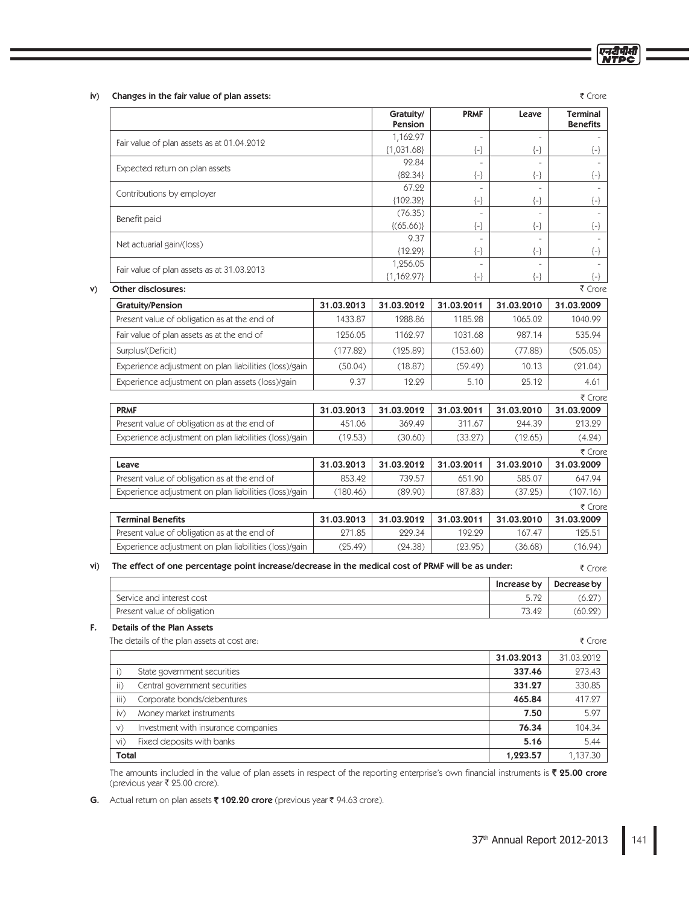| 141<br>37th Annual Report 2012-2013 |
|-------------------------------------|
|-------------------------------------|

|  | v. | ٠<br>. |
|--|----|--------|
|  |    |        |
|  |    |        |

₹ Crore

एन<u>री</u>पीसी

iv) Changes in the fair value of plan assets:

|     |                                                                                                    |                      | Gratuity/<br>Pension     | <b>PRMF</b>          | Leave                | <b>Terminal</b><br><b>Benefits</b> |
|-----|----------------------------------------------------------------------------------------------------|----------------------|--------------------------|----------------------|----------------------|------------------------------------|
|     | Fair value of plan assets as at 01.04.2012                                                         |                      | 1,162.97                 | $\overline{a}$       | $\overline{a}$       |                                    |
|     |                                                                                                    |                      | ${1,031.68}$             | $\left\{ -\right\}$  | $\left\{ -\right\}$  | $\{-\}$                            |
|     | Expected return on plan assets                                                                     |                      | 92.84                    | $\overline{a}$       |                      |                                    |
|     |                                                                                                    |                      | ${82.34}$<br>67.22       | $\{\text{-}\}$<br>÷, | $\{\text{-}\}$       | $\{-\}$                            |
|     | Contributions by employer                                                                          |                      | ${102.32}$               | $\{\text{-}\}$       | $\left\{ -\right\}$  | $\left\{ -\right\}$                |
|     |                                                                                                    |                      | (76.35)                  |                      |                      |                                    |
|     | Benefit paid                                                                                       |                      | (65.66)                  | $\{ - \}$            | $\left\{ -\right\}$  | $\{-\}$                            |
|     | Net actuarial gain/(loss)                                                                          |                      | 9.37                     | $\bar{a}$            | $\sim$               |                                    |
|     |                                                                                                    |                      | ${12.29}$                | $\{\text{-}\}$       | $\{-\}$              | $\{-\}$                            |
|     | Fair value of plan assets as at 31.03.2013                                                         |                      | 1,256.05<br>${1,162.97}$ | $\left\{ -\right\}$  | $\left\{ -\right\}$  |                                    |
| V)  | Other disclosures:                                                                                 |                      |                          |                      |                      | $\{-\}$<br>₹ Crore                 |
|     | <b>Gratuity/Pension</b>                                                                            | 31.03.2013           | 31.03.2012               | 31.03.2011           | 31.03.2010           | 31.03.2009                         |
|     | Present value of obligation as at the end of                                                       | 1433.87              | 1288.86                  | 1185.28              | 1065.02              | 1040.99                            |
|     | Fair value of plan assets as at the end of                                                         | 1256.05              | 1162.97                  | 1031.68              | 987.14               | 535.94                             |
|     | Surplus/(Deficit)                                                                                  | (177.82)             | (125.89)                 | (153.60)             | (77.88)              | (505.05)                           |
|     | Experience adjustment on plan liabilities (loss)/gain                                              | (50.04)              | (18.87)                  | (59.49)              | 10.13                | (21.04)                            |
|     | Experience adjustment on plan assets (loss)/gain                                                   | 9.37                 | 12.29                    | 5.10                 | 25.12                | 4.61                               |
|     |                                                                                                    |                      |                          |                      |                      | ₹ Crore                            |
|     | <b>PRMF</b>                                                                                        | 31.03.2013           | 31.03.2012               | 31.03.2011           | 31.03.2010           | 31.03.2009                         |
|     | Present value of obligation as at the end of                                                       | 451.06               | 369.49                   | 311.67               | 244.39               | 213.29                             |
|     | Experience adjustment on plan liabilities (loss)/gain                                              | (19.53)              | (30.60)                  | (33.27)              | (12.65)              | (4.24)                             |
|     |                                                                                                    |                      |                          |                      |                      | ₹ Crore                            |
|     | Leave                                                                                              | 31.03.2013           | 31.03.2012               | 31.03.2011           | 31.03.2010           | 31.03.2009                         |
|     | Present value of obligation as at the end of                                                       | 853.42               | 739.57                   | 651.90               | 585.07               | 647.94                             |
|     | Experience adjustment on plan liabilities (loss)/gain                                              | (180.46)             | (89.90)                  | (87.83)              | (37.25)              | (107.16)                           |
|     |                                                                                                    |                      |                          |                      |                      | ₹ Crore                            |
|     | <b>Terminal Benefits</b><br>Present value of obligation as at the end of                           | 31.03.2013<br>271.85 | 31.03.2012<br>229.34     | 31.03.2011<br>192.29 | 31.03.2010<br>167.47 | 31.03.2009<br>125.51               |
|     | Experience adjustment on plan liabilities (loss)/gain                                              | (25.49)              | (24.38)                  | (23.95)              | (36.68)              | (16.94)                            |
|     |                                                                                                    |                      |                          |                      |                      |                                    |
| vi) | The effect of one percentage point increase/decrease in the medical cost of PRMF will be as under: |                      |                          |                      |                      | ₹ Crore                            |
|     |                                                                                                    |                      |                          |                      | Increase by          | Decrease by                        |
|     | Service and interest cost                                                                          |                      |                          |                      | 5.72                 | (6.27)                             |
|     | Present value of obligation                                                                        |                      |                          |                      | 73.42                | (60.22)                            |
| F.  | Details of the Plan Assets<br>The details of the plan assets at cost are:                          |                      |                          |                      |                      | ₹ Crore                            |
|     |                                                                                                    |                      |                          |                      | 31.03.2013           | 31.03.2012                         |
|     | State government securities<br>i)                                                                  |                      |                          |                      | 337.46               | 273.43                             |
|     | $\mathsf{ii}$ )<br>Central government securities                                                   |                      |                          |                      | 331.27               | 330.85                             |
|     | iii)<br>Corporate bonds/debentures                                                                 |                      |                          |                      | 465.84               | 417.27                             |

**Total 1,137.30** and the contract of the contract of the contract of the contract of the contract of the contract of the contract of the contract of the contract of the contract of the contract of the contract of the cont The amounts included in the value of plan assets in respect of the reporting enterprise's own financial instruments is  $\bar{\bm{\xi}}$  **25.00 crore** (previous year ₹ 25.00 crore).

Money market instruments **7.50** 5.97

The Investment with insurance companies and the component of the Component of the Component of the Component of the Component of the Component of the Component of the Component of the Component of the Component of the Comp

Fixed deposits with banks 5.44 Second 1.5 and 2.5 Second 1.5 and 3.44 Second 1.5 and 3.44 Second 1.5 and 3.5 and 3.5 and 3.5 and 3.5 and 3.5 and 3.5 and 3.5 and 3.5 and 3.5 and 3.5 and 3.5 and 3.5 and 3.5 and 3.5 and 3.5 a

G. Actual return on plan assets ₹ 102.20 crore (previous year ₹ 94.63 crore).

 $iv)$ 

W

vi)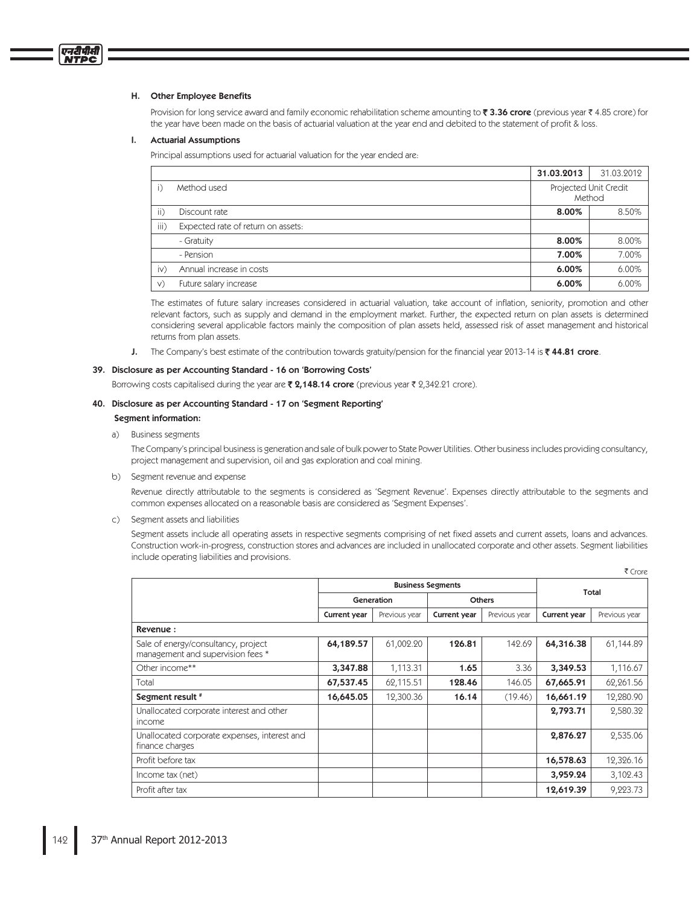### H. Other Employee Benefits

एनदीपीसी

Provision for long service award and family economic rehabilitation scheme amounting to ₹3.36 crore (previous year ₹4.85 crore) for the year have been made on the basis of actuarial valuation at the year end and debited to the statement of profit & loss.

#### L. **Actuarial Assumptions**

Principal assumptions used for actuarial valuation for the year ended are:

|           |                                    | 31.03.2013                      | 31.03.2012 |
|-----------|------------------------------------|---------------------------------|------------|
|           | Method used                        | Projected Unit Credit<br>Method |            |
| ii)       | Discount rate                      | 8.00%                           | 8.50%      |
| iii)      | Expected rate of return on assets: |                                 |            |
|           | - Gratuity                         | 8.00%                           | 8.00%      |
|           | - Pension                          | 7.00%                           | 7.00%      |
| $\dot{N}$ | Annual increase in costs           | 6.00%                           | 6.00%      |
| V)        | Future salary increase             | 6.00%                           | 6.00%      |

The estimates of future salary increases considered in actuarial valuation, take account of inflation, seniority, promotion and other relevant factors, such as supply and demand in the employment market. Further, the expected return on plan assets is determined considering several applicable factors mainly the composition of plan assets held, assessed risk of asset management and historical returns from plan assets.

The Company's best estimate of the contribution towards gratuity/pension for the financial year 2013-14 is  $\bar{\ell}$  44.81 crore. J.

### 39. Disclosure as per Accounting Standard - 16 on 'Borrowing Costs'

Borrowing costs capitalised during the year are ₹2,148.14 crore (previous year ₹2,342.21 crore).

### 40. Disclosure as per Accounting Standard - 17 on 'Segment Reporting'

### Segment information:

a) Business segments

The Company's principal business is generation and sale of bulk power to State Power Utilities. Other business includes providing consultancy, project management and supervision, oil and gas exploration and coal mining.

b) Segment revenue and expense

Revenue directly attributable to the segments is considered as 'Segment Revenue'. Expenses directly attributable to the segments and common expenses allocated on a reasonable basis are considered as 'Segment Expenses'.

c) Segment assets and liabilities

Segment assets include all operating assets in respective segments comprising of net fixed assets and current assets, loans and advances. Construction work-in-progress, construction stores and advances are included in unallocated corporate and other assets. Segment liabilities include operating liabilities and provisions.

 $F$  Cross

|                                                                          |                          |               |                     |               | 1 CIUIC      |               |
|--------------------------------------------------------------------------|--------------------------|---------------|---------------------|---------------|--------------|---------------|
|                                                                          | <b>Business Segments</b> |               |                     |               | Total        |               |
|                                                                          | Generation               |               | <b>Others</b>       |               |              |               |
|                                                                          | Current year             | Previous year | <b>Current year</b> | Previous year | Current year | Previous year |
| Revenue:                                                                 |                          |               |                     |               |              |               |
| Sale of energy/consultancy, project<br>management and supervision fees * | 64,189.57                | 61,002.20     | 126.81              | 142.69        | 64,316.38    | 61,144.89     |
| Other income**                                                           | 3,347.88                 | 1,113.31      | 1.65                | 3.36          | 3,349.53     | 1,116.67      |
| Total                                                                    | 67,537.45                | 62,115.51     | 128.46              | 146.05        | 67,665.91    | 62,261.56     |
| Segment result #                                                         | 16,645.05                | 12,300.36     | 16.14               | (19.46)       | 16,661.19    | 12,280.90     |
| Unallocated corporate interest and other<br>income                       |                          |               |                     |               | 2,793.71     | 2,580.32      |
| Unallocated corporate expenses, interest and<br>finance charges          |                          |               |                     |               | 2,876.27     | 2,535.06      |
| Profit before tax                                                        |                          |               |                     |               | 16,578.63    | 12,326.16     |
| Income tax (net)                                                         |                          |               |                     |               | 3,959.24     | 3,102.43      |
| Profit after tax                                                         |                          |               |                     |               | 12,619.39    | 9,223.73      |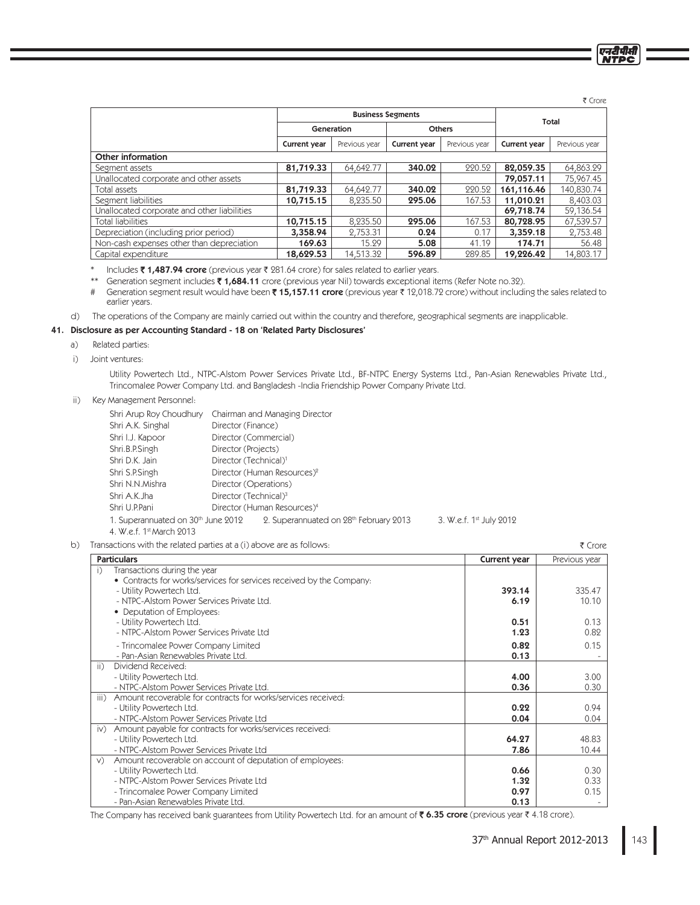₹ Crore

एनदीपीसी

| 1500                                        |                          |               |              |               |              |               |
|---------------------------------------------|--------------------------|---------------|--------------|---------------|--------------|---------------|
|                                             | <b>Business Segments</b> |               |              |               | Total        |               |
|                                             |                          | Generation    |              | <b>Others</b> |              |               |
|                                             | Current year             | Previous year | Current year | Previous year | Current year | Previous year |
| Other information                           |                          |               |              |               |              |               |
| Segment assets                              | 81,719.33                | 64.642.77     | 340.02       | 220.52        | 82,059.35    | 64,863.29     |
| Unallocated corporate and other assets      |                          |               |              |               | 79,057.11    | 75,967.45     |
| Total assets                                | 81,719.33                | 64.642.77     | 340.02       | 220.52        | 161,116.46   | 140,830.74    |
| Segment liabilities                         | 10,715.15                | 8.235.50      | 295.06       | 167.53        | 11,010.21    | 8,403.03      |
| Unallocated corporate and other liabilities |                          |               |              |               | 69,718.74    | 59,136.54     |
| Total liabilities                           | 10,715.15                | 8.235.50      | 295.06       | 167.53        | 80,728.95    | 67,539.57     |
| Depreciation (including prior period)       | 3,358.94                 | 2.753.31      | 0.24         | 0.17          | 3,359.18     | 2,753.48      |
| Non-cash expenses other than depreciation   | 169.63                   | 15.29         | 5.08         | 41.19         | 174.71       | 56.48         |
| Capital expenditure                         | 18,629.53                | 14,513.32     | 596.89       | 289.85        | 19,226.42    | 14.803.17     |

\* Includes **₹ 1,487.94 crore** (previous year ₹ 281.64 crore) for sales related to earlier years.

\*\* Generation segment includes **₹ 1,684.11** crore (previous year Nil) towards exceptional items (Refer Note no.32).

# Generation segment result would have been ₹ 15,157.11 crore (previous year ₹ 12,018.72 crore) without including the sales related to earlier years.

d) The operations of the Company are mainly carried out within the country and therefore, geographical segments are inapplicable.

# 41. Disclosure as per Accounting Standard - 18 on 'Related Party Disclosures'

- a) Related parties:
- i) Joint ventures:

 Utility Powertech Ltd., NTPC-Alstom Power Services Private Ltd., BF-NTPC Energy Systems Ltd., Pan-Asian Renewables Private Ltd., Trincomalee Power Company Ltd. and Bangladesh -India Friendship Power Company Private Ltd.

ii) Key Management Personnel:

|                                    | Shri Arup Roy Choudhury Chairman and Managing Director |                                     |
|------------------------------------|--------------------------------------------------------|-------------------------------------|
| Shri A.K. Singhal                  | Director (Finance)                                     |                                     |
| Shri I.J. Kapoor                   | Director (Commercial)                                  |                                     |
| Shri.B.P.Singh                     | Director (Projects)                                    |                                     |
| Shri D.K. Jain                     | Director (Technical) <sup>1</sup>                      |                                     |
| Shri S.P.Singh                     | Director (Human Resources) <sup>2</sup>                |                                     |
| Shri N.N.Mishra                    | Director (Operations)                                  |                                     |
| Shri A.K.Jha                       | Director (Technical) <sup>3</sup>                      |                                     |
| Shri U.P.Pani                      | Director (Human Resources) <sup>4</sup>                |                                     |
| 1. Superannuated on 30th June 2012 | 2. Superannuated on 28th February 2013                 | 3. W.e.f. 1 <sup>st</sup> July 2012 |
|                                    |                                                        |                                     |

4. W.e.f. 1st March 2013

b) Transactions with the related parties at a (i) above are as follows:

| Transactions with the related parties at a (i) above are as follows:  |              | ₹ Crore       |
|-----------------------------------------------------------------------|--------------|---------------|
| <b>Particulars</b>                                                    | Current year | Previous year |
| Transactions during the year<br>i)                                    |              |               |
| • Contracts for works/services for services received by the Company:  |              |               |
| - Utility Powertech Ltd.                                              | 393.14       | 335.47        |
| - NTPC-Alstom Power Services Private Ltd.                             | 6.19         | 10.10         |
| • Deputation of Employees:                                            |              |               |
| - Utility Powertech Ltd.                                              | 0.51         | 0.13          |
| - NTPC-Alstom Power Services Private Ltd                              | 1.23         | 0.82          |
| - Trincomalee Power Company Limited                                   | 0.82         | 0.15          |
| - Pan-Asian Renewables Private Ltd.                                   | 0.13         |               |
| Dividend Received:<br>ii)                                             |              |               |
| - Utility Powertech Ltd.                                              | 4.00         | 3.00          |
| - NTPC-Alstom Power Services Private Ltd.                             | 0.36         | 0.30          |
| Amount recoverable for contracts for works/services received:<br>iii) |              |               |
| - Utility Powertech Ltd.                                              | 0.22         | 0.94          |
| - NTPC-Alstom Power Services Private Ltd                              | 0.04         | 0.04          |
| Amount payable for contracts for works/services received:<br>iv)      |              |               |
| - Utility Powertech Ltd.                                              | 64.27        | 48.83         |
| - NTPC-Alstom Power Services Private Ltd                              | 7.86         | 10.44         |
| Amount recoverable on account of deputation of employees:<br>V)       |              |               |
| - Utility Powertech Ltd.                                              | 0.66         | 0.30          |
| - NTPC-Alstom Power Services Private Ltd                              | 1.32         | 0.33          |
| - Trincomalee Power Company Limited                                   | 0.97         | 0.15          |
| - Pan-Asian Renewables Private Ltd.                                   | 0.13         |               |

The Company has received bank guarantees from Utility Powertech Ltd. for an amount of **₹ 6.35 crore** (previous year ₹ 4.18 crore).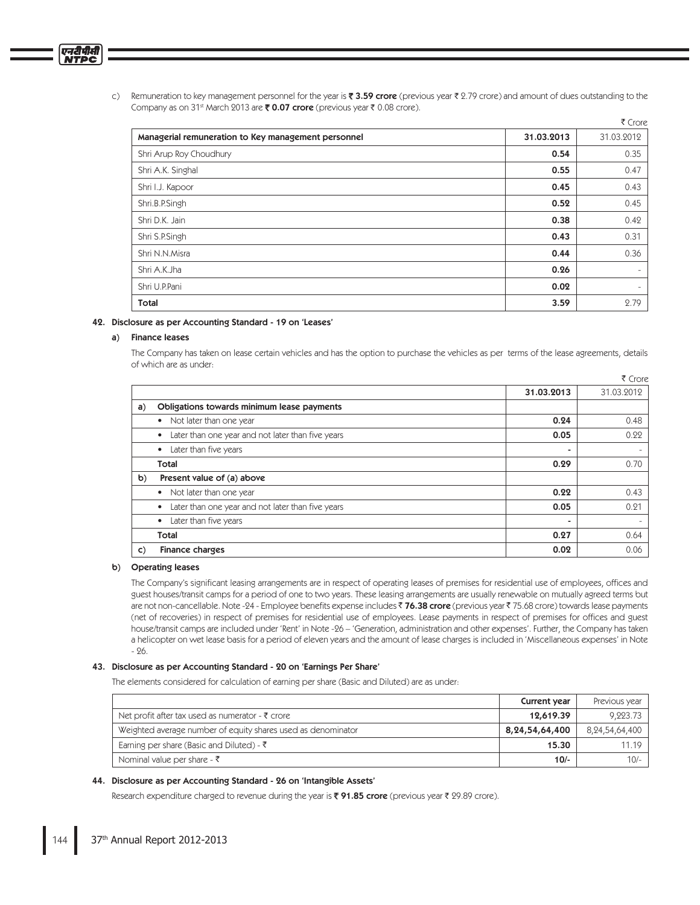c) Remuneration to key management personnel for the year is **₹ 3.59 crore** (previous year ₹ 2.79 crore) and amount of dues outstanding to the Company as on 31<sup>st</sup> March 2013 are ₹ 0.07 crore (previous year ₹ 0.08 crore).

|                                                     |            | ₹ Crore    |
|-----------------------------------------------------|------------|------------|
| Managerial remuneration to Key management personnel | 31.03.2013 | 31.03.2012 |
| Shri Arup Roy Choudhury                             | 0.54       | 0.35       |
| Shri A.K. Singhal                                   | 0.55       | 0.47       |
| Shri I.J. Kapoor                                    | 0.45       | 0.43       |
| Shri.B.P.Singh                                      | 0.52       | 0.45       |
| Shri D.K. Jain                                      | 0.38       | 0.42       |
| Shri S.P.Singh                                      | 0.43       | 0.31       |
| Shri N.N.Misra                                      | 0.44       | 0.36       |
| Shri A.K.Jha                                        | 0.26       |            |
| Shri U.P.Pani                                       | 0.02       | $\sim$     |
| Total                                               | 3.59       | 2.79       |

### 42. Disclosure as per Accounting Standard - 19 on 'Leases'

### a) Finance leases

एनदीपीसी

The Company has taken on lease certain vehicles and has the option to purchase the vehicles as per terms of the lease agreements, details of which are as under:

|    |                                                        |            | ₹ Crore                  |
|----|--------------------------------------------------------|------------|--------------------------|
|    |                                                        | 31.03.2013 | 31.03.2012               |
| a) | Obligations towards minimum lease payments             |            |                          |
|    | Not later than one year<br>$\bullet$                   | 0.24       | 0.48                     |
|    | Later than one year and not later than five years<br>٠ | 0.05       | 0.22                     |
|    | Later than five years<br>٠                             | ۰          |                          |
|    | Total                                                  | 0.29       | 0.70                     |
| b) | Present value of (a) above                             |            |                          |
|    | Not later than one year<br>٠                           | 0.22       | 0.43                     |
|    | Later than one year and not later than five years<br>٠ | 0.05       | 0.21                     |
|    | Later than five years<br>٠                             | ۰          | $\overline{\phantom{0}}$ |
|    | Total                                                  | 0.27       | 0.64                     |
| C) | <b>Finance charges</b>                                 | 0.02       | 0.06                     |

### b) Operating leases

 The Company's significant leasing arrangements are in respect of operating leases of premises for residential use of employees, offices and guest houses/transit camps for a period of one to two years. These leasing arrangements are usually renewable on mutually agreed terms but are not non-cancellable. Note -24 - Employee benefits expense includes ₹ **76.38 crore** (previous year ₹ 75.68 crore) towards lease payments (net of recoveries) in respect of premises for residential use of employees. Lease payments in respect of premises for offices and guest house/transit camps are included under 'Rent' in Note -26 – 'Generation, administration and other expenses'. Further, the Company has taken a helicopter on wet lease basis for a period of eleven years and the amount of lease charges is included in 'Miscellaneous expenses' in Note - 26.

### 43. Disclosure as per Accounting Standard - 20 on 'Earnings Per Share'

The elements considered for calculation of earning per share (Basic and Diluted) are as under:

|                                                              | Current year   | Previous year  |
|--------------------------------------------------------------|----------------|----------------|
| Net profit after tax used as numerator - ₹ crore             | 12,619.39      | 9,223.73       |
| Weighted average number of equity shares used as denominator | 8,24,54,64,400 | 8,24,54,64,400 |
| Earning per share (Basic and Diluted) - $\bar{\tau}$         | 15.30          | 11 19          |
| Nominal value per share - $\bar{\tau}$                       | $10/-$         | $10/-$         |

### 44. Disclosure as per Accounting Standard - 26 on 'Intangible Assets'

Research expenditure charged to revenue during the year is ₹ 91.85 crore (previous year ₹ 29.89 crore).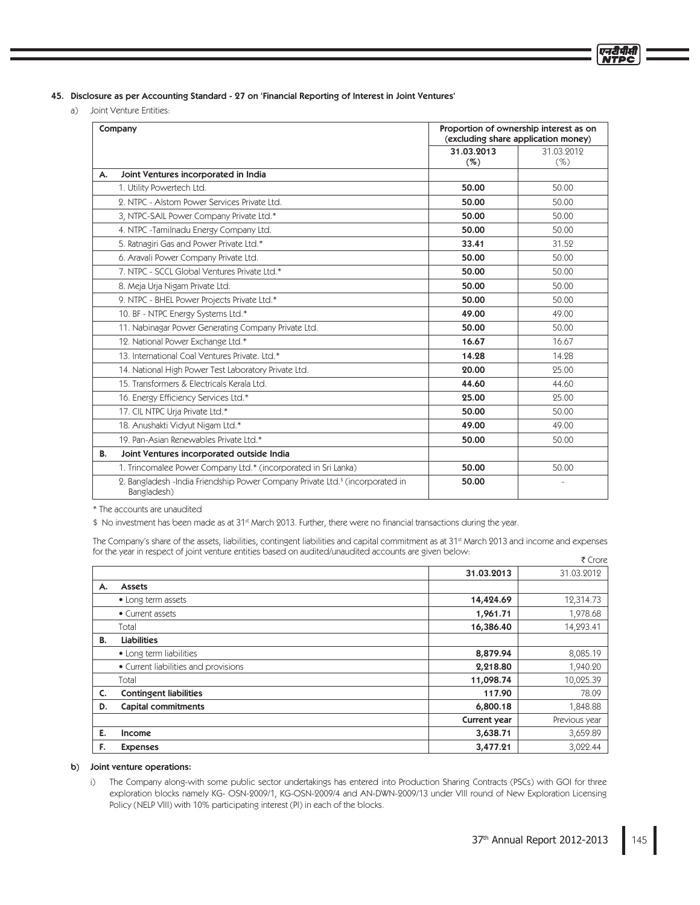45. Disclosure as per Accounting Standard - 27 on 'Financial Reporting of Interest in Joint Ventures'

a) Joint Venture Entities:

|    | Company                                                                                                   | Proportion of ownership interest as on<br>(excluding share application money) |            |
|----|-----------------------------------------------------------------------------------------------------------|-------------------------------------------------------------------------------|------------|
|    |                                                                                                           | 31.03.2013                                                                    | 31.03.2012 |
|    |                                                                                                           | (%)                                                                           | $(\%)$     |
| А. | Joint Ventures incorporated in India                                                                      |                                                                               |            |
|    | 1. Utility Powertech Ltd.                                                                                 | 50.00                                                                         | 50.00      |
|    | 2. NTPC - Alstom Power Services Private Ltd.                                                              | 50.00                                                                         | 50.00      |
|    | 3, NTPC-SAIL Power Company Private Ltd.*                                                                  | 50.00                                                                         | 50.00      |
|    | 4. NTPC -Tamilnadu Energy Company Ltd.                                                                    | 50.00                                                                         | 50.00      |
|    | 5. Ratnagiri Gas and Power Private Ltd.*                                                                  | 33.41                                                                         | 31.52      |
|    | 6. Aravali Power Company Private Ltd.                                                                     | 50.00                                                                         | 50.00      |
|    | 7. NTPC - SCCL Global Ventures Private Ltd.*                                                              | 50.00                                                                         | 50.00      |
|    | 8. Meja Urja Nigam Private Ltd.                                                                           | 50.00                                                                         | 50.00      |
|    | 9. NTPC - BHEL Power Projects Private Ltd.*                                                               | 50.00                                                                         | 50.00      |
|    | 10. BF - NTPC Energy Systems Ltd.*                                                                        | 49.00                                                                         | 49.00      |
|    | 11. Nabinagar Power Generating Company Private Ltd.                                                       | 50.00                                                                         | 50.00      |
|    | 12. National Power Exchange Ltd.*                                                                         | 16.67                                                                         | 16.67      |
|    | 13. International Coal Ventures Private, Ltd.*                                                            | 14.28                                                                         | 14.28      |
|    | 14. National High Power Test Laboratory Private Ltd.                                                      | 20.00                                                                         | 25.00      |
|    | 15. Transformers & Electricals Kerala Ltd.                                                                | 44.60                                                                         | 44.60      |
|    | 16. Energy Efficiency Services Ltd.*                                                                      | 25.00                                                                         | 25.00      |
|    | 17. CIL NTPC Urja Private Ltd.*                                                                           | 50.00                                                                         | 50.00      |
|    | 18. Anushakti Vidyut Nigam Ltd.*                                                                          | 49.00                                                                         | 49.00      |
|    | 19. Pan-Asian Renewables Private Ltd.*                                                                    | 50.00                                                                         | 50.00      |
| В. | Joint Ventures incorporated outside India                                                                 |                                                                               |            |
|    | 1. Trincomalee Power Company Ltd.* (incorporated in Sri Lanka)                                            | 50.00                                                                         | 50.00      |
|    | 2. Bangladesh - India Friendship Power Company Private Ltd. <sup>\$</sup> (incorporated in<br>Bangladesh) | 50.00                                                                         |            |

\* The accounts are unaudited

\$ No investment has been made as at 31st March 2013. Further, there were no financial transactions during the year.

The Company's share of the assets, liabilities, contingent liabilities and capital commitment as at 31<sup>st</sup> March 2013 and income and expenses for the year in respect of joint venture entities based on audited/unaudited accounts are given below:  $\overline{z}$ 

|    |                                      |              | ₹ Crore       |
|----|--------------------------------------|--------------|---------------|
|    |                                      | 31.03.2013   | 31.03.2012    |
| А. | <b>Assets</b>                        |              |               |
|    | • Long term assets                   | 14,424.69    | 12,314.73     |
|    | • Current assets                     | 1,961.71     | 1,978.68      |
|    | Total                                | 16,386.40    | 14,293.41     |
| В. | <b>Liabilities</b>                   |              |               |
|    | • Long term liabilities              | 8,879.94     | 8,085.19      |
|    | • Current liabilities and provisions | 2,218.80     | 1,940.20      |
|    | Total                                | 11,098.74    | 10,025.39     |
| C. | <b>Contingent liabilities</b>        | 117.90       | 78.09         |
| D. | <b>Capital commitments</b>           | 6,800.18     | 1,848.88      |
|    |                                      | Current year | Previous year |
| Е. | Income                               | 3,638.71     | 3,659.89      |
| F. | <b>Expenses</b>                      | 3,477.21     | 3,022.44      |

### b) Joint venture operations:

 i) The Company along-with some public sector undertakings has entered into Production Sharing Contracts (PSCs) with GOI for three exploration blocks namely KG- OSN-2009/1, KG-OSN-2009/4 and AN-DWN-2009/13 under VIII round of New Exploration Licensing Policy (NELP VIII) with 10% participating interest (PI) in each of the blocks.

एनदीपीर्स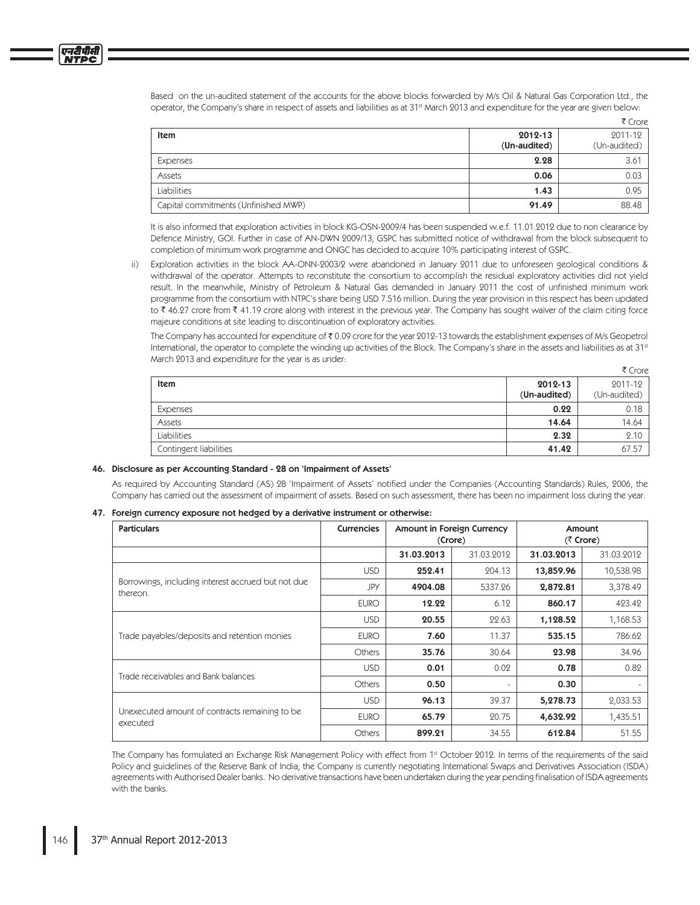Based on the un-audited statement of the accounts for the above blocks forwarded by M/s Oil & Natural Gas Corporation Ltd., the operator, the Company's share in respect of assets and liabilities as at 31<sup>st</sup> March 2013 and expenditure for the year are given below:

|                                      |                         | ₹ Crore                 |
|--------------------------------------|-------------------------|-------------------------|
| Item                                 | 2012-13<br>(Un-audited) | 2011-12<br>(Un-audited) |
| Expenses                             | 2.28                    | 3.61                    |
| Assets                               | 0.06                    | 0.03                    |
| Liabilities                          | 1.43                    | 0.95                    |
| Capital commitments (Unfinished MWP) | 91.49                   | 88.48                   |

It is also informed that exploration activities in block KG-OSN-2009/4 has been suspended w.e.f. 11.01.2012 due to non clearance by Defence Ministry, GOI. Further in case of AN-DWN 2009/13, GSPC has submitted notice of withdrawal from the block subsequent to completion of minimum work programme and ONGC has decided to acquire 10% participating interest of GSPC.

 ii) Exploration activities in the block AA-ONN-2003/2 were abandoned in January 2011 due to unforeseen geological conditions & withdrawal of the operator. Attempts to reconstitute the consortium to accomplish the residual exploratory activities did not yield result. In the meanwhile, Ministry of Petroleum & Natural Gas demanded in January 2011 the cost of unfinished minimum work programme from the consortium with NTPC's share being USD 7.516 million. During the year provision in this respect has been updated to ₹ 46.27 crore from ₹ 41.19 crore along with interest in the previous year. The Company has sought waiver of the claim citing force majeure conditions at site leading to discontinuation of exploratory activities.

The Company has accounted for expenditure of  $\bar{\mathfrak{c}}$  0.09 crore for the year 2012-13 towards the establishment expenses of M/s Geopetrol International, the operator to complete the winding up activities of the Block. The Company's share in the assets and liabilities as at 31st March 2013 and expenditure for the year is as under:

|                        |              | ₹ Crore      |
|------------------------|--------------|--------------|
| Item                   | 2012-13      | 2011-12      |
|                        | (Un-audited) | (Un-audited) |
| Expenses               | 0.22         | 0.18         |
| Assets                 | 14.64        | 14.64        |
| Liabilities            | 2.32         | 2.10         |
| Contingent liabilities | 41.42        | 67.57        |

# 46. Disclosure as per Accounting Standard - 28 on 'Impairment of Assets'

 As required by Accounting Standard (AS) 28 'Impairment of Assets' notified under the Companies (Accounting Standards) Rules, 2006, the Company has carried out the assessment of impairment of assets. Based on such assessment, there has been no impairment loss during the year.

# 47. Foreign currency exposure not hedged by a derivative instrument or otherwise:

| <b>Particulars</b>                                             | <b>Currencies</b> | Amount in Foreign Currency<br>(Crore) |                          | Amount<br>$(5$ Crore) |            |
|----------------------------------------------------------------|-------------------|---------------------------------------|--------------------------|-----------------------|------------|
|                                                                |                   | 31.03.2013                            | 31.03.2012               | 31.03.2013            | 31.03.2012 |
|                                                                | <b>USD</b>        | 252.41                                | 204.13                   | 13,859.96             | 10,538.98  |
| Borrowings, including interest accrued but not due<br>thereon. | JPY               | 4904.08                               | 5337.26                  | 2,872.81              | 3,378.49   |
|                                                                | <b>EURO</b>       | 12.22                                 | 6.12                     | 860.17                | 423.42     |
|                                                                | <b>USD</b>        | 20.55                                 | 22.63                    | 1,128.52              | 1,168.53   |
| Trade payables/deposits and retention monies                   | <b>EURO</b>       | 7.60                                  | 11.37                    | 535.15                | 786.62     |
|                                                                | <b>Others</b>     | 35.76                                 | 30.64                    | 23.98                 | 34.96      |
| Trade receivables and Bank balances                            | <b>USD</b>        | 0.01                                  | 0.02                     | 0.78                  | 0.82       |
|                                                                | <b>Others</b>     | 0.50                                  | $\overline{\phantom{a}}$ | 0.30                  |            |
|                                                                | <b>USD</b>        | 96.13                                 | 39.37                    | 5,278.73              | 2,033.53   |
| Unexecuted amount of contracts remaining to be<br>executed     | <b>EURO</b>       | 65.79                                 | 20.75                    | 4,632.92              | 1,435.51   |
|                                                                | <b>Others</b>     | 899.21                                | 34.55                    | 612.84                | 51.55      |

The Company has formulated an Exchange Risk Management Policy with effect from 1<sup>st</sup> October 2012. In terms of the requirements of the said Policy and guidelines of the Reserve Bank of India, the Company is currently negotiating International Swaps and Derivatives Association (ISDA) agreements with Authorised Dealer banks. No derivative transactions have been undertaken during the year pending finalisation of ISDA agreements with the banks.

प्तरीपीर्व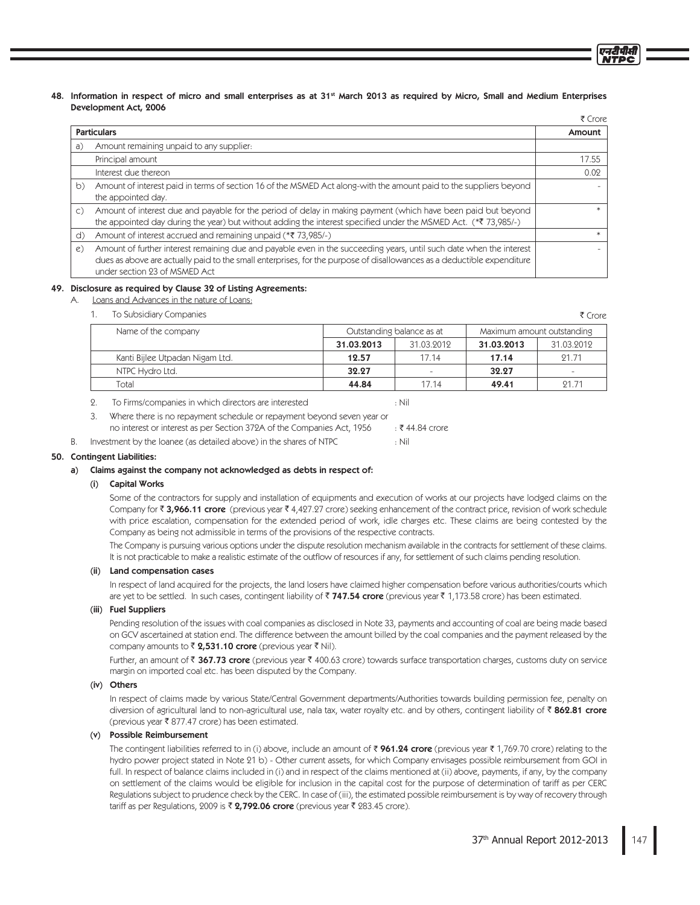48. Information in respect of micro and small enterprises as at 31<sup>st</sup> March 2013 as required by Micro, Small and Medium Enterprises Development Act, 2006

|                |                                                                                                                                                                                                                                                                                 | र Crore |
|----------------|---------------------------------------------------------------------------------------------------------------------------------------------------------------------------------------------------------------------------------------------------------------------------------|---------|
|                | <b>Particulars</b>                                                                                                                                                                                                                                                              | Amount  |
| a)             | Amount remaining unpaid to any supplier:                                                                                                                                                                                                                                        |         |
|                | Principal amount                                                                                                                                                                                                                                                                | 17.55   |
|                | Interest due thereon                                                                                                                                                                                                                                                            | 0.02    |
| b)             | Amount of interest paid in terms of section 16 of the MSMED Act along-with the amount paid to the suppliers beyond<br>the appointed day.                                                                                                                                        |         |
| $\mathsf{C}$ ) | Amount of interest due and payable for the period of delay in making payment (which have been paid but beyond<br>the appointed day during the year) but without adding the interest specified under the MSMED Act. (*7 73,985/-)                                                |         |
| d)             | Amount of interest accrued and remaining unpaid (*₹ 73,985/-)                                                                                                                                                                                                                   |         |
| $\epsilon)$    | Amount of further interest remaining due and payable even in the succeeding years, until such date when the interest<br>dues as above are actually paid to the small enterprises, for the purpose of disallowances as a deductible expenditure<br>under section 23 of MSMED Act |         |

### 49. Disclosure as required by Clause 32 of Listing Agreements:

Loans and Advances in the nature of Loans:

To Subsidiary Companies  $1.$ 

| Name of the company             | Outstanding balance as at |            | Maximum amount outstanding |            |
|---------------------------------|---------------------------|------------|----------------------------|------------|
|                                 | 31.03.2013                | 31.03.2012 | 31.03.2013                 | 31.03.2012 |
| Kanti Bijlee Utpadan Nigam Ltd. | 12.57                     | 17.14      | 17.14                      | 91.71      |
| NTPC Hydro Ltd.                 | 32.27                     |            | 32.27                      |            |
| Total                           | 44.84                     | 17 14      | 49.41                      | 91 71      |

 $2.$ To Firms/companies in which directors are interested  $:$  Nil

 $\overline{3}$ Where there is no repayment schedule or repayment beyond seven year or no interest or interest as per Section 372A of the Companies Act, 1956 : ₹44.84 crore  $:$  Nil

Investment by the loanee (as detailed above) in the shares of NTPC В.

# 50. Contingent Liabilities:

# a) Claims against the company not acknowledged as debts in respect of:

# (i) Capital Works

Some of the contractors for supply and installation of equipments and execution of works at our projects have lodged claims on the Company for ₹ 3,966.11 crore (previous year ₹ 4,427.27 crore) seeking enhancement of the contract price, revision of work schedule with price escalation, compensation for the extended period of work, idle charges etc. These claims are being contested by the Company as being not admissible in terms of the provisions of the respective contracts.

The Company is pursuing various options under the dispute resolution mechanism available in the contracts for settlement of these claims. It is not practicable to make a realistic estimate of the outflow of resources if any, for settlement of such claims pending resolution.

# (ii) Land compensation cases

In respect of land acquired for the projects, the land losers have claimed higher compensation before various authorities/courts which are yet to be settled. In such cases, contingent liability of ₹747.54 crore (previous year ₹1,173.58 crore) has been estimated.

# (iii) Fuel Suppliers

Pending resolution of the issues with coal companies as disclosed in Note 33, payments and accounting of coal are being made based on GCV ascertained at station end. The difference between the amount billed by the coal companies and the payment released by the company amounts to ₹ 2,531.10 crore (previous year ₹ Nil).

Further, an amount of ₹ 367.73 crore (previous year ₹ 400.63 crore) towards surface transportation charges, customs duty on service margin on imported coal etc. has been disputed by the Company.

# (iv) Others

In respect of claims made by various State/Central Government departments/Authorities towards building permission fee, penalty on diversion of agricultural land to non-agricultural use, nala tax, water royalty etc. and by others, contingent liability of ₹ 862.81 crore (previous year ₹ 877.47 crore) has been estimated.

# (v) Possible Reimbursement

The contingent liabilities referred to in (i) above, include an amount of ₹ 961.24 crore (previous year ₹ 1,769.70 crore) relating to the hydro power project stated in Note 21 b) - Other current assets, for which Company envisages possible reimbursement from GOI in full. In respect of balance claims included in (i) and in respect of the claims mentioned at (ii) above, payments, if any, by the company on settlement of the claims would be eligible for inclusion in the capital cost for the purpose of determination of tariff as per CERC Regulations subject to prudence check by the CERC. In case of (iii), the estimated possible reimbursement is by way of recovery through tariff as per Regulations, 2009 is ₹ 2,792.06 crore (previous year ₹ 283.45 crore).

₹ Crore